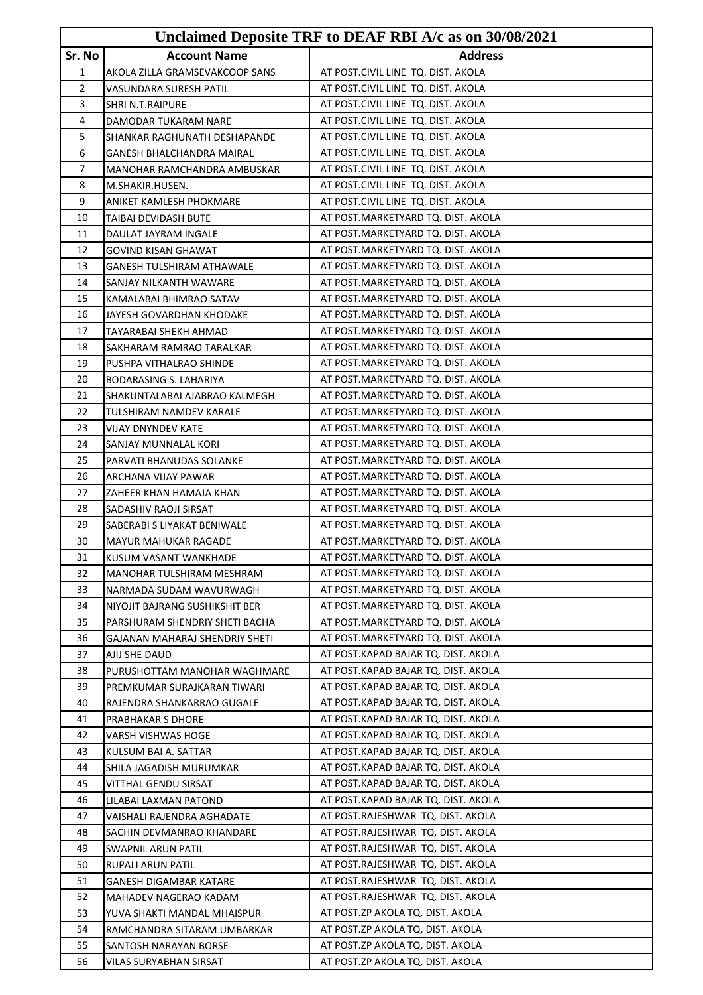|                |                                                      | Unclaimed Deposite TRF to DEAF RBI A/c as on 30/08/2021                |
|----------------|------------------------------------------------------|------------------------------------------------------------------------|
| Sr. No         | <b>Account Name</b>                                  | <b>Address</b>                                                         |
| 1              | AKOLA ZILLA GRAMSEVAKCOOP SANS                       | AT POST.CIVIL LINE TQ. DIST. AKOLA                                     |
| $\overline{2}$ | VASUNDARA SURESH PATIL                               | AT POST.CIVIL LINE TQ. DIST. AKOLA                                     |
| 3              | SHRI N.T.RAIPURE                                     | AT POST.CIVIL LINE TQ. DIST. AKOLA                                     |
| 4              | DAMODAR TUKARAM NARE                                 | AT POST.CIVIL LINE TQ. DIST. AKOLA                                     |
| 5              | SHANKAR RAGHUNATH DESHAPANDE                         | AT POST.CIVIL LINE TQ. DIST. AKOLA                                     |
| 6              | GANESH BHALCHANDRA MAIRAL                            | AT POST.CIVIL LINE TQ. DIST. AKOLA                                     |
| 7              | MANOHAR RAMCHANDRA AMBUSKAR                          | AT POST.CIVIL LINE TQ. DIST. AKOLA                                     |
| 8              | M.SHAKIR.HUSEN.                                      | AT POST.CIVIL LINE TQ. DIST. AKOLA                                     |
| 9              | ANIKET KAMLESH PHOKMARE                              | AT POST.CIVIL LINE TQ. DIST. AKOLA                                     |
| 10             | TAIBAI DEVIDASH BUTE                                 | AT POST.MARKETYARD TQ. DIST. AKOLA                                     |
| 11             | DAULAT JAYRAM INGALE                                 | AT POST.MARKETYARD TQ. DIST. AKOLA                                     |
| 12             | <b>GOVIND KISAN GHAWAT</b>                           | AT POST.MARKETYARD TQ. DIST. AKOLA                                     |
| 13             | GANESH TULSHIRAM ATHAWALE                            | AT POST.MARKETYARD TQ. DIST. AKOLA                                     |
| 14             | SANJAY NILKANTH WAWARE                               | AT POST.MARKETYARD TQ. DIST. AKOLA                                     |
| 15             | KAMALABAI BHIMRAO SATAV                              | AT POST.MARKETYARD TQ. DIST. AKOLA                                     |
| 16             | JAYESH GOVARDHAN KHODAKE                             | AT POST.MARKETYARD TQ. DIST. AKOLA                                     |
| 17             | TAYARABAI SHEKH AHMAD                                | AT POST.MARKETYARD TQ. DIST. AKOLA                                     |
| 18             | SAKHARAM RAMRAO TARALKAR                             | AT POST.MARKETYARD TQ. DIST. AKOLA                                     |
| 19             | PUSHPA VITHALRAO SHINDE                              | AT POST.MARKETYARD TQ. DIST. AKOLA                                     |
| 20             | <b>BODARASING S. LAHARIYA</b>                        | AT POST.MARKETYARD TQ. DIST. AKOLA                                     |
| 21             | SHAKUNTALABAI AJABRAO KALMEGH                        | AT POST.MARKETYARD TQ. DIST. AKOLA                                     |
| 22             | TULSHIRAM NAMDEV KARALE                              | AT POST.MARKETYARD TQ. DIST. AKOLA                                     |
| 23             | <b>VIJAY DNYNDEV KATE</b>                            | AT POST.MARKETYARD TQ. DIST. AKOLA                                     |
| 24             | SANJAY MUNNALAL KORI                                 | AT POST.MARKETYARD TQ. DIST. AKOLA                                     |
| 25             | PARVATI BHANUDAS SOLANKE                             | AT POST.MARKETYARD TQ. DIST. AKOLA                                     |
| 26             | ARCHANA VIJAY PAWAR                                  | AT POST.MARKETYARD TQ. DIST. AKOLA                                     |
| 27             | ZAHEER KHAN HAMAJA KHAN                              | AT POST.MARKETYARD TQ. DIST. AKOLA                                     |
| 28             | SADASHIV RAOJI SIRSAT                                | AT POST.MARKETYARD TQ. DIST. AKOLA                                     |
| 29             | SABERABI S LIYAKAT BENIWALE                          | AT POST.MARKETYARD TQ. DIST. AKOLA                                     |
| 30             | <b>MAYUR MAHUKAR RAGADE</b>                          | AT POST.MARKETYARD TQ. DIST. AKOLA                                     |
| 31             | KUSUM VASANT WANKHADE                                | AT POST. MARKETYARD TQ. DIST. AKOLA                                    |
| 32             | MANOHAR TULSHIRAM MESHRAM                            | AT POST.MARKETYARD TO. DIST. AKOLA                                     |
| 33             | NARMADA SUDAM WAVURWAGH                              | AT POST.MARKETYARD TQ. DIST. AKOLA                                     |
| 34             | NIYOJIT BAJRANG SUSHIKSHIT BER                       | AT POST.MARKETYARD TQ. DIST. AKOLA                                     |
| 35             | PARSHURAM SHENDRIY SHETI BACHA                       | AT POST.MARKETYARD TQ. DIST. AKOLA                                     |
| 36             | GAJANAN MAHARAJ SHENDRIY SHETI                       | AT POST.MARKETYARD TQ. DIST. AKOLA                                     |
| 37             | AJIJ SHE DAUD                                        | AT POST.KAPAD BAJAR TQ. DIST. AKOLA                                    |
| 38             | PURUSHOTTAM MANOHAR WAGHMARE                         | AT POST.KAPAD BAJAR TQ. DIST. AKOLA                                    |
| 39             | PREMKUMAR SURAJKARAN TIWARI                          | AT POST.KAPAD BAJAR TQ. DIST. AKOLA                                    |
| 40             | RAJENDRA SHANKARRAO GUGALE                           | AT POST.KAPAD BAJAR TQ. DIST. AKOLA                                    |
| 41             | PRABHAKAR S DHORE                                    | AT POST.KAPAD BAJAR TQ. DIST. AKOLA                                    |
| 42             | VARSH VISHWAS HOGE                                   | AT POST.KAPAD BAJAR TQ. DIST. AKOLA                                    |
| 43             | KULSUM BAI A. SATTAR                                 | AT POST.KAPAD BAJAR TQ. DIST. AKOLA                                    |
| 44             | SHILA JAGADISH MURUMKAR                              | AT POST.KAPAD BAJAR TQ. DIST. AKOLA                                    |
| 45             | VITTHAL GENDU SIRSAT                                 | AT POST.KAPAD BAJAR TQ. DIST. AKOLA                                    |
| 46             | LILABAI LAXMAN PATOND                                | AT POST.KAPAD BAJAR TQ. DIST. AKOLA                                    |
| 47             | VAISHALI RAJENDRA AGHADATE                           | AT POST.RAJESHWAR TQ. DIST. AKOLA                                      |
| 48             | SACHIN DEVMANRAO KHANDARE                            | AT POST.RAJESHWAR TQ. DIST. AKOLA<br>AT POST.RAJESHWAR TQ. DIST. AKOLA |
| 49<br>50       | SWAPNIL ARUN PATIL                                   | AT POST.RAJESHWAR TQ. DIST. AKOLA                                      |
| 51             | RUPALI ARUN PATIL                                    | AT POST.RAJESHWAR TQ. DIST. AKOLA                                      |
| 52             | GANESH DIGAMBAR KATARE                               | AT POST.RAJESHWAR TQ. DIST. AKOLA                                      |
| 53             | MAHADEV NAGERAO KADAM<br>YUVA SHAKTI MANDAL MHAISPUR | AT POST.ZP AKOLA TQ. DIST. AKOLA                                       |
| 54             | RAMCHANDRA SITARAM UMBARKAR                          | AT POST.ZP AKOLA TQ. DIST. AKOLA                                       |
| 55             | SANTOSH NARAYAN BORSE                                | AT POST.ZP AKOLA TQ. DIST. AKOLA                                       |
| 56             | VILAS SURYABHAN SIRSAT                               | AT POST.ZP AKOLA TQ. DIST. AKOLA                                       |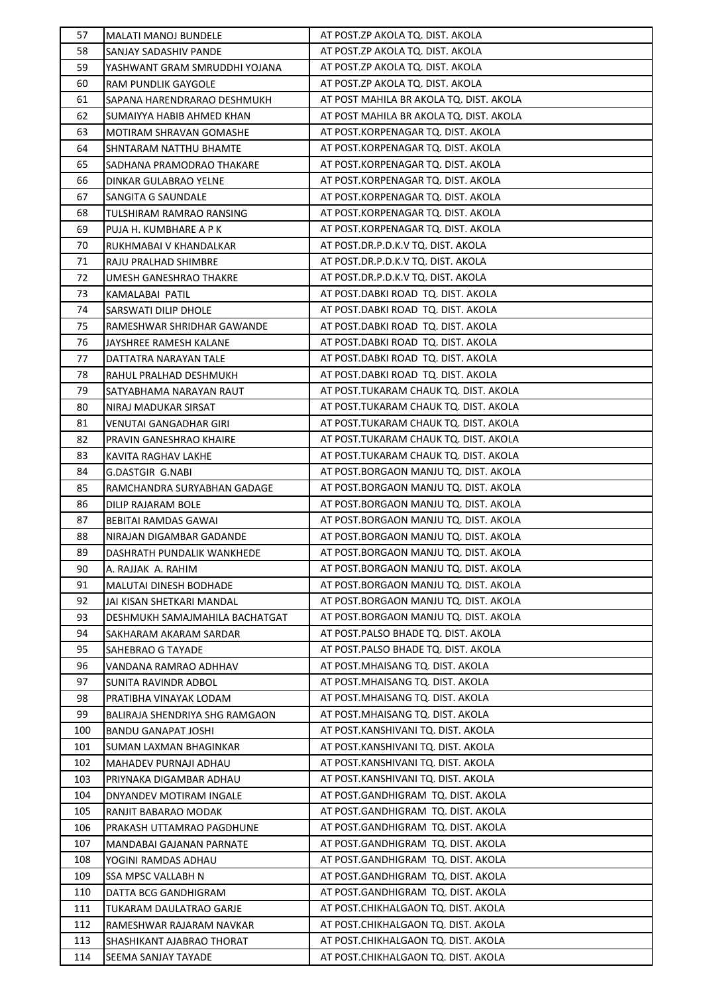| 57         | <b>MALATI MANOJ BUNDELE</b>                     | AT POST.ZP AKOLA TQ. DIST. AKOLA                                         |
|------------|-------------------------------------------------|--------------------------------------------------------------------------|
| 58         | SANJAY SADASHIV PANDE                           | AT POST.ZP AKOLA TQ. DIST. AKOLA                                         |
| 59         | YASHWANT GRAM SMRUDDHI YOJANA                   | AT POST.ZP AKOLA TQ. DIST. AKOLA                                         |
| 60         | RAM PUNDLIK GAYGOLE                             | AT POST.ZP AKOLA TQ. DIST. AKOLA                                         |
| 61         | SAPANA HARENDRARAO DESHMUKH                     | AT POST MAHILA BR AKOLA TQ. DIST. AKOLA                                  |
| 62         | SUMAIYYA HABIB AHMED KHAN                       | AT POST MAHILA BR AKOLA TQ. DIST. AKOLA                                  |
| 63         | MOTIRAM SHRAVAN GOMASHE                         | AT POST.KORPENAGAR TQ. DIST. AKOLA                                       |
| 64         | SHNTARAM NATTHU BHAMTE                          | AT POST.KORPENAGAR TQ. DIST. AKOLA                                       |
| 65         | SADHANA PRAMODRAO THAKARE                       | AT POST.KORPENAGAR TQ. DIST. AKOLA                                       |
| 66         | DINKAR GULABRAO YELNE                           | AT POST.KORPENAGAR TQ. DIST. AKOLA                                       |
| 67         | SANGITA G SAUNDALE                              | AT POST.KORPENAGAR TQ. DIST. AKOLA                                       |
| 68         | TULSHIRAM RAMRAO RANSING                        | AT POST.KORPENAGAR TQ. DIST. AKOLA                                       |
| 69         | PUJA H. KUMBHARE A P K                          | AT POST.KORPENAGAR TQ. DIST. AKOLA                                       |
| 70         | RUKHMABAI V KHANDALKAR                          | AT POST.DR.P.D.K.V TQ. DIST. AKOLA                                       |
| 71         | RAJU PRALHAD SHIMBRE                            | AT POST.DR.P.D.K.V TQ. DIST. AKOLA                                       |
| 72         | UMESH GANESHRAO THAKRE                          | AT POST.DR.P.D.K.V TQ. DIST. AKOLA                                       |
| 73         | KAMALABAI PATIL                                 | AT POST.DABKI ROAD TQ. DIST. AKOLA                                       |
| 74         | SARSWATI DILIP DHOLE                            | AT POST.DABKI ROAD TQ. DIST. AKOLA                                       |
| 75         | RAMESHWAR SHRIDHAR GAWANDE                      | AT POST.DABKI ROAD TQ. DIST. AKOLA                                       |
| 76         | JAYSHREE RAMESH KALANE                          | AT POST.DABKI ROAD TQ. DIST. AKOLA                                       |
| 77         | DATTATRA NARAYAN TALE                           | AT POST.DABKI ROAD TQ. DIST. AKOLA                                       |
| 78         | RAHUL PRALHAD DESHMUKH                          | AT POST.DABKI ROAD TQ. DIST. AKOLA                                       |
| 79         | SATYABHAMA NARAYAN RAUT                         | AT POST.TUKARAM CHAUK TQ. DIST. AKOLA                                    |
| 80         | NIRAJ MADUKAR SIRSAT                            | AT POST.TUKARAM CHAUK TQ. DIST. AKOLA                                    |
| 81         | VENUTAI GANGADHAR GIRI                          | AT POST.TUKARAM CHAUK TQ. DIST. AKOLA                                    |
| 82         | PRAVIN GANESHRAO KHAIRE                         | AT POST.TUKARAM CHAUK TQ. DIST. AKOLA                                    |
| 83         | KAVITA RAGHAV LAKHE                             | AT POST.TUKARAM CHAUK TQ. DIST. AKOLA                                    |
| 84         | G.DASTGIR G.NABI                                | AT POST.BORGAON MANJU TQ. DIST. AKOLA                                    |
| 85         | RAMCHANDRA SURYABHAN GADAGE                     | AT POST.BORGAON MANJU TQ. DIST. AKOLA                                    |
| 86         | DILIP RAJARAM BOLE                              | AT POST.BORGAON MANJU TQ. DIST. AKOLA                                    |
| 87         | BEBITAI RAMDAS GAWAI                            | AT POST.BORGAON MANJU TQ. DIST. AKOLA                                    |
| 88         | NIRAJAN DIGAMBAR GADANDE                        | AT POST.BORGAON MANJU TQ. DIST. AKOLA                                    |
| 89         | DASHRATH PUNDALIK WANKHEDE                      | AT POST.BORGAON MANJU TQ. DIST. AKOLA                                    |
| 90         | A. RAJJAK A. RAHIM                              | AT POST.BORGAON MANJU TQ. DIST. AKOLA                                    |
| 91         | MALUTAI DINESH BODHADE                          | AT POST.BORGAON MANJU TQ. DIST. AKOLA                                    |
| 92         | JAI KISAN SHETKARI MANDAL                       | AT POST.BORGAON MANJU TQ. DIST. AKOLA                                    |
| 93         | DESHMUKH SAMAJMAHILA BACHATGAT                  | AT POST.BORGAON MANJU TQ. DIST. AKOLA                                    |
| 94         |                                                 | AT POST.PALSO BHADE TQ. DIST. AKOLA                                      |
| 95         | SAKHARAM AKARAM SARDAR                          | AT POST.PALSO BHADE TO. DIST. AKOLA                                      |
|            | SAHEBRAO G TAYADE                               | AT POST. MHAISANG TQ. DIST. AKOLA                                        |
| 96<br>97   | VANDANA RAMRAO ADHHAV<br>SUNITA RAVINDR ADBOL   | AT POST. MHAISANG TQ. DIST. AKOLA                                        |
|            |                                                 | AT POST. MHAISANG TQ. DIST. AKOLA                                        |
| 98<br>99   | PRATIBHA VINAYAK LODAM                          | AT POST. MHAISANG TQ. DIST. AKOLA                                        |
| 100        | BALIRAJA SHENDRIYA SHG RAMGAON                  | AT POST.KANSHIVANI TQ. DIST. AKOLA                                       |
| 101        | BANDU GANAPAT JOSHI                             | AT POST.KANSHIVANI TQ. DIST. AKOLA                                       |
| 102        | SUMAN LAXMAN BHAGINKAR<br>MAHADEV PURNAJI ADHAU | AT POST.KANSHIVANI TQ. DIST. AKOLA                                       |
|            |                                                 |                                                                          |
| 103<br>104 | PRIYNAKA DIGAMBAR ADHAU                         | AT POST.KANSHIVANI TQ. DIST. AKOLA<br>AT POST.GANDHIGRAM TQ. DIST. AKOLA |
| 105        | DNYANDEV MOTIRAM INGALE                         | AT POST.GANDHIGRAM TQ. DIST. AKOLA                                       |
| 106        | RANJIT BABARAO MODAK                            | AT POST.GANDHIGRAM TQ. DIST. AKOLA                                       |
| 107        | PRAKASH UTTAMRAO PAGDHUNE                       | AT POST.GANDHIGRAM TQ. DIST. AKOLA                                       |
|            | MANDABAI GAJANAN PARNATE                        | AT POST.GANDHIGRAM TQ. DIST. AKOLA                                       |
| 108        | YOGINI RAMDAS ADHAU                             |                                                                          |
| 109        | <b>SSA MPSC VALLABH N</b>                       | AT POST.GANDHIGRAM TQ. DIST. AKOLA<br>AT POST.GANDHIGRAM TQ. DIST. AKOLA |
| 110        | DATTA BCG GANDHIGRAM                            |                                                                          |
| 111        | TUKARAM DAULATRAO GARJE                         | AT POST.CHIKHALGAON TQ. DIST. AKOLA                                      |
| 112        | RAMESHWAR RAJARAM NAVKAR                        | AT POST.CHIKHALGAON TQ. DIST. AKOLA                                      |
| 113        | SHASHIKANT AJABRAO THORAT                       | AT POST.CHIKHALGAON TQ. DIST. AKOLA                                      |
| 114        | SEEMA SANJAY TAYADE                             | AT POST.CHIKHALGAON TQ. DIST. AKOLA                                      |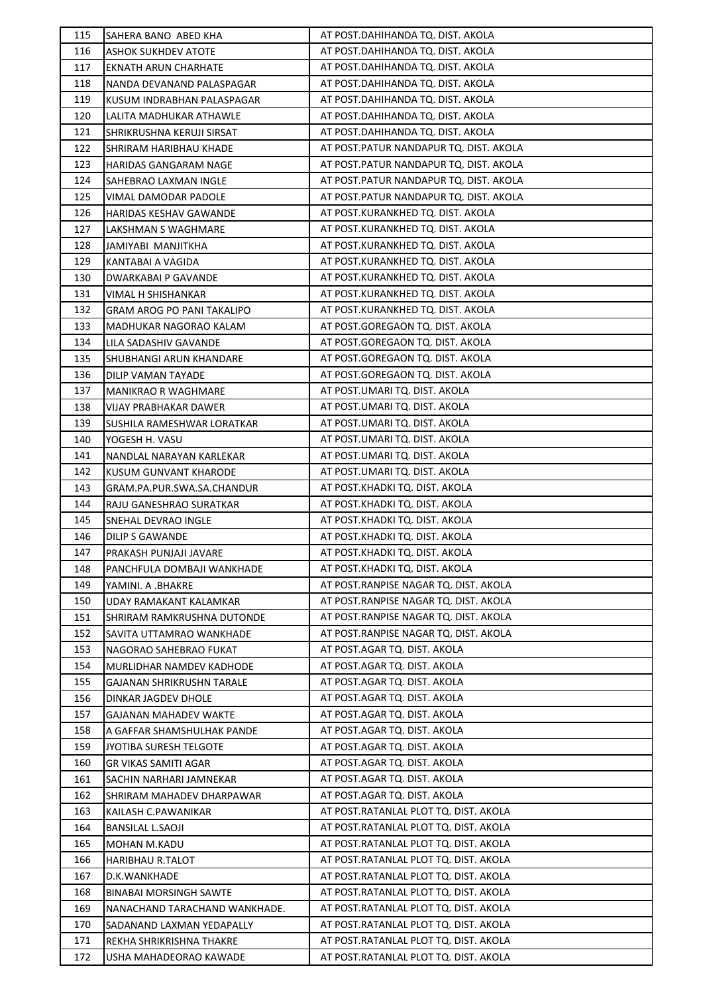| 115 | SAHERA BANO ABED KHA             | AT POST.DAHIHANDA TQ. DIST. AKOLA      |
|-----|----------------------------------|----------------------------------------|
| 116 | <b>ASHOK SUKHDEV ATOTE</b>       | AT POST.DAHIHANDA TQ. DIST. AKOLA      |
| 117 | <b>EKNATH ARUN CHARHATE</b>      | AT POST.DAHIHANDA TQ. DIST. AKOLA      |
| 118 | NANDA DEVANAND PALASPAGAR        | AT POST.DAHIHANDA TQ. DIST. AKOLA      |
| 119 | KUSUM INDRABHAN PALASPAGAR       | AT POST.DAHIHANDA TQ. DIST. AKOLA      |
| 120 | LALITA MADHUKAR ATHAWLE          | AT POST.DAHIHANDA TQ. DIST. AKOLA      |
| 121 | SHRIKRUSHNA KERUJI SIRSAT        | AT POST.DAHIHANDA TQ. DIST. AKOLA      |
| 122 | SHRIRAM HARIBHAU KHADE           | AT POST.PATUR NANDAPUR TQ. DIST. AKOLA |
| 123 | HARIDAS GANGARAM NAGE            | AT POST.PATUR NANDAPUR TQ. DIST. AKOLA |
| 124 | SAHEBRAO LAXMAN INGLE            | AT POST.PATUR NANDAPUR TQ. DIST. AKOLA |
| 125 | VIMAL DAMODAR PADOLE             | AT POST.PATUR NANDAPUR TQ. DIST. AKOLA |
| 126 | HARIDAS KESHAV GAWANDE           | AT POST.KURANKHED TQ. DIST. AKOLA      |
| 127 | LAKSHMAN S WAGHMARE              | AT POST.KURANKHED TQ. DIST. AKOLA      |
| 128 | JAMIYABI MANJITKHA               | AT POST.KURANKHED TQ. DIST. AKOLA      |
| 129 | KANTABAI A VAGIDA                | AT POST.KURANKHED TQ. DIST. AKOLA      |
| 130 | DWARKABAI P GAVANDE              | AT POST.KURANKHED TQ. DIST. AKOLA      |
| 131 | VIMAL H SHISHANKAR               | AT POST.KURANKHED TQ. DIST. AKOLA      |
| 132 | GRAM AROG PO PANI TAKALIPO       | AT POST.KURANKHED TQ. DIST. AKOLA      |
| 133 | MADHUKAR NAGORAO KALAM           | AT POST.GOREGAON TQ. DIST. AKOLA       |
| 134 | LILA SADASHIV GAVANDE            | AT POST.GOREGAON TQ. DIST. AKOLA       |
| 135 | SHUBHANGI ARUN KHANDARE          | AT POST.GOREGAON TO. DIST. AKOLA       |
| 136 | DILIP VAMAN TAYADE               | AT POST.GOREGAON TQ. DIST. AKOLA       |
| 137 | <b>MANIKRAO R WAGHMARE</b>       | AT POST.UMARI TQ. DIST. AKOLA          |
| 138 | <b>VIJAY PRABHAKAR DAWER</b>     | AT POST.UMARI TQ. DIST. AKOLA          |
| 139 | SUSHILA RAMESHWAR LORATKAR       | AT POST.UMARI TQ. DIST. AKOLA          |
| 140 | YOGESH H. VASU                   | AT POST.UMARI TQ. DIST. AKOLA          |
| 141 | NANDLAL NARAYAN KARLEKAR         | AT POST.UMARI TQ. DIST. AKOLA          |
| 142 | KUSUM GUNVANT KHARODE            | AT POST.UMARI TQ. DIST. AKOLA          |
| 143 | GRAM.PA.PUR.SWA.SA.CHANDUR       | AT POST.KHADKI TQ. DIST. AKOLA         |
| 144 | RAJU GANESHRAO SURATKAR          | AT POST.KHADKI TQ. DIST. AKOLA         |
| 145 | SNEHAL DEVRAO INGLE              | AT POST.KHADKI TQ. DIST. AKOLA         |
| 146 | DILIP S GAWANDE                  | AT POST.KHADKI TQ. DIST. AKOLA         |
| 147 | PRAKASH PUNJAJI JAVARE           | AT POST.KHADKI TQ. DIST. AKOLA         |
| 148 | PANCHFULA DOMBAJI WANKHADE       | AT POST.KHADKI TQ. DIST. AKOLA         |
| 149 | YAMINI. A .BHAKRE                | AT POST.RANPISE NAGAR TQ. DIST. AKOLA  |
| 150 | UDAY RAMAKANT KALAMKAR           | AT POST.RANPISE NAGAR TQ. DIST. AKOLA  |
| 151 | SHRIRAM RAMKRUSHNA DUTONDE       | AT POST.RANPISE NAGAR TQ. DIST. AKOLA  |
| 152 | SAVITA UTTAMRAO WANKHADE         | AT POST.RANPISE NAGAR TQ. DIST. AKOLA  |
| 153 | NAGORAO SAHEBRAO FUKAT           | AT POST.AGAR TQ. DIST. AKOLA           |
| 154 | MURLIDHAR NAMDEV KADHODE         | AT POST.AGAR TQ. DIST. AKOLA           |
| 155 | <b>GAJANAN SHRIKRUSHN TARALE</b> | AT POST.AGAR TQ. DIST. AKOLA           |
| 156 | DINKAR JAGDEV DHOLE              | AT POST.AGAR TQ. DIST. AKOLA           |
| 157 | GAJANAN MAHADEV WAKTE            | AT POST.AGAR TQ. DIST. AKOLA           |
| 158 | A GAFFAR SHAMSHULHAK PANDE       | AT POST.AGAR TQ. DIST. AKOLA           |
| 159 | JYOTIBA SURESH TELGOTE           | AT POST.AGAR TQ. DIST. AKOLA           |
| 160 | <b>GR VIKAS SAMITI AGAR</b>      | AT POST.AGAR TQ. DIST. AKOLA           |
| 161 | SACHIN NARHARI JAMNEKAR          | AT POST.AGAR TQ. DIST. AKOLA           |
| 162 | SHRIRAM MAHADEV DHARPAWAR        | AT POST.AGAR TQ. DIST. AKOLA           |
| 163 | KAILASH C.PAWANIKAR              | AT POST.RATANLAL PLOT TQ. DIST. AKOLA  |
| 164 | <b>BANSILAL L.SAOJI</b>          | AT POST.RATANLAL PLOT TQ. DIST. AKOLA  |
| 165 | MOHAN M.KADU                     | AT POST.RATANLAL PLOT TQ. DIST. AKOLA  |
| 166 | <b>HARIBHAU R.TALOT</b>          | AT POST.RATANLAL PLOT TQ. DIST. AKOLA  |
| 167 | D.K.WANKHADE                     | AT POST.RATANLAL PLOT TQ. DIST. AKOLA  |
| 168 | <b>BINABAI MORSINGH SAWTE</b>    | AT POST.RATANLAL PLOT TQ. DIST. AKOLA  |
| 169 | NANACHAND TARACHAND WANKHADE.    | AT POST.RATANLAL PLOT TQ. DIST. AKOLA  |
| 170 | SADANAND LAXMAN YEDAPALLY        | AT POST.RATANLAL PLOT TQ. DIST. AKOLA  |
| 171 | REKHA SHRIKRISHNA THAKRE         | AT POST.RATANLAL PLOT TQ. DIST. AKOLA  |
| 172 | USHA MAHADEORAO KAWADE           | AT POST.RATANLAL PLOT TQ. DIST. AKOLA  |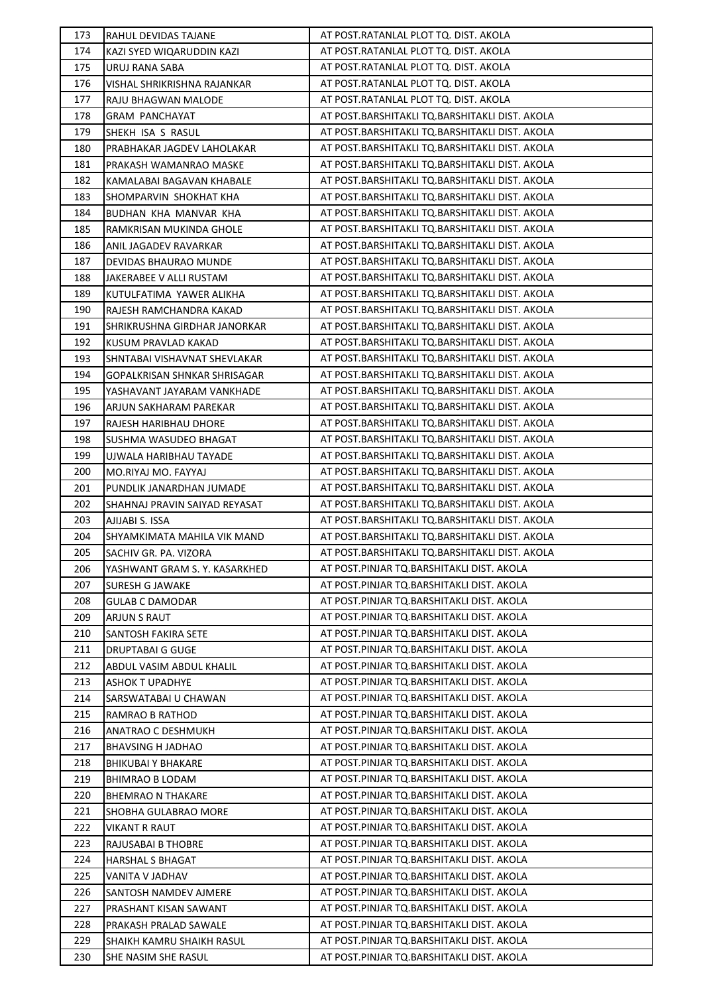| 173 | RAHUL DEVIDAS TAJANE          | AT POST.RATANLAL PLOT TQ. DIST. AKOLA          |
|-----|-------------------------------|------------------------------------------------|
| 174 | KAZI SYED WIQARUDDIN KAZI     | AT POST.RATANLAL PLOT TQ. DIST. AKOLA          |
| 175 | URUJ RANA SABA                | AT POST.RATANLAL PLOT TQ. DIST. AKOLA          |
| 176 | VISHAL SHRIKRISHNA RAJANKAR   | AT POST.RATANLAL PLOT TQ. DIST. AKOLA          |
| 177 | RAJU BHAGWAN MALODE           | AT POST.RATANLAL PLOT TQ. DIST. AKOLA          |
| 178 | <b>GRAM PANCHAYAT</b>         | AT POST.BARSHITAKLI TQ.BARSHITAKLI DIST. AKOLA |
| 179 | SHEKH ISA S RASUL             | AT POST.BARSHITAKLI TQ.BARSHITAKLI DIST. AKOLA |
| 180 | PRABHAKAR JAGDEV LAHOLAKAR    | AT POST.BARSHITAKLI TQ.BARSHITAKLI DIST. AKOLA |
| 181 | PRAKASH WAMANRAO MASKE        | AT POST.BARSHITAKLI TQ.BARSHITAKLI DIST. AKOLA |
| 182 | KAMALABAI BAGAVAN KHABALE     | AT POST.BARSHITAKLI TQ.BARSHITAKLI DIST. AKOLA |
| 183 | SHOMPARVIN SHOKHAT KHA        | AT POST.BARSHITAKLI TQ.BARSHITAKLI DIST. AKOLA |
| 184 | BUDHAN KHA MANVAR KHA         | AT POST.BARSHITAKLI TQ.BARSHITAKLI DIST. AKOLA |
| 185 | RAMKRISAN MUKINDA GHOLE       | AT POST.BARSHITAKLI TQ.BARSHITAKLI DIST. AKOLA |
| 186 | ANIL JAGADEV RAVARKAR         | AT POST.BARSHITAKLI TQ.BARSHITAKLI DIST. AKOLA |
| 187 | DEVIDAS BHAURAO MUNDE         | AT POST.BARSHITAKLI TQ.BARSHITAKLI DIST. AKOLA |
| 188 | JAKERABEE V ALLI RUSTAM       | AT POST.BARSHITAKLI TQ.BARSHITAKLI DIST. AKOLA |
| 189 | KUTULFATIMA YAWER ALIKHA      | AT POST.BARSHITAKLI TQ.BARSHITAKLI DIST. AKOLA |
| 190 | RAJESH RAMCHANDRA KAKAD       | AT POST.BARSHITAKLI TQ.BARSHITAKLI DIST. AKOLA |
| 191 | SHRIKRUSHNA GIRDHAR JANORKAR  | AT POST.BARSHITAKLI TQ.BARSHITAKLI DIST. AKOLA |
| 192 | KUSUM PRAVLAD KAKAD           | AT POST.BARSHITAKLI TQ.BARSHITAKLI DIST. AKOLA |
| 193 | SHNTABAI VISHAVNAT SHEVLAKAR  | AT POST.BARSHITAKLI TQ.BARSHITAKLI DIST. AKOLA |
| 194 | GOPALKRISAN SHNKAR SHRISAGAR  | AT POST.BARSHITAKLI TQ.BARSHITAKLI DIST. AKOLA |
| 195 | YASHAVANT JAYARAM VANKHADE    | AT POST.BARSHITAKLI TQ.BARSHITAKLI DIST. AKOLA |
| 196 | ARJUN SAKHARAM PAREKAR        | AT POST.BARSHITAKLI TQ.BARSHITAKLI DIST. AKOLA |
| 197 | RAJESH HARIBHAU DHORE         | AT POST.BARSHITAKLI TQ.BARSHITAKLI DIST. AKOLA |
| 198 | SUSHMA WASUDEO BHAGAT         | AT POST.BARSHITAKLI TQ.BARSHITAKLI DIST. AKOLA |
| 199 | UJWALA HARIBHAU TAYADE        | AT POST.BARSHITAKLI TQ.BARSHITAKLI DIST. AKOLA |
| 200 | MO.RIYAJ MO. FAYYAJ           | AT POST.BARSHITAKLI TQ.BARSHITAKLI DIST. AKOLA |
| 201 | PUNDLIK JANARDHAN JUMADE      | AT POST.BARSHITAKLI TQ.BARSHITAKLI DIST. AKOLA |
| 202 | SHAHNAJ PRAVIN SAIYAD REYASAT | AT POST.BARSHITAKLI TQ.BARSHITAKLI DIST. AKOLA |
| 203 | AJIJABI S. ISSA               | AT POST.BARSHITAKLI TQ.BARSHITAKLI DIST. AKOLA |
| 204 | SHYAMKIMATA MAHILA VIK MAND   | AT POST.BARSHITAKLI TQ.BARSHITAKLI DIST. AKOLA |
| 205 | SACHIV GR. PA. VIZORA         | AT POST.BARSHITAKLI TQ.BARSHITAKLI DIST. AKOLA |
| 206 | YASHWANT GRAM S. Y. KASARKHED | AT POST.PINJAR TQ.BARSHITAKLI DIST. AKOLA      |
| 207 | <b>SURESH G JAWAKE</b>        | AT POST.PINJAR TQ.BARSHITAKLI DIST. AKOLA      |
| 208 | <b>GULAB C DAMODAR</b>        | AT POST.PINJAR TQ.BARSHITAKLI DIST. AKOLA      |
| 209 | ARJUN S RAUT                  | AT POST.PINJAR TQ.BARSHITAKLI DIST. AKOLA      |
| 210 | SANTOSH FAKIRA SETE           | AT POST.PINJAR TQ.BARSHITAKLI DIST. AKOLA      |
| 211 | <b>DRUPTABAI G GUGE</b>       | AT POST.PINJAR TQ.BARSHITAKLI DIST. AKOLA      |
| 212 | ABDUL VASIM ABDUL KHALIL      | AT POST.PINJAR TQ.BARSHITAKLI DIST. AKOLA      |
| 213 | <b>ASHOK T UPADHYE</b>        | AT POST.PINJAR TQ.BARSHITAKLI DIST. AKOLA      |
| 214 | SARSWATABAI U CHAWAN          | AT POST.PINJAR TQ.BARSHITAKLI DIST. AKOLA      |
| 215 | RAMRAO B RATHOD               | AT POST.PINJAR TQ.BARSHITAKLI DIST. AKOLA      |
| 216 | <b>ANATRAO C DESHMUKH</b>     | AT POST.PINJAR TQ.BARSHITAKLI DIST. AKOLA      |
| 217 | <b>BHAVSING H JADHAO</b>      | AT POST.PINJAR TQ.BARSHITAKLI DIST. AKOLA      |
| 218 | <b>BHIKUBAI Y BHAKARE</b>     | AT POST.PINJAR TQ.BARSHITAKLI DIST. AKOLA      |
| 219 | <b>BHIMRAO B LODAM</b>        | AT POST.PINJAR TQ.BARSHITAKLI DIST. AKOLA      |
| 220 | <b>BHEMRAO N THAKARE</b>      | AT POST.PINJAR TQ.BARSHITAKLI DIST. AKOLA      |
| 221 | SHOBHA GULABRAO MORE          | AT POST.PINJAR TQ.BARSHITAKLI DIST. AKOLA      |
| 222 | VIKANT R RAUT                 | AT POST.PINJAR TQ.BARSHITAKLI DIST. AKOLA      |
| 223 | RAJUSABAI B THOBRE            | AT POST.PINJAR TQ.BARSHITAKLI DIST. AKOLA      |
| 224 | <b>HARSHAL S BHAGAT</b>       | AT POST.PINJAR TQ.BARSHITAKLI DIST. AKOLA      |
| 225 | VANITA V JADHAV               | AT POST.PINJAR TQ.BARSHITAKLI DIST. AKOLA      |
| 226 | SANTOSH NAMDEV AJMERE         | AT POST.PINJAR TQ.BARSHITAKLI DIST. AKOLA      |
| 227 | PRASHANT KISAN SAWANT         | AT POST.PINJAR TQ.BARSHITAKLI DIST. AKOLA      |
| 228 | PRAKASH PRALAD SAWALE         | AT POST.PINJAR TQ.BARSHITAKLI DIST. AKOLA      |
| 229 | SHAIKH KAMRU SHAIKH RASUL     | AT POST.PINJAR TQ.BARSHITAKLI DIST. AKOLA      |
| 230 | SHE NASIM SHE RASUL           | AT POST.PINJAR TQ.BARSHITAKLI DIST. AKOLA      |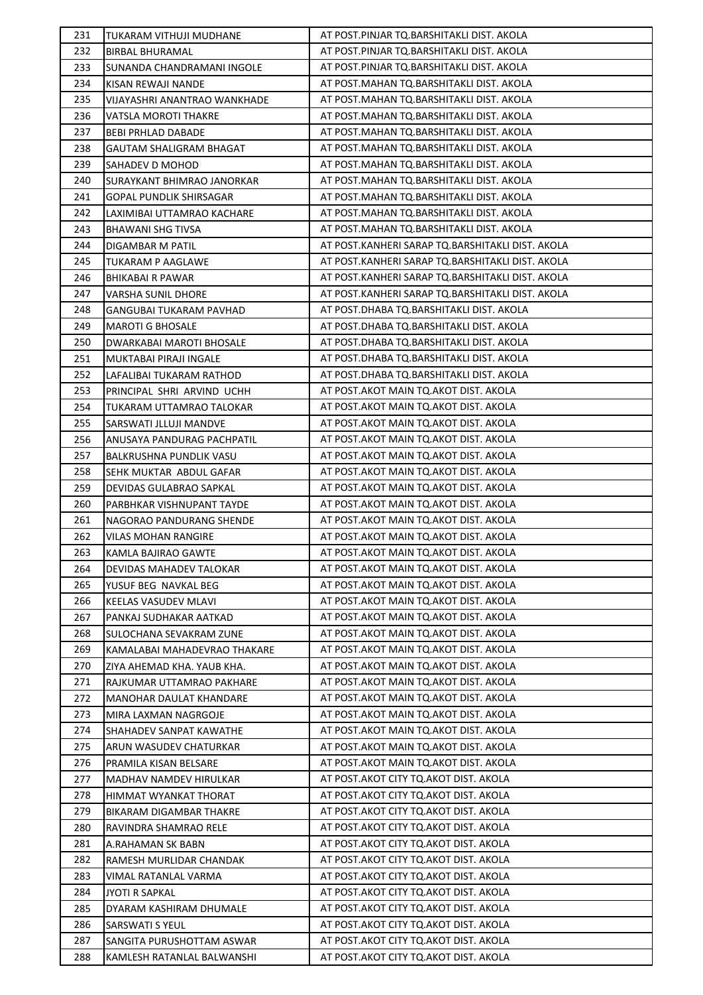| 231        | TUKARAM VITHUJI MUDHANE        | AT POST.PINJAR TQ.BARSHITAKLI DIST. AKOLA        |
|------------|--------------------------------|--------------------------------------------------|
| 232        | <b>BIRBAL BHURAMAL</b>         | AT POST.PINJAR TQ.BARSHITAKLI DIST. AKOLA        |
| 233        | SUNANDA CHANDRAMANI INGOLE     | AT POST.PINJAR TQ.BARSHITAKLI DIST. AKOLA        |
| 234        | KISAN REWAJI NANDE             | AT POST.MAHAN TQ.BARSHITAKLI DIST. AKOLA         |
| 235        | VIJAYASHRI ANANTRAO WANKHADE   | AT POST.MAHAN TQ.BARSHITAKLI DIST. AKOLA         |
| 236        | VATSLA MOROTI THAKRE           | AT POST.MAHAN TQ.BARSHITAKLI DIST. AKOLA         |
| 237        | BEBI PRHLAD DABADE             | AT POST.MAHAN TQ.BARSHITAKLI DIST. AKOLA         |
| 238        | GAUTAM SHALIGRAM BHAGAT        | AT POST.MAHAN TQ.BARSHITAKLI DIST. AKOLA         |
| 239        | SAHADEV D MOHOD                | AT POST.MAHAN TQ.BARSHITAKLI DIST. AKOLA         |
| 240        | SURAYKANT BHIMRAO JANORKAR     | AT POST.MAHAN TQ.BARSHITAKLI DIST. AKOLA         |
| 241        | GOPAL PUNDLIK SHIRSAGAR        | AT POST.MAHAN TQ.BARSHITAKLI DIST. AKOLA         |
| 242        | LAXIMIBAI UTTAMRAO KACHARE     | AT POST.MAHAN TQ.BARSHITAKLI DIST. AKOLA         |
| 243        | <b>BHAWANI SHG TIVSA</b>       | AT POST.MAHAN TQ.BARSHITAKLI DIST. AKOLA         |
| 244        | DIGAMBAR M PATIL               | AT POST.KANHERI SARAP TQ.BARSHITAKLI DIST. AKOLA |
| 245        | TUKARAM P AAGLAWE              | AT POST.KANHERI SARAP TQ.BARSHITAKLI DIST. AKOLA |
| 246        | <b>BHIKABAI R PAWAR</b>        | AT POST.KANHERI SARAP TQ.BARSHITAKLI DIST. AKOLA |
| 247        | VARSHA SUNIL DHORE             | AT POST.KANHERI SARAP TQ.BARSHITAKLI DIST. AKOLA |
| 248        | GANGUBAI TUKARAM PAVHAD        | AT POST.DHABA TQ.BARSHITAKLI DIST. AKOLA         |
| 249        | <b>MAROTI G BHOSALE</b>        | AT POST.DHABA TQ.BARSHITAKLI DIST. AKOLA         |
| 250        | DWARKABAI MAROTI BHOSALE       | AT POST.DHABA TQ.BARSHITAKLI DIST. AKOLA         |
| 251        | MUKTABAI PIRAJI INGALE         | AT POST.DHABA TQ.BARSHITAKLI DIST. AKOLA         |
| 252        | LAFALIBAI TUKARAM RATHOD       | AT POST.DHABA TQ.BARSHITAKLI DIST. AKOLA         |
| 253        | PRINCIPAL SHRI ARVIND UCHH     | AT POST. AKOT MAIN TQ. AKOT DIST. AKOLA          |
| 254        | TUKARAM UTTAMRAO TALOKAR       | AT POST. AKOT MAIN TO. AKOT DIST. AKOLA          |
| 255        | SARSWATI JLLUJI MANDVE         | AT POST. AKOT MAIN TQ. AKOT DIST. AKOLA          |
| 256        | ANUSAYA PANDURAG PACHPATIL     | AT POST. AKOT MAIN TQ. AKOT DIST. AKOLA          |
| 257        | BALKRUSHNA PUNDLIK VASU        | AT POST. AKOT MAIN TQ. AKOT DIST. AKOLA          |
| 258        | SEHK MUKTAR ABDUL GAFAR        | AT POST. AKOT MAIN TO. AKOT DIST. AKOLA          |
| 259        | DEVIDAS GULABRAO SAPKAL        | AT POST. AKOT MAIN TO. AKOT DIST. AKOLA          |
| 260        | PARBHKAR VISHNUPANT TAYDE      | AT POST. AKOT MAIN TO. AKOT DIST. AKOLA          |
| 261        | NAGORAO PANDURANG SHENDE       | AT POST. AKOT MAIN TO. AKOT DIST. AKOLA          |
| 262        | VILAS MOHAN RANGIRE            | AT POST. AKOT MAIN TO. AKOT DIST. AKOLA          |
| 263        | KAMLA BAJIRAO GAWTE            | AT POST. AKOT MAIN TQ. AKOT DIST. AKOLA          |
|            | DEVIDAS MAHADEV TALOKAR        | AT POST.AKOT MAIN TQ.AKOT DIST. AKOLA            |
| 264<br>265 |                                | AT POST.AKOT MAIN TQ.AKOT DIST. AKOLA            |
|            | YUSUF BEG NAVKAL BEG           | AT POST. AKOT MAIN TQ. AKOT DIST. AKOLA          |
| 266<br>267 | KEELAS VASUDEV MLAVI           | AT POST.AKOT MAIN TQ.AKOT DIST. AKOLA            |
|            | PANKAJ SUDHAKAR AATKAD         | AT POST.AKOT MAIN TQ.AKOT DIST. AKOLA            |
| 268        | SULOCHANA SEVAKRAM ZUNE        |                                                  |
| 269        | KAMALABAI MAHADEVRAO THAKARE   | AT POST.AKOT MAIN TQ.AKOT DIST. AKOLA            |
| 270        | ZIYA AHEMAD KHA. YAUB KHA.     | AT POST.AKOT MAIN TQ.AKOT DIST. AKOLA            |
| 271        | RAJKUMAR UTTAMRAO PAKHARE      | AT POST.AKOT MAIN TQ.AKOT DIST. AKOLA            |
| 272        | <b>MANOHAR DAULAT KHANDARE</b> | AT POST. AKOT MAIN TO. AKOT DIST. AKOLA          |
| 273        | MIRA LAXMAN NAGRGOJE           | AT POST.AKOT MAIN TQ.AKOT DIST. AKOLA            |
| 274        | SHAHADEV SANPAT KAWATHE        | AT POST. AKOT MAIN TQ. AKOT DIST. AKOLA          |
| 275        | ARUN WASUDEV CHATURKAR         | AT POST.AKOT MAIN TQ.AKOT DIST. AKOLA            |
| 276        | PRAMILA KISAN BELSARE          | AT POST.AKOT MAIN TQ.AKOT DIST. AKOLA            |
| 277        | MADHAV NAMDEV HIRULKAR         | AT POST. AKOT CITY TQ. AKOT DIST. AKOLA          |
| 278        | HIMMAT WYANKAT THORAT          | AT POST.AKOT CITY TQ.AKOT DIST. AKOLA            |
| 279        | BIKARAM DIGAMBAR THAKRE        | AT POST.AKOT CITY TQ.AKOT DIST. AKOLA            |
| 280        | RAVINDRA SHAMRAO RELE          | AT POST. AKOT CITY TQ. AKOT DIST. AKOLA          |
| 281        | A.RAHAMAN SK BABN              | AT POST.AKOT CITY TQ.AKOT DIST. AKOLA            |
| 282        | RAMESH MURLIDAR CHANDAK        | AT POST.AKOT CITY TQ.AKOT DIST. AKOLA            |
| 283        | VIMAL RATANLAL VARMA           | AT POST.AKOT CITY TQ.AKOT DIST. AKOLA            |
| 284        | JYOTI R SAPKAL                 | AT POST. AKOT CITY TO. AKOT DIST. AKOLA          |
| 285        | DYARAM KASHIRAM DHUMALE        | AT POST. AKOT CITY TO. AKOT DIST. AKOLA          |
| 286        | SARSWATI S YEUL                | AT POST. AKOT CITY TO. AKOT DIST. AKOLA          |
| 287        | SANGITA PURUSHOTTAM ASWAR      | AT POST. AKOT CITY TO. AKOT DIST. AKOLA          |
| 288        | KAMLESH RATANLAL BALWANSHI     | AT POST. AKOT CITY TO. AKOT DIST. AKOLA          |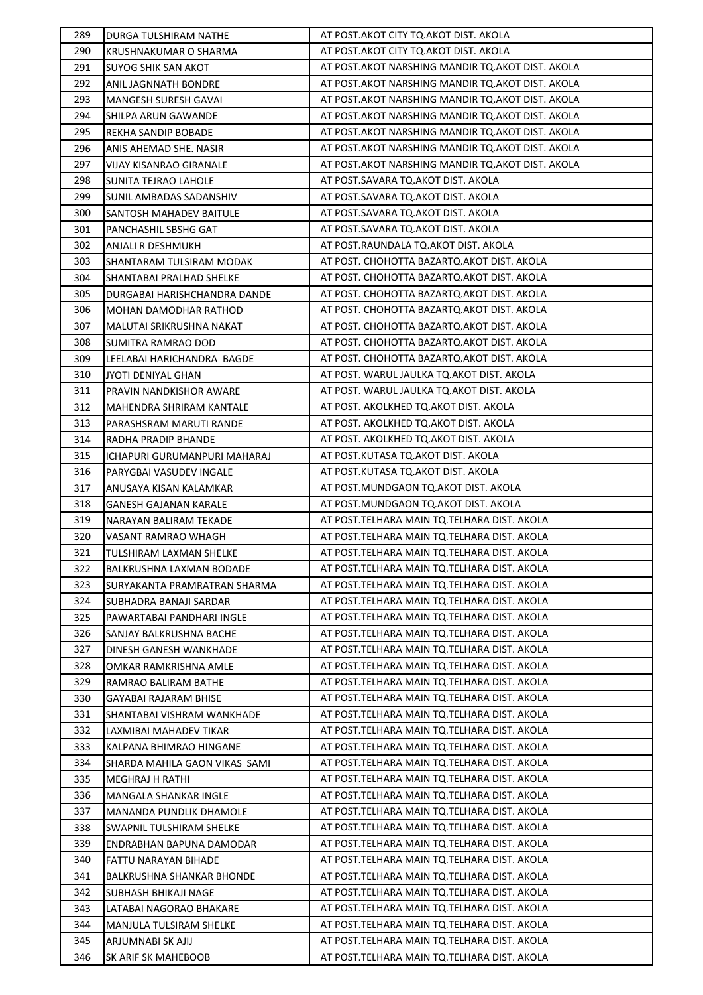| 289 | DURGA TULSHIRAM NATHE          | AT POST.AKOT CITY TQ.AKOT DIST. AKOLA              |
|-----|--------------------------------|----------------------------------------------------|
| 290 | KRUSHNAKUMAR O SHARMA          | AT POST.AKOT CITY TQ.AKOT DIST. AKOLA              |
| 291 | SUYOG SHIK SAN AKOT            | AT POST. AKOT NARSHING MANDIR TO. AKOT DIST. AKOLA |
| 292 | ANIL JAGNNATH BONDRE           | AT POST.AKOT NARSHING MANDIR TQ.AKOT DIST. AKOLA   |
| 293 | MANGESH SURESH GAVAI           | AT POST. AKOT NARSHING MANDIR TO. AKOT DIST. AKOLA |
| 294 | SHILPA ARUN GAWANDE            | AT POST.AKOT NARSHING MANDIR TQ.AKOT DIST. AKOLA   |
| 295 | REKHA SANDIP BOBADE            | AT POST.AKOT NARSHING MANDIR TQ.AKOT DIST. AKOLA   |
| 296 | ANIS AHEMAD SHE. NASIR         | AT POST. AKOT NARSHING MANDIR TO. AKOT DIST. AKOLA |
| 297 | VIJAY KISANRAO GIRANALE        | AT POST. AKOT NARSHING MANDIR TO. AKOT DIST. AKOLA |
| 298 | SUNITA TEJRAO LAHOLE           | AT POST.SAVARA TQ.AKOT DIST. AKOLA                 |
| 299 | SUNIL AMBADAS SADANSHIV        | AT POST.SAVARA TQ.AKOT DIST. AKOLA                 |
| 300 | SANTOSH MAHADEV BAITULE        | AT POST.SAVARA TQ.AKOT DIST. AKOLA                 |
| 301 | PANCHASHIL SBSHG GAT           | AT POST.SAVARA TQ.AKOT DIST. AKOLA                 |
| 302 | ANJALI R DESHMUKH              | AT POST.RAUNDALA TQ.AKOT DIST. AKOLA               |
| 303 | SHANTARAM TULSIRAM MODAK       | AT POST. CHOHOTTA BAZARTQ.AKOT DIST. AKOLA         |
| 304 | SHANTABAI PRALHAD SHELKE       | AT POST. CHOHOTTA BAZARTQ.AKOT DIST. AKOLA         |
| 305 | DURGABAI HARISHCHANDRA DANDE   | AT POST. CHOHOTTA BAZARTQ. AKOT DIST. AKOLA        |
| 306 | MOHAN DAMODHAR RATHOD          | AT POST. CHOHOTTA BAZARTQ.AKOT DIST. AKOLA         |
| 307 | MALUTAI SRIKRUSHNA NAKAT       | AT POST. CHOHOTTA BAZARTQ.AKOT DIST. AKOLA         |
| 308 | SUMITRA RAMRAO DOD             | AT POST. CHOHOTTA BAZARTQ. AKOT DIST. AKOLA        |
| 309 | LEELABAI HARICHANDRA BAGDE     | AT POST. CHOHOTTA BAZARTQ.AKOT DIST. AKOLA         |
| 310 | JYOTI DENIYAL GHAN             | AT POST. WARUL JAULKA TQ.AKOT DIST. AKOLA          |
| 311 | PRAVIN NANDKISHOR AWARE        | AT POST. WARUL JAULKA TQ.AKOT DIST. AKOLA          |
| 312 | MAHENDRA SHRIRAM KANTALE       | AT POST. AKOLKHED TQ.AKOT DIST. AKOLA              |
| 313 | PARASHSRAM MARUTI RANDE        | AT POST. AKOLKHED TQ.AKOT DIST. AKOLA              |
| 314 | RADHA PRADIP BHANDE            | AT POST. AKOLKHED TQ.AKOT DIST. AKOLA              |
| 315 | ICHAPURI GURUMANPURI MAHARAJ   | AT POST.KUTASA TQ.AKOT DIST. AKOLA                 |
| 316 | PARYGBAI VASUDEV INGALE        | AT POST.KUTASA TQ.AKOT DIST. AKOLA                 |
| 317 | ANUSAYA KISAN KALAMKAR         | AT POST.MUNDGAON TQ.AKOT DIST. AKOLA               |
|     |                                |                                                    |
| 318 | GANESH GAJANAN KARALE          | AT POST.MUNDGAON TQ.AKOT DIST. AKOLA               |
| 319 | NARAYAN BALIRAM TEKADE         | AT POST. TELHARA MAIN TO. TELHARA DIST. AKOLA      |
| 320 | VASANT RAMRAO WHAGH            | AT POST. TELHARA MAIN TO. TELHARA DIST. AKOLA      |
| 321 | <b>TULSHIRAM LAXMAN SHELKE</b> | AT POST. TELHARA MAIN TO. TELHARA DIST. AKOLA      |
| 322 | BALKRUSHNA LAXMAN BODADE       | AT POST. TELHARA MAIN TO. TELHARA DIST. AKOLA      |
| 323 | SURYAKANTA PRAMRATRAN SHARMA   | AT POST. TELHARA MAIN TO. TELHARA DIST. AKOLA      |
| 324 | SUBHADRA BANAJI SARDAR         | AT POST.TELHARA MAIN TQ.TELHARA DIST. AKOLA        |
| 325 | PAWARTABAI PANDHARI INGLE      | AT POST.TELHARA MAIN TQ.TELHARA DIST. AKOLA        |
| 326 | SANJAY BALKRUSHNA BACHE        | AT POST.TELHARA MAIN TQ.TELHARA DIST. AKOLA        |
| 327 | DINESH GANESH WANKHADE         | AT POST. TELHARA MAIN TO. TELHARA DIST. AKOLA      |
| 328 | OMKAR RAMKRISHNA AMLE          | AT POST. TELHARA MAIN TO. TELHARA DIST. AKOLA      |
| 329 | RAMRAO BALIRAM BATHE           | AT POST. TELHARA MAIN TO. TELHARA DIST. AKOLA      |
| 330 | GAYABAI RAJARAM BHISE          | AT POST.TELHARA MAIN TQ.TELHARA DIST. AKOLA        |
| 331 | SHANTABAI VISHRAM WANKHADE     | AT POST. TELHARA MAIN TQ. TELHARA DIST. AKOLA      |
| 332 | LAXMIBAI MAHADEV TIKAR         | AT POST. TELHARA MAIN TO. TELHARA DIST. AKOLA      |
| 333 | KALPANA BHIMRAO HINGANE        | AT POST.TELHARA MAIN TQ.TELHARA DIST. AKOLA        |
| 334 | SHARDA MAHILA GAON VIKAS SAMI  | AT POST.TELHARA MAIN TQ.TELHARA DIST. AKOLA        |
| 335 | MEGHRAJ H RATHI                | AT POST. TELHARA MAIN TO. TELHARA DIST. AKOLA      |
| 336 | MANGALA SHANKAR INGLE          | AT POST. TELHARA MAIN TO. TELHARA DIST. AKOLA      |
| 337 | MANANDA PUNDLIK DHAMOLE        | AT POST. TELHARA MAIN TO. TELHARA DIST. AKOLA      |
| 338 | SWAPNIL TULSHIRAM SHELKE       | AT POST. TELHARA MAIN TO. TELHARA DIST. AKOLA      |
| 339 | ENDRABHAN BAPUNA DAMODAR       | AT POST. TELHARA MAIN TO. TELHARA DIST. AKOLA      |
| 340 | FATTU NARAYAN BIHADE           | AT POST. TELHARA MAIN TO. TELHARA DIST. AKOLA      |
| 341 | BALKRUSHNA SHANKAR BHONDE      | AT POST.TELHARA MAIN TQ.TELHARA DIST. AKOLA        |
| 342 | SUBHASH BHIKAJI NAGE           | AT POST.TELHARA MAIN TQ.TELHARA DIST. AKOLA        |
| 343 | LATABAI NAGORAO BHAKARE        | AT POST. TELHARA MAIN TO. TELHARA DIST. AKOLA      |
| 344 | MANJULA TULSIRAM SHELKE        | AT POST. TELHARA MAIN TO. TELHARA DIST. AKOLA      |
| 345 | ARJUMNABI SK AJIJ              | AT POST. TELHARA MAIN TO. TELHARA DIST. AKOLA      |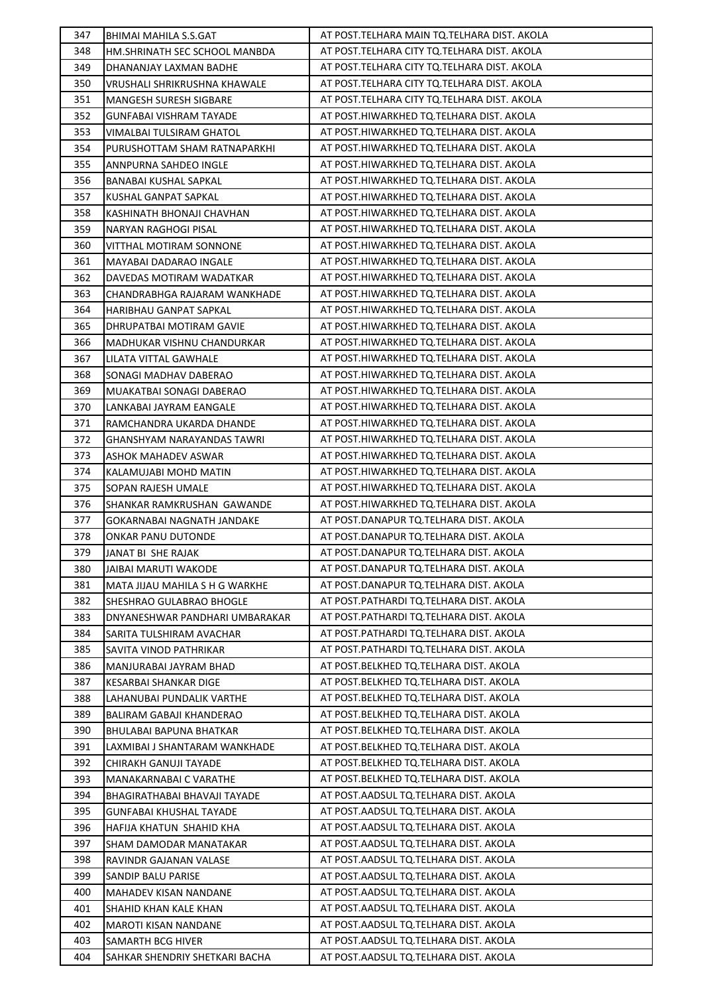| 347 | BHIMAI MAHILA S.S.GAT           | AT POST. TELHARA MAIN TQ. TELHARA DIST. AKOLA |
|-----|---------------------------------|-----------------------------------------------|
| 348 | HM.SHRINATH SEC SCHOOL MANBDA   | AT POST. TELHARA CITY TO. TELHARA DIST. AKOLA |
| 349 | DHANANJAY LAXMAN BADHE          | AT POST. TELHARA CITY TO. TELHARA DIST. AKOLA |
| 350 | VRUSHALI SHRIKRUSHNA KHAWALE    | AT POST. TELHARA CITY TO. TELHARA DIST. AKOLA |
| 351 | <b>MANGESH SURESH SIGBARE</b>   | AT POST. TELHARA CITY TO. TELHARA DIST. AKOLA |
| 352 | <b>GUNFABAI VISHRAM TAYADE</b>  | AT POST.HIWARKHED TQ.TELHARA DIST. AKOLA      |
| 353 | VIMALBAI TULSIRAM GHATOL        | AT POST.HIWARKHED TQ.TELHARA DIST. AKOLA      |
| 354 | PURUSHOTTAM SHAM RATNAPARKHI    | AT POST.HIWARKHED TQ.TELHARA DIST. AKOLA      |
| 355 | ANNPURNA SAHDEO INGLE           | AT POST.HIWARKHED TQ.TELHARA DIST. AKOLA      |
| 356 | BANABAI KUSHAL SAPKAL           | AT POST.HIWARKHED TQ.TELHARA DIST. AKOLA      |
| 357 | KUSHAL GANPAT SAPKAL            | AT POST.HIWARKHED TQ.TELHARA DIST. AKOLA      |
| 358 | KASHINATH BHONAJI CHAVHAN       | AT POST.HIWARKHED TQ.TELHARA DIST. AKOLA      |
| 359 | NARYAN RAGHOGI PISAL            | AT POST.HIWARKHED TQ.TELHARA DIST. AKOLA      |
| 360 | VITTHAL MOTIRAM SONNONE         | AT POST.HIWARKHED TQ.TELHARA DIST. AKOLA      |
| 361 | MAYABAI DADARAO INGALE          | AT POST.HIWARKHED TQ.TELHARA DIST. AKOLA      |
| 362 | DAVEDAS MOTIRAM WADATKAR        | AT POST.HIWARKHED TQ.TELHARA DIST. AKOLA      |
| 363 | CHANDRABHGA RAJARAM WANKHADE    | AT POST.HIWARKHED TQ.TELHARA DIST. AKOLA      |
| 364 | HARIBHAU GANPAT SAPKAL          | AT POST.HIWARKHED TQ.TELHARA DIST. AKOLA      |
| 365 | DHRUPATBAI MOTIRAM GAVIE        | AT POST.HIWARKHED TQ.TELHARA DIST. AKOLA      |
| 366 | MADHUKAR VISHNU CHANDURKAR      | AT POST.HIWARKHED TQ.TELHARA DIST. AKOLA      |
| 367 | LILATA VITTAL GAWHALE           | AT POST.HIWARKHED TQ.TELHARA DIST. AKOLA      |
| 368 | SONAGI MADHAV DABERAO           | AT POST.HIWARKHED TQ.TELHARA DIST. AKOLA      |
| 369 | MUAKATBAI SONAGI DABERAO        | AT POST.HIWARKHED TQ.TELHARA DIST. AKOLA      |
| 370 | LANKABAI JAYRAM EANGALE         | AT POST.HIWARKHED TQ.TELHARA DIST. AKOLA      |
| 371 | RAMCHANDRA UKARDA DHANDE        | AT POST.HIWARKHED TQ.TELHARA DIST. AKOLA      |
| 372 | GHANSHYAM NARAYANDAS TAWRI      | AT POST.HIWARKHED TQ.TELHARA DIST. AKOLA      |
| 373 | ASHOK MAHADEV ASWAR             | AT POST.HIWARKHED TQ.TELHARA DIST. AKOLA      |
| 374 | KALAMUJABI MOHD MATIN           | AT POST.HIWARKHED TQ.TELHARA DIST. AKOLA      |
| 375 | SOPAN RAJESH UMALE              | AT POST.HIWARKHED TQ.TELHARA DIST. AKOLA      |
|     |                                 |                                               |
| 376 | SHANKAR RAMKRUSHAN GAWANDE      | AT POST.HIWARKHED TQ.TELHARA DIST. AKOLA      |
| 377 | GOKARNABAI NAGNATH JANDAKE      | AT POST.DANAPUR TQ.TELHARA DIST. AKOLA        |
| 378 | ONKAR PANU DUTONDE              | AT POST.DANAPUR TQ.TELHARA DIST. AKOLA        |
| 379 | JANAT BI SHE RAJAK              | AT POST.DANAPUR TQ.TELHARA DIST. AKOLA        |
| 380 | JAIBAI MARUTI WAKODE            | AT POST.DANAPUR TQ.TELHARA DIST. AKOLA        |
| 381 | MATA JIJAU MAHILA S H G WARKHE  | AT POST.DANAPUR TQ.TELHARA DIST. AKOLA        |
| 382 | SHESHRAO GULABRAO BHOGLE        | AT POST.PATHARDI TQ.TELHARA DIST. AKOLA       |
| 383 | DNYANESHWAR PANDHARI UMBARAKAR  | AT POST.PATHARDI TQ.TELHARA DIST. AKOLA       |
| 384 | SARITA TULSHIRAM AVACHAR        | AT POST.PATHARDI TQ.TELHARA DIST. AKOLA       |
| 385 | SAVITA VINOD PATHRIKAR          | AT POST.PATHARDI TO.TELHARA DIST. AKOLA       |
| 386 | MANJURABAI JAYRAM BHAD          | AT POST.BELKHED TQ.TELHARA DIST. AKOLA        |
| 387 | <b>KESARBAI SHANKAR DIGE</b>    | AT POST.BELKHED TQ.TELHARA DIST. AKOLA        |
| 388 | LAHANUBAI PUNDALIK VARTHE       | AT POST.BELKHED TQ.TELHARA DIST. AKOLA        |
| 389 | <b>BALIRAM GABAJI KHANDERAO</b> | AT POST.BELKHED TQ.TELHARA DIST. AKOLA        |
| 390 | BHULABAI BAPUNA BHATKAR         | AT POST.BELKHED TQ.TELHARA DIST. AKOLA        |
| 391 | LAXMIBAI J SHANTARAM WANKHADE   | AT POST.BELKHED TQ.TELHARA DIST. AKOLA        |
| 392 | CHIRAKH GANUJI TAYADE           | AT POST.BELKHED TQ.TELHARA DIST. AKOLA        |
| 393 | MANAKARNABAI C VARATHE          | AT POST.BELKHED TQ.TELHARA DIST. AKOLA        |
| 394 | BHAGIRATHABAI BHAVAJI TAYADE    | AT POST. AADSUL TQ. TELHARA DIST. AKOLA       |
| 395 | <b>GUNFABAI KHUSHAL TAYADE</b>  | AT POST.AADSUL TQ.TELHARA DIST. AKOLA         |
| 396 | HAFIJA KHATUN SHAHID KHA        | AT POST.AADSUL TQ.TELHARA DIST. AKOLA         |
| 397 | SHAM DAMODAR MANATAKAR          | AT POST. AADSUL TQ. TELHARA DIST. AKOLA       |
| 398 | RAVINDR GAJANAN VALASE          | AT POST. AADSUL TQ. TELHARA DIST. AKOLA       |
| 399 | SANDIP BALU PARISE              | AT POST.AADSUL TQ.TELHARA DIST. AKOLA         |
| 400 | MAHADEV KISAN NANDANE           | AT POST. AADSUL TQ. TELHARA DIST. AKOLA       |
| 401 | SHAHID KHAN KALE KHAN           | AT POST. AADSUL TQ. TELHARA DIST. AKOLA       |
| 402 | <b>MAROTI KISAN NANDANE</b>     | AT POST. AADSUL TQ. TELHARA DIST. AKOLA       |
| 403 | SAMARTH BCG HIVER               | AT POST.AADSUL TQ.TELHARA DIST. AKOLA         |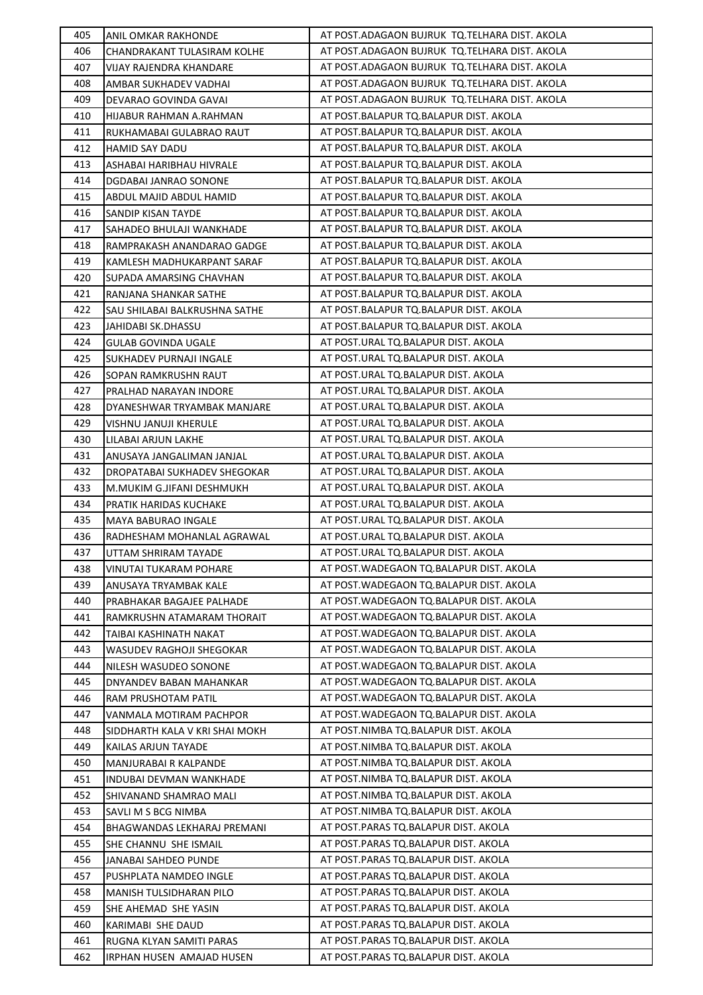| 405        | ANIL OMKAR RAKHONDE                                       | AT POST.ADAGAON BUJRUK TQ.TELHARA DIST. AKOLA                                |
|------------|-----------------------------------------------------------|------------------------------------------------------------------------------|
| 406        | CHANDRAKANT TULASIRAM KOLHE                               | AT POST.ADAGAON BUJRUK TQ.TELHARA DIST. AKOLA                                |
| 407        | VIJAY RAJENDRA KHANDARE                                   | AT POST.ADAGAON BUJRUK TQ.TELHARA DIST. AKOLA                                |
| 408        | AMBAR SUKHADEV VADHAI                                     | AT POST.ADAGAON BUJRUK TQ.TELHARA DIST. AKOLA                                |
| 409        | DEVARAO GOVINDA GAVAI                                     | AT POST.ADAGAON BUJRUK TQ.TELHARA DIST. AKOLA                                |
| 410        | HIJABUR RAHMAN A.RAHMAN                                   | AT POST.BALAPUR TQ.BALAPUR DIST. AKOLA                                       |
| 411        | RUKHAMABAI GULABRAO RAUT                                  | AT POST.BALAPUR TQ.BALAPUR DIST. AKOLA                                       |
| 412        | HAMID SAY DADU                                            | AT POST.BALAPUR TQ.BALAPUR DIST. AKOLA                                       |
| 413        | ASHABAI HARIBHAU HIVRALE                                  | AT POST.BALAPUR TQ.BALAPUR DIST. AKOLA                                       |
| 414        | DGDABAI JANRAO SONONE                                     | AT POST.BALAPUR TQ.BALAPUR DIST. AKOLA                                       |
| 415        | ABDUL MAJID ABDUL HAMID                                   | AT POST.BALAPUR TQ.BALAPUR DIST. AKOLA                                       |
| 416        | SANDIP KISAN TAYDE                                        | AT POST.BALAPUR TQ.BALAPUR DIST. AKOLA                                       |
| 417        | SAHADEO BHULAJI WANKHADE                                  | AT POST.BALAPUR TQ.BALAPUR DIST. AKOLA                                       |
| 418        | RAMPRAKASH ANANDARAO GADGE                                | AT POST.BALAPUR TQ.BALAPUR DIST. AKOLA                                       |
| 419        | KAMLESH MADHUKARPANT SARAF                                | AT POST.BALAPUR TQ.BALAPUR DIST. AKOLA                                       |
| 420        | SUPADA AMARSING CHAVHAN                                   | AT POST.BALAPUR TQ.BALAPUR DIST. AKOLA                                       |
| 421        | RANJANA SHANKAR SATHE                                     | AT POST.BALAPUR TQ.BALAPUR DIST. AKOLA                                       |
| 422        | SAU SHILABAI BALKRUSHNA SATHE                             | AT POST.BALAPUR TQ.BALAPUR DIST. AKOLA                                       |
| 423        | JAHIDABI SK.DHASSU                                        | AT POST.BALAPUR TQ.BALAPUR DIST. AKOLA                                       |
| 424        | <b>GULAB GOVINDA UGALE</b>                                | AT POST.URAL TQ.BALAPUR DIST. AKOLA                                          |
| 425        | SUKHADEV PURNAJI INGALE                                   | AT POST.URAL TQ.BALAPUR DIST. AKOLA                                          |
| 426        | SOPAN RAMKRUSHN RAUT                                      | AT POST.URAL TQ.BALAPUR DIST. AKOLA                                          |
| 427        | PRALHAD NARAYAN INDORE                                    | AT POST.URAL TQ.BALAPUR DIST. AKOLA                                          |
| 428        | DYANESHWAR TRYAMBAK MANJARE                               | AT POST.URAL TQ.BALAPUR DIST. AKOLA                                          |
| 429        | VISHNU JANUJI KHERULE                                     | AT POST.URAL TQ.BALAPUR DIST. AKOLA                                          |
| 430        | LILABAI ARJUN LAKHE                                       | AT POST.URAL TQ.BALAPUR DIST. AKOLA                                          |
| 431        | ANUSAYA JANGALIMAN JANJAL                                 | AT POST.URAL TQ.BALAPUR DIST. AKOLA                                          |
| 432        | DROPATABAI SUKHADEV SHEGOKAR                              | AT POST.URAL TQ.BALAPUR DIST. AKOLA                                          |
| 433        | M.MUKIM G.JIFANI DESHMUKH                                 | AT POST.URAL TQ.BALAPUR DIST. AKOLA                                          |
| 434        | PRATIK HARIDAS KUCHAKE                                    | AT POST.URAL TQ.BALAPUR DIST. AKOLA                                          |
| 435        | MAYA BABURAO INGALE                                       | AT POST.URAL TQ.BALAPUR DIST. AKOLA                                          |
| 436        | RADHESHAM MOHANLAL AGRAWAL                                | AT POST.URAL TQ.BALAPUR DIST. AKOLA                                          |
| 437        | UTTAM SHRIRAM TAYADE                                      | AT POST.URAL TQ.BALAPUR DIST. AKOLA                                          |
| 438        | <b>VINUTAI TUKARAM POHARE</b>                             | AT POST.WADEGAON TQ.BALAPUR DIST. AKOLA                                      |
| 439        | ANUSAYA TRYAMBAK KALE                                     | AT POST. WADEGAON TO. BALAPUR DIST. AKOLA                                    |
| 440        | PRABHAKAR BAGAJEE PALHADE                                 | AT POST.WADEGAON TQ.BALAPUR DIST. AKOLA                                      |
| 441        | RAMKRUSHN ATAMARAM THORAIT                                | AT POST.WADEGAON TQ.BALAPUR DIST. AKOLA                                      |
| 442        | TAIBAI KASHINATH NAKAT                                    | AT POST. WADEGAON TO. BALAPUR DIST. AKOLA                                    |
| 443        | WASUDEV RAGHOJI SHEGOKAR                                  | AT POST.WADEGAON TQ.BALAPUR DIST. AKOLA                                      |
| 444        | NILESH WASUDEO SONONE                                     | AT POST. WADEGAON TO. BALAPUR DIST. AKOLA                                    |
| 445        |                                                           | AT POST.WADEGAON TQ.BALAPUR DIST. AKOLA                                      |
| 446        | DNYANDEV BABAN MAHANKAR<br>RAM PRUSHOTAM PATIL            | AT POST. WADEGAON TO. BALAPUR DIST. AKOLA                                    |
| 447        |                                                           | AT POST.WADEGAON TQ.BALAPUR DIST. AKOLA                                      |
| 448        | VANMALA MOTIRAM PACHPOR<br>SIDDHARTH KALA V KRI SHAI MOKH | AT POST.NIMBA TQ.BALAPUR DIST. AKOLA                                         |
|            |                                                           |                                                                              |
| 449<br>450 | KAILAS ARJUN TAYADE<br>MANJURABAI R KALPANDE              | AT POST.NIMBA TQ.BALAPUR DIST. AKOLA<br>AT POST.NIMBA TQ.BALAPUR DIST. AKOLA |
|            |                                                           |                                                                              |
| 451        | INDUBAI DEVMAN WANKHADE                                   | AT POST.NIMBA TQ.BALAPUR DIST. AKOLA<br>AT POST.NIMBA TQ.BALAPUR DIST. AKOLA |
| 452<br>453 | SHIVANAND SHAMRAO MALI                                    | AT POST.NIMBA TQ.BALAPUR DIST. AKOLA                                         |
|            | SAVLI M S BCG NIMBA                                       | AT POST.PARAS TQ.BALAPUR DIST. AKOLA                                         |
| 454        | BHAGWANDAS LEKHARAJ PREMANI                               |                                                                              |
| 455        | SHE CHANNU SHE ISMAIL                                     | AT POST.PARAS TQ.BALAPUR DIST. AKOLA                                         |
| 456        | JANABAI SAHDEO PUNDE                                      | AT POST.PARAS TQ.BALAPUR DIST. AKOLA                                         |
| 457        | PUSHPLATA NAMDEO INGLE                                    | AT POST.PARAS TQ.BALAPUR DIST. AKOLA                                         |
| 458        | MANISH TULSIDHARAN PILO                                   | AT POST.PARAS TQ.BALAPUR DIST. AKOLA                                         |
| 459        | SHE AHEMAD SHE YASIN                                      | AT POST.PARAS TQ.BALAPUR DIST. AKOLA                                         |
| 460        | KARIMABI SHE DAUD                                         | AT POST.PARAS TQ.BALAPUR DIST. AKOLA                                         |
| 461        | RUGNA KLYAN SAMITI PARAS                                  | AT POST.PARAS TQ.BALAPUR DIST. AKOLA                                         |
| 462        | IRPHAN HUSEN AMAJAD HUSEN                                 | AT POST.PARAS TQ.BALAPUR DIST. AKOLA                                         |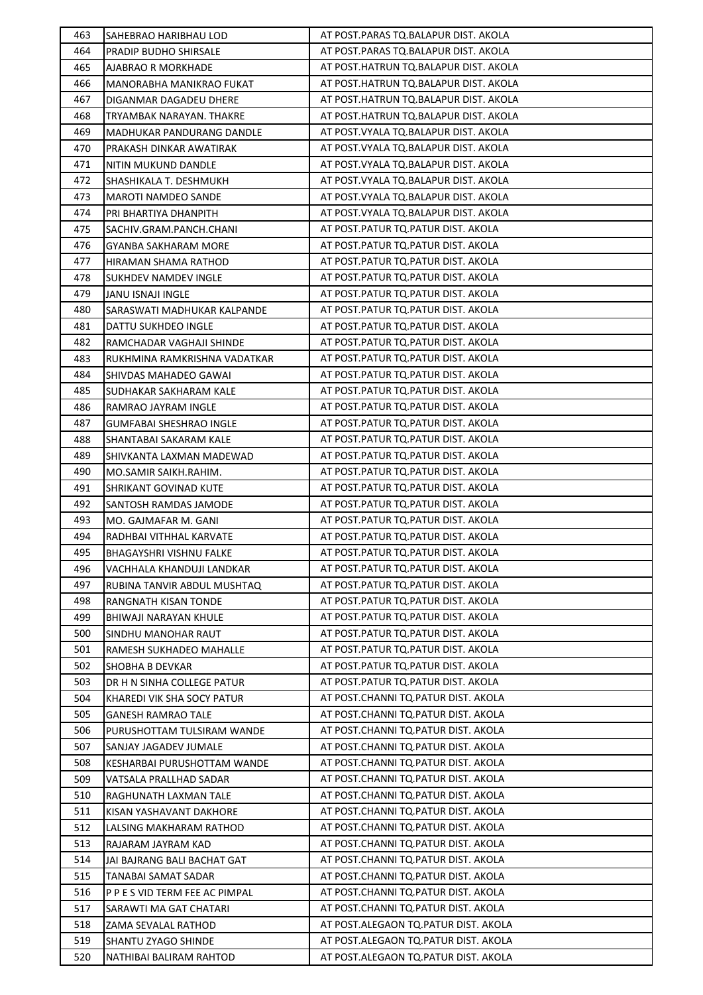| 463 | SAHEBRAO HARIBHAU LOD          | AT POST.PARAS TQ.BALAPUR DIST. AKOLA                                        |
|-----|--------------------------------|-----------------------------------------------------------------------------|
| 464 | PRADIP BUDHO SHIRSALE          | AT POST. PARAS TO. BALAPUR DIST. AKOLA                                      |
| 465 | <b>AJABRAO R MORKHADE</b>      | AT POST.HATRUN TQ.BALAPUR DIST. AKOLA                                       |
| 466 | MANORABHA MANIKRAO FUKAT       | AT POST.HATRUN TQ.BALAPUR DIST. AKOLA                                       |
| 467 | DIGANMAR DAGADEU DHERE         | AT POST.HATRUN TQ.BALAPUR DIST. AKOLA                                       |
| 468 | TRYAMBAK NARAYAN. THAKRE       | AT POST.HATRUN TQ.BALAPUR DIST. AKOLA                                       |
| 469 | MADHUKAR PANDURANG DANDLE      | AT POST. VYALA TQ. BALAPUR DIST. AKOLA                                      |
| 470 | PRAKASH DINKAR AWATIRAK        | AT POST.VYALA TQ.BALAPUR DIST. AKOLA                                        |
| 471 | NITIN MUKUND DANDLE            | AT POST. VYALA TQ. BALAPUR DIST. AKOLA                                      |
| 472 | SHASHIKALA T. DESHMUKH         | AT POST. VYALA TQ. BALAPUR DIST. AKOLA                                      |
| 473 | <b>MAROTI NAMDEO SANDE</b>     | AT POST. VYALA TQ. BALAPUR DIST. AKOLA                                      |
| 474 | PRI BHARTIYA DHANPITH          | AT POST. VYALA TQ. BALAPUR DIST. AKOLA                                      |
| 475 | SACHIV.GRAM.PANCH.CHANI        | AT POST. PATUR TQ. PATUR DIST. AKOLA                                        |
| 476 | <b>GYANBA SAKHARAM MORE</b>    | AT POST.PATUR TQ.PATUR DIST. AKOLA                                          |
| 477 | HIRAMAN SHAMA RATHOD           | AT POST. PATUR TQ. PATUR DIST. AKOLA                                        |
| 478 | <b>SUKHDEV NAMDEV INGLE</b>    | AT POST. PATUR TO. PATUR DIST. AKOLA                                        |
| 479 | <b>JANU ISNAJI INGLE</b>       | AT POST. PATUR TQ. PATUR DIST. AKOLA                                        |
| 480 | SARASWATI MADHUKAR KALPANDE    | AT POST.PATUR TQ.PATUR DIST. AKOLA                                          |
| 481 | DATTU SUKHDEO INGLE            | AT POST.PATUR TQ.PATUR DIST. AKOLA                                          |
| 482 | RAMCHADAR VAGHAJI SHINDE       | AT POST.PATUR TQ.PATUR DIST. AKOLA                                          |
| 483 | RUKHMINA RAMKRISHNA VADATKAR   | AT POST.PATUR TQ.PATUR DIST. AKOLA                                          |
| 484 | SHIVDAS MAHADEO GAWAI          | AT POST. PATUR TQ. PATUR DIST. AKOLA                                        |
| 485 | SUDHAKAR SAKHARAM KALE         | AT POST. PATUR TQ. PATUR DIST. AKOLA                                        |
| 486 | RAMRAO JAYRAM INGLE            | AT POST. PATUR TQ. PATUR DIST. AKOLA                                        |
| 487 | <b>GUMFABAI SHESHRAO INGLE</b> | AT POST. PATUR TQ. PATUR DIST. AKOLA                                        |
| 488 | SHANTABAI SAKARAM KALE         | AT POST. PATUR TQ. PATUR DIST. AKOLA                                        |
| 489 | SHIVKANTA LAXMAN MADEWAD       | AT POST.PATUR TQ.PATUR DIST. AKOLA                                          |
| 490 | MO.SAMIR SAIKH.RAHIM.          | AT POST. PATUR TQ. PATUR DIST. AKOLA                                        |
| 491 | SHRIKANT GOVINAD KUTE          | AT POST. PATUR TQ. PATUR DIST. AKOLA                                        |
| 492 | SANTOSH RAMDAS JAMODE          | AT POST. PATUR TQ. PATUR DIST. AKOLA                                        |
| 493 | MO. GAJMAFAR M. GANI           | AT POST.PATUR TQ.PATUR DIST. AKOLA                                          |
| 494 | RADHBAI VITHHAL KARVATE        | AT POST. PATUR TQ. PATUR DIST. AKOLA                                        |
| 495 | <b>BHAGAYSHRI VISHNU FALKE</b> | AT POST. PATUR TQ. PATUR DIST. AKOLA                                        |
| 496 | VACHHALA KHANDUJI LANDKAR      | AT POST. PATUR TQ. PATUR DIST. AKOLA                                        |
| 497 | RUBINA TANVIR ABDUL MUSHTAQ    | AT POST. PATUR TO. PATUR DIST. AKOLA                                        |
| 498 | RANGNATH KISAN TONDE           | AT POST. PATUR TQ. PATUR DIST. AKOLA                                        |
| 499 | BHIWAJI NARAYAN KHULE          | AT POST. PATUR TO. PATUR DIST. AKOLA                                        |
| 500 | SINDHU MANOHAR RAUT            | AT POST.PATUR TQ.PATUR DIST. AKOLA                                          |
| 501 | RAMESH SUKHADEO MAHALLE        | AT POST.PATUR TQ.PATUR DIST. AKOLA                                          |
| 502 | SHOBHA B DEVKAR                | AT POST.PATUR TQ.PATUR DIST. AKOLA                                          |
| 503 | DR H N SINHA COLLEGE PATUR     | AT POST. PATUR TQ. PATUR DIST. AKOLA                                        |
| 504 | KHAREDI VIK SHA SOCY PATUR     | AT POST.CHANNI TQ.PATUR DIST. AKOLA                                         |
| 505 | <b>GANESH RAMRAO TALE</b>      | AT POST.CHANNI TQ.PATUR DIST. AKOLA                                         |
| 506 | PURUSHOTTAM TULSIRAM WANDE     | AT POST.CHANNI TQ.PATUR DIST. AKOLA                                         |
| 507 | SANJAY JAGADEV JUMALE          | AT POST.CHANNI TQ.PATUR DIST. AKOLA                                         |
| 508 | KESHARBAI PURUSHOTTAM WANDE    | AT POST.CHANNI TQ.PATUR DIST. AKOLA                                         |
| 509 | VATSALA PRALLHAD SADAR         | AT POST.CHANNI TQ.PATUR DIST. AKOLA                                         |
| 510 | RAGHUNATH LAXMAN TALE          | AT POST.CHANNI TQ.PATUR DIST. AKOLA                                         |
| 511 | KISAN YASHAVANT DAKHORE        | AT POST.CHANNI TQ.PATUR DIST. AKOLA                                         |
| 512 | LALSING MAKHARAM RATHOD        | AT POST.CHANNI TQ.PATUR DIST. AKOLA                                         |
| 513 | RAJARAM JAYRAM KAD             | AT POST.CHANNI TQ.PATUR DIST. AKOLA                                         |
| 514 | JAI BAJRANG BALI BACHAT GAT    | AT POST.CHANNI TQ.PATUR DIST. AKOLA                                         |
| 515 | TANABAI SAMAT SADAR            | AT POST.CHANNI TQ.PATUR DIST. AKOLA                                         |
| 516 | P P E S VID TERM FEE AC PIMPAL | AT POST.CHANNI TQ.PATUR DIST. AKOLA                                         |
| 517 | SARAWTI MA GAT CHATARI         | AT POST.CHANNI TQ.PATUR DIST. AKOLA<br>AT POST.ALEGAON TO.PATUR DIST. AKOLA |
| 518 | ZAMA SEVALAL RATHOD            |                                                                             |
| 519 | SHANTU ZYAGO SHINDE            | AT POST.ALEGAON TO.PATUR DIST. AKOLA                                        |
| 520 | NATHIBAI BALIRAM RAHTOD        | AT POST.ALEGAON TQ.PATUR DIST. AKOLA                                        |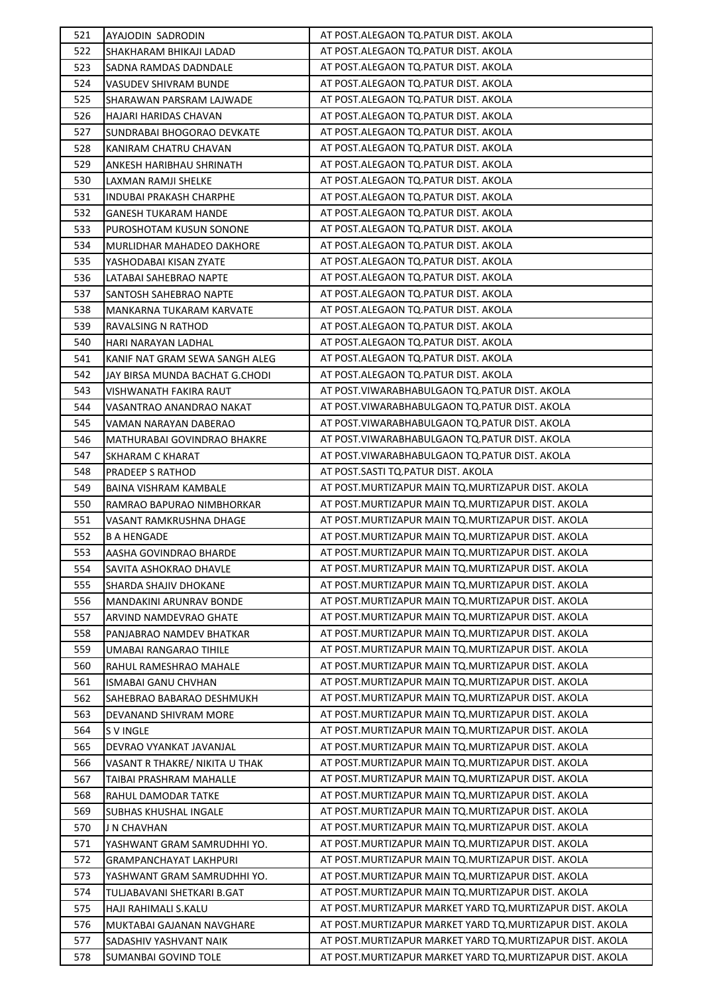| 521        | AYAJODIN SADRODIN                                         | AT POST.ALEGAON TQ.PATUR DIST. AKOLA                                                                                     |
|------------|-----------------------------------------------------------|--------------------------------------------------------------------------------------------------------------------------|
| 522        | SHAKHARAM BHIKAJI LADAD                                   | AT POST.ALEGAON TO.PATUR DIST. AKOLA                                                                                     |
| 523        | SADNA RAMDAS DADNDALE                                     | AT POST.ALEGAON TO.PATUR DIST. AKOLA                                                                                     |
| 524        | VASUDEV SHIVRAM BUNDE                                     | AT POST.ALEGAON TQ.PATUR DIST. AKOLA                                                                                     |
| 525        | SHARAWAN PARSRAM LAJWADE                                  | AT POST.ALEGAON TO.PATUR DIST. AKOLA                                                                                     |
| 526        | HAJARI HARIDAS CHAVAN                                     | AT POST.ALEGAON TO.PATUR DIST. AKOLA                                                                                     |
| 527        | SUNDRABAI BHOGORAO DEVKATE                                | AT POST.ALEGAON TQ.PATUR DIST. AKOLA                                                                                     |
| 528        | KANIRAM CHATRU CHAVAN                                     | AT POST.ALEGAON TQ.PATUR DIST. AKOLA                                                                                     |
| 529        | ANKESH HARIBHAU SHRINATH                                  | AT POST.ALEGAON TO.PATUR DIST. AKOLA                                                                                     |
| 530        | LAXMAN RAMJI SHELKE                                       | AT POST.ALEGAON TQ.PATUR DIST. AKOLA                                                                                     |
| 531        | INDUBAI PRAKASH CHARPHE                                   | AT POST.ALEGAON TO.PATUR DIST. AKOLA                                                                                     |
| 532        | <b>GANESH TUKARAM HANDE</b>                               | AT POST.ALEGAON TQ.PATUR DIST. AKOLA                                                                                     |
| 533        | PUROSHOTAM KUSUN SONONE                                   | AT POST.ALEGAON TO.PATUR DIST. AKOLA                                                                                     |
| 534        | MURLIDHAR MAHADEO DAKHORE                                 | AT POST.ALEGAON TQ.PATUR DIST. AKOLA                                                                                     |
| 535        | YASHODABAI KISAN ZYATE                                    | AT POST.ALEGAON TO.PATUR DIST. AKOLA                                                                                     |
| 536        | LATABAI SAHEBRAO NAPTE                                    | AT POST.ALEGAON TO.PATUR DIST. AKOLA                                                                                     |
| 537        | SANTOSH SAHEBRAO NAPTE                                    | AT POST.ALEGAON TQ.PATUR DIST. AKOLA                                                                                     |
| 538        | MANKARNA TUKARAM KARVATE                                  | AT POST.ALEGAON TQ.PATUR DIST. AKOLA                                                                                     |
| 539        | RAVALSING N RATHOD                                        | AT POST.ALEGAON TO.PATUR DIST. AKOLA                                                                                     |
| 540        | HARI NARAYAN LADHAL                                       | AT POST.ALEGAON TQ.PATUR DIST. AKOLA                                                                                     |
| 541        | KANIF NAT GRAM SEWA SANGH ALEG                            | AT POST.ALEGAON TQ.PATUR DIST. AKOLA                                                                                     |
| 542        | JAY BIRSA MUNDA BACHAT G.CHODI                            | AT POST.ALEGAON TQ.PATUR DIST. AKOLA                                                                                     |
| 543        | VISHWANATH FAKIRA RAUT                                    | AT POST. VIWARABHABULGAON TO. PATUR DIST. AKOLA                                                                          |
| 544        | VASANTRAO ANANDRAO NAKAT                                  | AT POST. VIWARABHABULGAON TO. PATUR DIST. AKOLA                                                                          |
| 545        | VAMAN NARAYAN DABERAO                                     | AT POST. VIWARABHABULGAON TO. PATUR DIST. AKOLA                                                                          |
| 546        | MATHURABAI GOVINDRAO BHAKRE                               | AT POST. VIWARABHABULGAON TQ. PATUR DIST. AKOLA                                                                          |
| 547        | SKHARAM C KHARAT                                          | AT POST. VIWARABHABULGAON TO. PATUR DIST. AKOLA                                                                          |
| 548        | PRADEEP S RATHOD                                          | AT POST.SASTI TQ.PATUR DIST. AKOLA                                                                                       |
| 549        | BAINA VISHRAM KAMBALE                                     | AT POST. MURTIZAPUR MAIN TQ. MURTIZAPUR DIST. AKOLA                                                                      |
| 550        | RAMRAO BAPURAO NIMBHORKAR                                 | AT POST. MURTIZAPUR MAIN TQ. MURTIZAPUR DIST. AKOLA                                                                      |
| 551        | VASANT RAMKRUSHNA DHAGE                                   | AT POST. MURTIZAPUR MAIN TO. MURTIZAPUR DIST. AKOLA                                                                      |
| 552        | <b>B A HENGADE</b>                                        | AT POST. MURTIZAPUR MAIN TO. MURTIZAPUR DIST. AKOLA                                                                      |
| 553        | AASHA GOVINDRAO BHARDE                                    | AT POST. MURTIZAPUR MAIN TQ. MURTIZAPUR DIST. AKOLA                                                                      |
| 554        | SAVITA ASHOKRAO DHAVLE                                    | AT POST. MURTIZAPUR MAIN TO. MURTIZAPUR DIST. AKOLA                                                                      |
| 555        | SHARDA SHAJIV DHOKANE                                     | AT POST.MURTIZAPUR MAIN TQ.MURTIZAPUR DIST. AKOLA                                                                        |
| 556        | MANDAKINI ARUNRAV BONDE                                   | AT POST.MURTIZAPUR MAIN TQ.MURTIZAPUR DIST. AKOLA                                                                        |
| 557        | ARVIND NAMDEVRAO GHATE                                    | AT POST.MURTIZAPUR MAIN TQ.MURTIZAPUR DIST. AKOLA                                                                        |
| 558        |                                                           | AT POST. MURTIZAPUR MAIN TQ. MURTIZAPUR DIST. AKOLA                                                                      |
| 559        | PANJABRAO NAMDEV BHATKAR<br>UMABAI RANGARAO TIHILE        | AT POST.MURTIZAPUR MAIN TO.MURTIZAPUR DIST. AKOLA                                                                        |
| 560        |                                                           | AT POST. MURTIZAPUR MAIN TO. MURTIZAPUR DIST. AKOLA                                                                      |
| 561        | RAHUL RAMESHRAO MAHALE<br>ISMABAI GANU CHVHAN             | AT POST.MURTIZAPUR MAIN TQ.MURTIZAPUR DIST. AKOLA                                                                        |
| 562        | SAHEBRAO BABARAO DESHMUKH                                 | AT POST. MURTIZAPUR MAIN TO. MURTIZAPUR DIST. AKOLA                                                                      |
| 563        |                                                           | AT POST.MURTIZAPUR MAIN TQ.MURTIZAPUR DIST. AKOLA                                                                        |
| 564        | DEVANAND SHIVRAM MORE                                     | AT POST. MURTIZAPUR MAIN TQ. MURTIZAPUR DIST. AKOLA                                                                      |
| 565        | S V INGLE                                                 | AT POST. MURTIZAPUR MAIN TQ. MURTIZAPUR DIST. AKOLA                                                                      |
| 566        | DEVRAO VYANKAT JAVANJAL<br>VASANT R THAKRE/ NIKITA U THAK | AT POST.MURTIZAPUR MAIN TQ.MURTIZAPUR DIST. AKOLA                                                                        |
|            |                                                           |                                                                                                                          |
| 567<br>568 | TAIBAI PRASHRAM MAHALLE                                   | AT POST.MURTIZAPUR MAIN TQ.MURTIZAPUR DIST. AKOLA<br>AT POST. MURTIZAPUR MAIN TQ. MURTIZAPUR DIST. AKOLA                 |
| 569        | RAHUL DAMODAR TATKE                                       | AT POST.MURTIZAPUR MAIN TQ.MURTIZAPUR DIST. AKOLA                                                                        |
| 570        | SUBHAS KHUSHAL INGALE                                     | AT POST. MURTIZAPUR MAIN TO. MURTIZAPUR DIST. AKOLA                                                                      |
| 571        | J N CHAVHAN                                               | AT POST.MURTIZAPUR MAIN TQ.MURTIZAPUR DIST. AKOLA                                                                        |
|            | YASHWANT GRAM SAMRUDHHI YO.                               | AT POST.MURTIZAPUR MAIN TQ.MURTIZAPUR DIST. AKOLA                                                                        |
| 572<br>573 | <b>GRAMPANCHAYAT LAKHPURI</b>                             |                                                                                                                          |
|            | YASHWANT GRAM SAMRUDHHI YO.                               | AT POST.MURTIZAPUR MAIN TQ.MURTIZAPUR DIST. AKOLA<br>AT POST.MURTIZAPUR MAIN TQ.MURTIZAPUR DIST. AKOLA                   |
| 574        | TULJABAVANI SHETKARI B.GAT                                |                                                                                                                          |
| 575        | HAJI RAHIMALI S.KALU                                      | AT POST. MURTIZAPUR MARKET YARD TO. MURTIZAPUR DIST. AKOLA<br>AT POST. MURTIZAPUR MARKET YARD TO. MURTIZAPUR DIST. AKOLA |
| 576        | MUKTABAI GAJANAN NAVGHARE                                 | AT POST. MURTIZAPUR MARKET YARD TO. MURTIZAPUR DIST. AKOLA                                                               |
| 577        | SADASHIV YASHVANT NAIK                                    | AT POST. MURTIZAPUR MARKET YARD TO. MURTIZAPUR DIST. AKOLA                                                               |
| 578        | SUMANBAI GOVIND TOLE                                      |                                                                                                                          |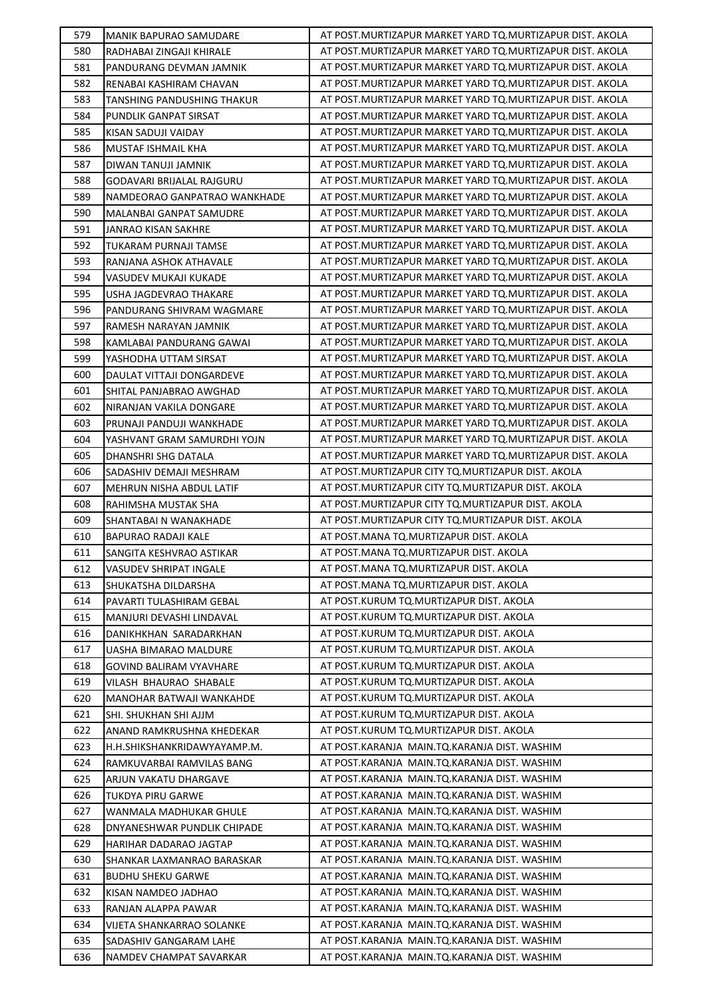| 579        | <b>MANIK BAPURAO SAMUDARE</b>                      | AT POST.MURTIZAPUR MARKET YARD TO.MURTIZAPUR DIST. AKOLA   |
|------------|----------------------------------------------------|------------------------------------------------------------|
| 580        | RADHABAI ZINGAJI KHIRALE                           | AT POST.MURTIZAPUR MARKET YARD TO.MURTIZAPUR DIST. AKOLA   |
| 581        | PANDURANG DEVMAN JAMNIK                            | AT POST.MURTIZAPUR MARKET YARD TO.MURTIZAPUR DIST. AKOLA   |
| 582        | RENABAI KASHIRAM CHAVAN                            | AT POST.MURTIZAPUR MARKET YARD TO.MURTIZAPUR DIST. AKOLA   |
| 583        | <b>TANSHING PANDUSHING THAKUR</b>                  | AT POST. MURTIZAPUR MARKET YARD TO. MURTIZAPUR DIST. AKOLA |
| 584        | PUNDLIK GANPAT SIRSAT                              | AT POST.MURTIZAPUR MARKET YARD TO.MURTIZAPUR DIST. AKOLA   |
| 585        | KISAN SADUJI VAIDAY                                | AT POST. MURTIZAPUR MARKET YARD TQ. MURTIZAPUR DIST. AKOLA |
| 586        | MUSTAF ISHMAIL KHA                                 | AT POST.MURTIZAPUR MARKET YARD TQ.MURTIZAPUR DIST. AKOLA   |
| 587        | DIWAN TANUJI JAMNIK                                | AT POST.MURTIZAPUR MARKET YARD TQ.MURTIZAPUR DIST. AKOLA   |
| 588        | <b>GODAVARI BRIJALAL RAJGURU</b>                   | AT POST.MURTIZAPUR MARKET YARD TO.MURTIZAPUR DIST. AKOLA   |
| 589        | NAMDEORAO GANPATRAO WANKHADE                       | AT POST. MURTIZAPUR MARKET YARD TO. MURTIZAPUR DIST. AKOLA |
| 590        | MALANBAI GANPAT SAMUDRE                            | AT POST.MURTIZAPUR MARKET YARD TO.MURTIZAPUR DIST. AKOLA   |
| 591        | JANRAO KISAN SAKHRE                                | AT POST. MURTIZAPUR MARKET YARD TO. MURTIZAPUR DIST. AKOLA |
| 592        | TUKARAM PURNAJI TAMSE                              | AT POST. MURTIZAPUR MARKET YARD TO. MURTIZAPUR DIST. AKOLA |
| 593        | RANJANA ASHOK ATHAVALE                             | AT POST.MURTIZAPUR MARKET YARD TO.MURTIZAPUR DIST. AKOLA   |
| 594        | VASUDEV MUKAJI KUKADE                              | AT POST.MURTIZAPUR MARKET YARD TQ.MURTIZAPUR DIST. AKOLA   |
| 595        | USHA JAGDEVRAO THAKARE                             | AT POST.MURTIZAPUR MARKET YARD TO.MURTIZAPUR DIST. AKOLA   |
| 596        | PANDURANG SHIVRAM WAGMARE                          | AT POST. MURTIZAPUR MARKET YARD TO. MURTIZAPUR DIST. AKOLA |
| 597        | RAMESH NARAYAN JAMNIK                              | AT POST. MURTIZAPUR MARKET YARD TO. MURTIZAPUR DIST. AKOLA |
| 598        | KAMLABAI PANDURANG GAWAI                           | AT POST. MURTIZAPUR MARKET YARD TO. MURTIZAPUR DIST. AKOLA |
| 599        | YASHODHA UTTAM SIRSAT                              | AT POST. MURTIZAPUR MARKET YARD TO. MURTIZAPUR DIST. AKOLA |
| 600        | DAULAT VITTAJI DONGARDEVE                          | AT POST.MURTIZAPUR MARKET YARD TO.MURTIZAPUR DIST. AKOLA   |
| 601        | SHITAL PANJABRAO AWGHAD                            | AT POST. MURTIZAPUR MARKET YARD TO. MURTIZAPUR DIST. AKOLA |
| 602        | NIRANJAN VAKILA DONGARE                            | AT POST. MURTIZAPUR MARKET YARD TO. MURTIZAPUR DIST. AKOLA |
| 603        | PRUNAJI PANDUJI WANKHADE                           | AT POST.MURTIZAPUR MARKET YARD TO.MURTIZAPUR DIST. AKOLA   |
| 604        | YASHVANT GRAM SAMURDHI YOJN                        | AT POST. MURTIZAPUR MARKET YARD TO. MURTIZAPUR DIST. AKOLA |
| 605        | DHANSHRI SHG DATALA                                | AT POST.MURTIZAPUR MARKET YARD TO.MURTIZAPUR DIST. AKOLA   |
| 606        | SADASHIV DEMAJI MESHRAM                            | AT POST.MURTIZAPUR CITY TQ.MURTIZAPUR DIST. AKOLA          |
| 607        | <b>MEHRUN NISHA ABDUL LATIF</b>                    | AT POST. MURTIZAPUR CITY TO. MURTIZAPUR DIST. AKOLA        |
| 608        | RAHIMSHA MUSTAK SHA                                | AT POST. MURTIZAPUR CITY TQ. MURTIZAPUR DIST. AKOLA        |
| 609        | SHANTABAI N WANAKHADE                              | AT POST. MURTIZAPUR CITY TO. MURTIZAPUR DIST. AKOLA        |
| 610        | BAPURAO RADAJI KALE                                | AT POST.MANA TQ.MURTIZAPUR DIST. AKOLA                     |
| 611        | SANGITA KESHVRAO ASTIKAR                           | AT POST.MANA TQ.MURTIZAPUR DIST. AKOLA                     |
| 612        | VASUDEV SHRIPAT INGALE                             | AT POST.MANA TQ.MURTIZAPUR DIST. AKOLA                     |
| 613        | SHUKATSHA DILDARSHA                                | AT POST.MANA TQ.MURTIZAPUR DIST. AKOLA                     |
| 614        | PAVARTI TULASHIRAM GEBAL                           | AT POST.KURUM TQ.MURTIZAPUR DIST. AKOLA                    |
| 615        | MANJURI DEVASHI LINDAVAL                           | AT POST.KURUM TQ.MURTIZAPUR DIST. AKOLA                    |
| 616        | DANIKHKHAN SARADARKHAN                             | AT POST.KURUM TQ.MURTIZAPUR DIST. AKOLA                    |
| 617        | UASHA BIMARAO MALDURE                              | AT POST.KURUM TQ.MURTIZAPUR DIST. AKOLA                    |
| 618        | <b>GOVIND BALIRAM VYAVHARE</b>                     | AT POST.KURUM TQ.MURTIZAPUR DIST. AKOLA                    |
| 619        |                                                    | AT POST.KURUM TQ.MURTIZAPUR DIST. AKOLA                    |
| 620        | VILASH BHAURAO SHABALE<br>MANOHAR BATWAJI WANKAHDE | AT POST.KURUM TQ.MURTIZAPUR DIST. AKOLA                    |
| 621        | SHI. SHUKHAN SHI AJJM                              | AT POST.KURUM TQ.MURTIZAPUR DIST. AKOLA                    |
| 622        | ANAND RAMKRUSHNA KHEDEKAR                          | AT POST.KURUM TQ.MURTIZAPUR DIST. AKOLA                    |
| 623        | H.H.SHIKSHANKRIDAWYAYAMP.M.                        | AT POST.KARANJA MAIN.TQ.KARANJA DIST. WASHIM               |
| 624        |                                                    | AT POST.KARANJA MAIN.TQ.KARANJA DIST. WASHIM               |
| 625        | RAMKUVARBAI RAMVILAS BANG                          | AT POST.KARANJA MAIN.TQ.KARANJA DIST. WASHIM               |
|            | ARJUN VAKATU DHARGAVE                              | AT POST.KARANJA MAIN.TQ.KARANJA DIST. WASHIM               |
| 626<br>627 | TUKDYA PIRU GARWE<br>WANMALA MADHUKAR GHULE        | AT POST.KARANJA MAIN.TQ.KARANJA DIST. WASHIM               |
| 628        | DNYANESHWAR PUNDLIK CHIPADE                        | AT POST.KARANJA MAIN.TQ.KARANJA DIST. WASHIM               |
| 629        | HARIHAR DADARAO JAGTAP                             | AT POST.KARANJA MAIN.TQ.KARANJA DIST. WASHIM               |
|            |                                                    | AT POST.KARANJA MAIN.TQ.KARANJA DIST. WASHIM               |
| 630        | SHANKAR LAXMANRAO BARASKAR                         | AT POST.KARANJA MAIN.TQ.KARANJA DIST. WASHIM               |
| 631        | <b>BUDHU SHEKU GARWE</b>                           |                                                            |
| 632        | KISAN NAMDEO JADHAO                                | AT POST.KARANJA MAIN.TQ.KARANJA DIST. WASHIM               |
| 633        | RANJAN ALAPPA PAWAR                                | AT POST.KARANJA MAIN.TQ.KARANJA DIST. WASHIM               |
| 634        | VIJETA SHANKARRAO SOLANKE                          | AT POST.KARANJA MAIN.TQ.KARANJA DIST. WASHIM               |
| 635        | SADASHIV GANGARAM LAHE                             | AT POST.KARANJA MAIN.TQ.KARANJA DIST. WASHIM               |
| 636        | NAMDEV CHAMPAT SAVARKAR                            | AT POST.KARANJA MAIN.TQ.KARANJA DIST. WASHIM               |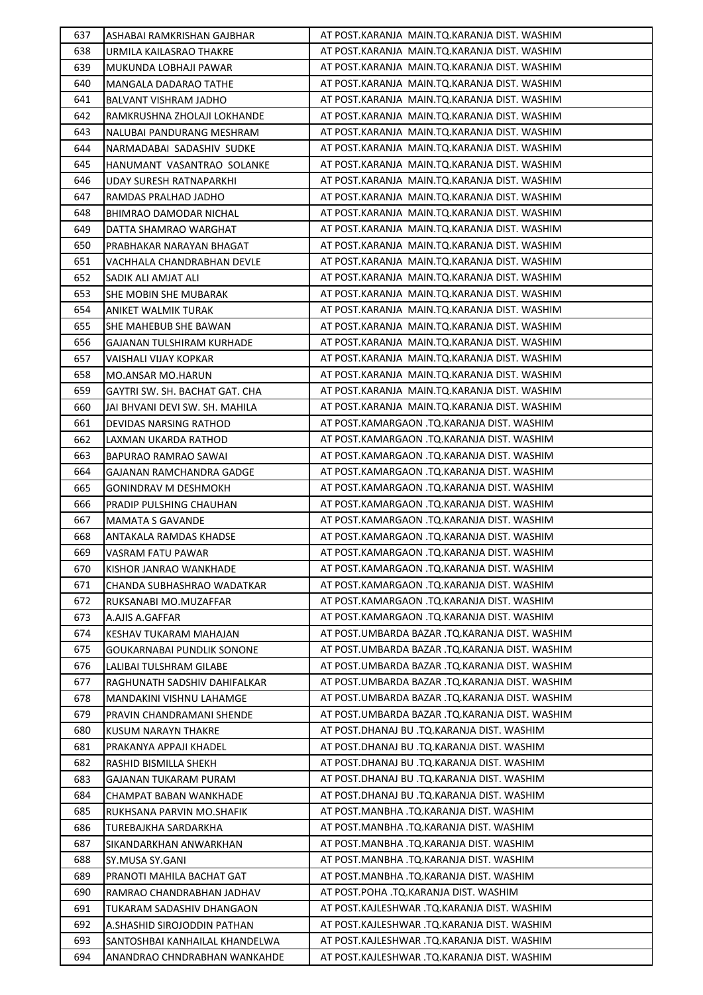| 637 | ASHABAI RAMKRISHAN GAJBHAR     | AT POST.KARANJA MAIN.TQ.KARANJA DIST. WASHIM   |
|-----|--------------------------------|------------------------------------------------|
| 638 | URMILA KAILASRAO THAKRE        | AT POST.KARANJA MAIN.TO.KARANJA DIST. WASHIM   |
| 639 | MUKUNDA LOBHAJI PAWAR          | AT POST.KARANJA MAIN.TQ.KARANJA DIST. WASHIM   |
| 640 | MANGALA DADARAO TATHE          | AT POST.KARANJA MAIN.TQ.KARANJA DIST. WASHIM   |
| 641 | BALVANT VISHRAM JADHO          | AT POST.KARANJA MAIN.TQ.KARANJA DIST. WASHIM   |
| 642 | RAMKRUSHNA ZHOLAJI LOKHANDE    | AT POST.KARANJA MAIN.TQ.KARANJA DIST. WASHIM   |
| 643 | NALUBAI PANDURANG MESHRAM      | AT POST.KARANJA MAIN.TQ.KARANJA DIST. WASHIM   |
| 644 | NARMADABAI SADASHIV SUDKE      | AT POST.KARANJA MAIN.TQ.KARANJA DIST. WASHIM   |
| 645 | HANUMANT VASANTRAO SOLANKE     | AT POST.KARANJA MAIN.TQ.KARANJA DIST. WASHIM   |
| 646 | UDAY SURESH RATNAPARKHI        | AT POST.KARANJA MAIN.TQ.KARANJA DIST. WASHIM   |
| 647 | RAMDAS PRALHAD JADHO           | AT POST.KARANJA MAIN.TQ.KARANJA DIST. WASHIM   |
| 648 | BHIMRAO DAMODAR NICHAL         | AT POST.KARANJA MAIN.TQ.KARANJA DIST. WASHIM   |
| 649 | DATTA SHAMRAO WARGHAT          | AT POST.KARANJA MAIN.TQ.KARANJA DIST. WASHIM   |
| 650 | PRABHAKAR NARAYAN BHAGAT       | AT POST.KARANJA MAIN.TQ.KARANJA DIST. WASHIM   |
| 651 | VACHHALA CHANDRABHAN DEVLE     | AT POST.KARANJA MAIN.TQ.KARANJA DIST. WASHIM   |
| 652 | SADIK ALI AMJAT ALI            | AT POST.KARANJA MAIN.TQ.KARANJA DIST. WASHIM   |
| 653 | SHE MOBIN SHE MUBARAK          | AT POST.KARANJA MAIN.TQ.KARANJA DIST. WASHIM   |
| 654 | ANIKET WALMIK TURAK            | AT POST.KARANJA MAIN.TQ.KARANJA DIST. WASHIM   |
| 655 | SHE MAHEBUB SHE BAWAN          | AT POST.KARANJA MAIN.TQ.KARANJA DIST. WASHIM   |
| 656 | GAJANAN TULSHIRAM KURHADE      | AT POST.KARANJA MAIN.TQ.KARANJA DIST. WASHIM   |
| 657 | VAISHALI VIJAY KOPKAR          | AT POST.KARANJA MAIN.TQ.KARANJA DIST. WASHIM   |
| 658 | MO.ANSAR MO.HARUN              | AT POST.KARANJA MAIN.TQ.KARANJA DIST. WASHIM   |
| 659 | GAYTRI SW. SH. BACHAT GAT. CHA | AT POST.KARANJA MAIN.TQ.KARANJA DIST. WASHIM   |
| 660 | JAI BHVANI DEVI SW. SH. MAHILA | AT POST.KARANJA MAIN.TQ.KARANJA DIST. WASHIM   |
| 661 | DEVIDAS NARSING RATHOD         | AT POST.KAMARGAON .TQ.KARANJA DIST. WASHIM     |
| 662 | LAXMAN UKARDA RATHOD           | AT POST.KAMARGAON .TQ.KARANJA DIST. WASHIM     |
| 663 | BAPURAO RAMRAO SAWAI           | AT POST.KAMARGAON .TQ.KARANJA DIST. WASHIM     |
| 664 | GAJANAN RAMCHANDRA GADGE       | AT POST.KAMARGAON .TQ.KARANJA DIST. WASHIM     |
| 665 | GONINDRAV M DESHMOKH           | AT POST.KAMARGAON .TQ.KARANJA DIST. WASHIM     |
| 666 | PRADIP PULSHING CHAUHAN        | AT POST.KAMARGAON .TQ.KARANJA DIST. WASHIM     |
| 667 | <b>MAMATA S GAVANDE</b>        | AT POST.KAMARGAON .TQ.KARANJA DIST. WASHIM     |
| 668 | ANTAKALA RAMDAS KHADSE         | AT POST.KAMARGAON .TQ.KARANJA DIST. WASHIM     |
| 669 | VASRAM FATU PAWAR              | AT POST.KAMARGAON .TQ.KARANJA DIST. WASHIM     |
| 670 | KISHOR JANRAO WANKHADE         | AT POST.KAMARGAON .TQ.KARANJA DIST. WASHIM     |
| 671 | CHANDA SUBHASHRAO WADATKAR     | AT POST.KAMARGAON .TQ.KARANJA DIST. WASHIM     |
| 672 | RUKSANABI MO.MUZAFFAR          | AT POST.KAMARGAON .TQ.KARANJA DIST. WASHIM     |
| 673 | A.AJIS A.GAFFAR                | AT POST.KAMARGAON .TQ.KARANJA DIST. WASHIM     |
| 674 | KESHAV TUKARAM MAHAJAN         | AT POST.UMBARDA BAZAR .TQ.KARANJA DIST. WASHIM |
| 675 | GOUKARNABAI PUNDLIK SONONE     | AT POST.UMBARDA BAZAR .TQ.KARANJA DIST. WASHIM |
| 676 | LALIBAI TULSHRAM GILABE        | AT POST.UMBARDA BAZAR .TQ.KARANJA DIST. WASHIM |
| 677 | RAGHUNATH SADSHIV DAHIFALKAR   | AT POST.UMBARDA BAZAR .TQ.KARANJA DIST. WASHIM |
| 678 | MANDAKINI VISHNU LAHAMGE       | AT POST.UMBARDA BAZAR .TQ.KARANJA DIST. WASHIM |
| 679 | PRAVIN CHANDRAMANI SHENDE      | AT POST.UMBARDA BAZAR .TQ.KARANJA DIST. WASHIM |
| 680 | KUSUM NARAYN THAKRE            | AT POST.DHANAJ BU .TQ.KARANJA DIST. WASHIM     |
| 681 | PRAKANYA APPAJI KHADEL         | AT POST.DHANAJ BU .TQ.KARANJA DIST. WASHIM     |
| 682 | RASHID BISMILLA SHEKH          | AT POST.DHANAJ BU .TQ.KARANJA DIST. WASHIM     |
| 683 | GAJANAN TUKARAM PURAM          | AT POST.DHANAJ BU .TQ.KARANJA DIST. WASHIM     |
| 684 | CHAMPAT BABAN WANKHADE         | AT POST.DHANAJ BU .TQ.KARANJA DIST. WASHIM     |
| 685 | RUKHSANA PARVIN MO.SHAFIK      | AT POST.MANBHA .TQ.KARANJA DIST. WASHIM        |
| 686 | TUREBAJKHA SARDARKHA           | AT POST.MANBHA .TQ.KARANJA DIST. WASHIM        |
| 687 | SIKANDARKHAN ANWARKHAN         | AT POST.MANBHA .TQ.KARANJA DIST. WASHIM        |
| 688 | SY.MUSA SY.GANI                | AT POST.MANBHA .TQ.KARANJA DIST. WASHIM        |
| 689 | PRANOTI MAHILA BACHAT GAT      | AT POST.MANBHA .TQ.KARANJA DIST. WASHIM        |
| 690 | RAMRAO CHANDRABHAN JADHAV      | AT POST.POHA .TQ.KARANJA DIST. WASHIM          |
| 691 | TUKARAM SADASHIV DHANGAON      | AT POST.KAJLESHWAR .TQ.KARANJA DIST. WASHIM    |
| 692 | A.SHASHID SIROJODDIN PATHAN    | AT POST.KAJLESHWAR .TQ.KARANJA DIST. WASHIM    |
| 693 | SANTOSHBAI KANHAILAL KHANDELWA | AT POST.KAJLESHWAR .TQ.KARANJA DIST. WASHIM    |
| 694 | ANANDRAO CHNDRABHAN WANKAHDE   | AT POST.KAJLESHWAR .TQ.KARANJA DIST. WASHIM    |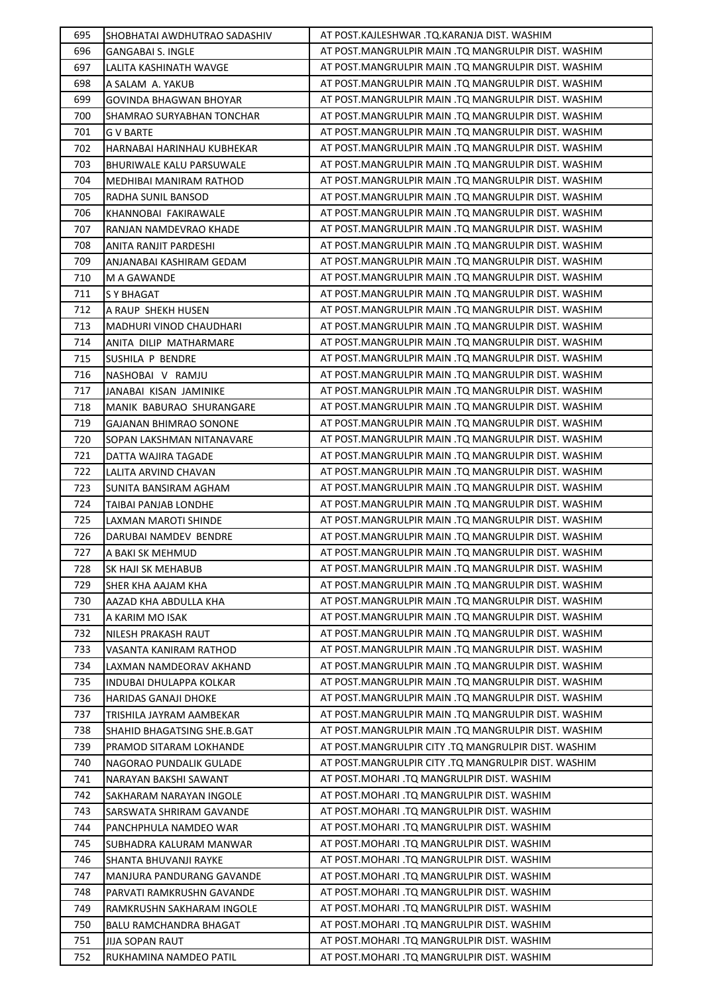| 695 | SHOBHATAI AWDHUTRAO SADASHIV    | AT POST.KAJLESHWAR .TQ.KARANJA DIST. WASHIM         |
|-----|---------------------------------|-----------------------------------------------------|
| 696 | <b>GANGABAI S. INGLE</b>        | AT POST.MANGRULPIR MAIN .TQ MANGRULPIR DIST. WASHIM |
| 697 | LALITA KASHINATH WAVGE          | AT POST.MANGRULPIR MAIN .TQ MANGRULPIR DIST. WASHIM |
| 698 | A SALAM A. YAKUB                | AT POST.MANGRULPIR MAIN .TQ MANGRULPIR DIST. WASHIM |
| 699 | GOVINDA BHAGWAN BHOYAR          | AT POST.MANGRULPIR MAIN .TQ MANGRULPIR DIST. WASHIM |
| 700 | SHAMRAO SURYABHAN TONCHAR       | AT POST.MANGRULPIR MAIN .TO MANGRULPIR DIST. WASHIM |
| 701 | <b>G V BARTE</b>                | AT POST.MANGRULPIR MAIN .TQ MANGRULPIR DIST. WASHIM |
| 702 | HARNABAI HARINHAU KUBHEKAR      | AT POST.MANGRULPIR MAIN .TQ MANGRULPIR DIST. WASHIM |
| 703 | <b>BHURIWALE KALU PARSUWALE</b> | AT POST.MANGRULPIR MAIN .TQ MANGRULPIR DIST. WASHIM |
| 704 | <b>MEDHIBAI MANIRAM RATHOD</b>  | AT POST.MANGRULPIR MAIN .TO MANGRULPIR DIST. WASHIM |
| 705 | RADHA SUNIL BANSOD              | AT POST.MANGRULPIR MAIN .TQ MANGRULPIR DIST. WASHIM |
| 706 | KHANNOBAI FAKIRAWALE            | AT POST.MANGRULPIR MAIN .TQ MANGRULPIR DIST. WASHIM |
| 707 | RANJAN NAMDEVRAO KHADE          | AT POST.MANGRULPIR MAIN .TQ MANGRULPIR DIST. WASHIM |
| 708 | ANITA RANJIT PARDESHI           | AT POST.MANGRULPIR MAIN .TQ MANGRULPIR DIST. WASHIM |
| 709 | ANJANABAI KASHIRAM GEDAM        | AT POST.MANGRULPIR MAIN .TQ MANGRULPIR DIST. WASHIM |
| 710 | M A GAWANDE                     | AT POST.MANGRULPIR MAIN .TQ MANGRULPIR DIST. WASHIM |
| 711 | <b>S Y BHAGAT</b>               | AT POST.MANGRULPIR MAIN .TQ MANGRULPIR DIST. WASHIM |
| 712 | A RAUP SHEKH HUSEN              | AT POST.MANGRULPIR MAIN .TQ MANGRULPIR DIST. WASHIM |
| 713 | MADHURI VINOD CHAUDHARI         | AT POST.MANGRULPIR MAIN .TQ MANGRULPIR DIST. WASHIM |
| 714 | ANITA DILIP MATHARMARE          | AT POST.MANGRULPIR MAIN .TQ MANGRULPIR DIST. WASHIM |
| 715 | SUSHILA P BENDRE                | AT POST.MANGRULPIR MAIN .TQ MANGRULPIR DIST. WASHIM |
| 716 | NASHOBAI V RAMJU                | AT POST.MANGRULPIR MAIN .TQ MANGRULPIR DIST. WASHIM |
| 717 | JANABAI KISAN JAMINIKE          | AT POST.MANGRULPIR MAIN .TQ MANGRULPIR DIST. WASHIM |
| 718 |                                 | AT POST.MANGRULPIR MAIN .TQ MANGRULPIR DIST. WASHIM |
|     | MANIK BABURAO SHURANGARE        |                                                     |
| 719 | <b>GAJANAN BHIMRAO SONONE</b>   | AT POST.MANGRULPIR MAIN .TQ MANGRULPIR DIST. WASHIM |
| 720 | SOPAN LAKSHMAN NITANAVARE       | AT POST.MANGRULPIR MAIN .TQ MANGRULPIR DIST. WASHIM |
| 721 | DATTA WAJIRA TAGADE             | AT POST.MANGRULPIR MAIN .TQ MANGRULPIR DIST. WASHIM |
| 722 | LALITA ARVIND CHAVAN            | AT POST.MANGRULPIR MAIN .TQ MANGRULPIR DIST. WASHIM |
| 723 | SUNITA BANSIRAM AGHAM           | AT POST.MANGRULPIR MAIN .TQ MANGRULPIR DIST. WASHIM |
| 724 | TAIBAI PANJAB LONDHE            | AT POST.MANGRULPIR MAIN .TQ MANGRULPIR DIST. WASHIM |
| 725 | LAXMAN MAROTI SHINDE            | AT POST.MANGRULPIR MAIN .TQ MANGRULPIR DIST. WASHIM |
| 726 | DARUBAI NAMDEV BENDRE           | AT POST.MANGRULPIR MAIN .TQ MANGRULPIR DIST. WASHIM |
| 727 | A BAKI SK MEHMUD                | AT POST.MANGRULPIR MAIN .TQ MANGRULPIR DIST. WASHIM |
| 728 | SK HAJI SK MEHABUB              | AT POST.MANGRULPIR MAIN .TQ MANGRULPIR DIST. WASHIM |
| 729 | SHER KHA AAJAM KHA              | AT POST.MANGRULPIR MAIN .TQ MANGRULPIR DIST. WASHIM |
| 730 | AAZAD KHA ABDULLA KHA           | AT POST.MANGRULPIR MAIN .TQ MANGRULPIR DIST. WASHIM |
| 731 | A KARIM MO ISAK                 | AT POST.MANGRULPIR MAIN .TQ MANGRULPIR DIST. WASHIM |
| 732 | NILESH PRAKASH RAUT             | AT POST.MANGRULPIR MAIN .TQ MANGRULPIR DIST. WASHIM |
| 733 | VASANTA KANIRAM RATHOD          | AT POST.MANGRULPIR MAIN .TQ MANGRULPIR DIST. WASHIM |
| 734 | LAXMAN NAMDEORAV AKHAND         | AT POST.MANGRULPIR MAIN .TQ MANGRULPIR DIST. WASHIM |
| 735 | INDUBAI DHULAPPA KOLKAR         | AT POST.MANGRULPIR MAIN .TQ MANGRULPIR DIST. WASHIM |
| 736 | <b>HARIDAS GANAJI DHOKE</b>     | AT POST.MANGRULPIR MAIN .TQ MANGRULPIR DIST. WASHIM |
| 737 | TRISHILA JAYRAM AAMBEKAR        | AT POST.MANGRULPIR MAIN .TQ MANGRULPIR DIST. WASHIM |
| 738 | SHAHID BHAGATSING SHE.B.GAT     | AT POST.MANGRULPIR MAIN .TQ MANGRULPIR DIST. WASHIM |
| 739 | PRAMOD SITARAM LOKHANDE         | AT POST.MANGRULPIR CITY .TQ MANGRULPIR DIST. WASHIM |
| 740 | NAGORAO PUNDALIK GULADE         | AT POST.MANGRULPIR CITY .TQ MANGRULPIR DIST. WASHIM |
| 741 | NARAYAN BAKSHI SAWANT           | AT POST. MOHARI .TQ MANGRULPIR DIST. WASHIM         |
| 742 | SAKHARAM NARAYAN INGOLE         | AT POST.MOHARI .TQ MANGRULPIR DIST. WASHIM          |
| 743 | SARSWATA SHRIRAM GAVANDE        | AT POST. MOHARI .TQ MANGRULPIR DIST. WASHIM         |
| 744 | PANCHPHULA NAMDEO WAR           | AT POST.MOHARI .TQ MANGRULPIR DIST. WASHIM          |
| 745 | SUBHADRA KALURAM MANWAR         | AT POST.MOHARI .TQ MANGRULPIR DIST. WASHIM          |
| 746 | SHANTA BHUVANJI RAYKE           | AT POST. MOHARI .TQ MANGRULPIR DIST. WASHIM         |
| 747 | MANJURA PANDURANG GAVANDE       | AT POST.MOHARI .TQ MANGRULPIR DIST. WASHIM          |
| 748 | PARVATI RAMKRUSHN GAVANDE       | AT POST.MOHARI .TQ MANGRULPIR DIST. WASHIM          |
| 749 | RAMKRUSHN SAKHARAM INGOLE       | AT POST.MOHARI .TQ MANGRULPIR DIST. WASHIM          |
| 750 | BALU RAMCHANDRA BHAGAT          | AT POST.MOHARI .TQ MANGRULPIR DIST. WASHIM          |
| 751 | JIJA SOPAN RAUT                 | AT POST.MOHARI .TQ MANGRULPIR DIST. WASHIM          |
| 752 | RUKHAMINA NAMDEO PATIL          | AT POST.MOHARI .TQ MANGRULPIR DIST. WASHIM          |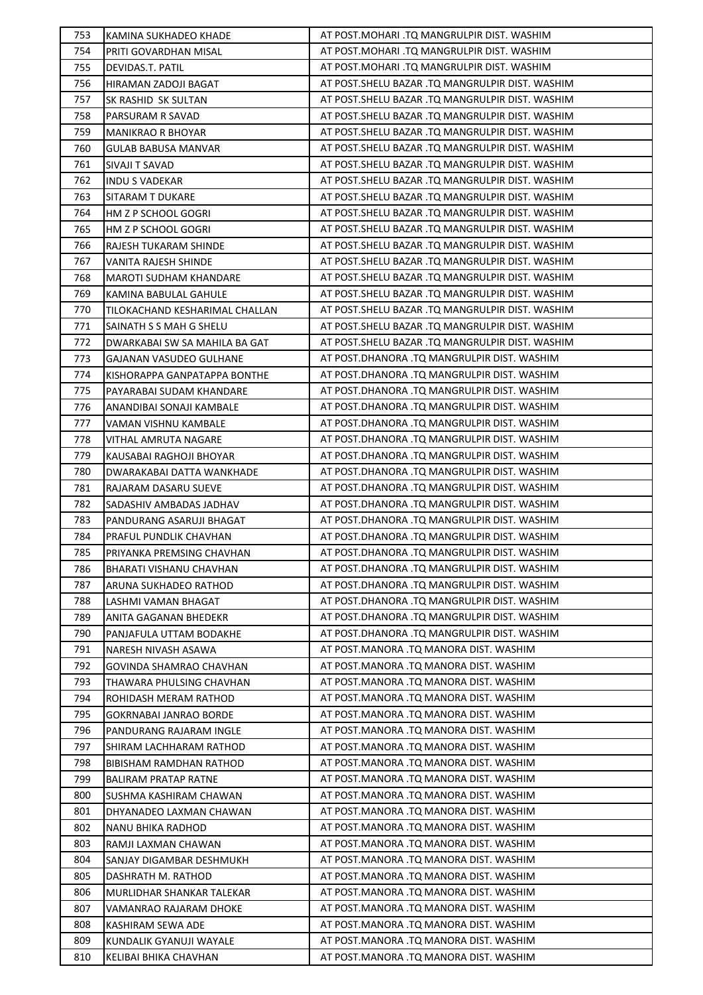| 753 | KAMINA SUKHADEO KHADE          | AT POST. MOHARI .TQ MANGRULPIR DIST. WASHIM      |
|-----|--------------------------------|--------------------------------------------------|
| 754 | PRITI GOVARDHAN MISAL          | AT POST.MOHARI .TQ MANGRULPIR DIST. WASHIM       |
| 755 | DEVIDAS.T. PATIL               | AT POST. MOHARI .TQ MANGRULPIR DIST. WASHIM      |
| 756 | HIRAMAN ZADOJI BAGAT           | AT POST. SHELU BAZAR .TQ MANGRULPIR DIST. WASHIM |
| 757 | SK RASHID SK SULTAN            | AT POST. SHELU BAZAR .TQ MANGRULPIR DIST. WASHIM |
| 758 | PARSURAM R SAVAD               | AT POST. SHELU BAZAR .TQ MANGRULPIR DIST. WASHIM |
| 759 | MANIKRAO R BHOYAR              | AT POST. SHELU BAZAR .TQ MANGRULPIR DIST. WASHIM |
| 760 | GULAB BABUSA MANVAR            | AT POST. SHELU BAZAR .TQ MANGRULPIR DIST. WASHIM |
| 761 | SIVAJI T SAVAD                 | AT POST. SHELU BAZAR .TQ MANGRULPIR DIST. WASHIM |
| 762 | <b>INDU S VADEKAR</b>          | AT POST. SHELU BAZAR .TQ MANGRULPIR DIST. WASHIM |
| 763 | <b>SITARAM T DUKARE</b>        | AT POST. SHELU BAZAR .TQ MANGRULPIR DIST. WASHIM |
| 764 | HM Z P SCHOOL GOGRI            | AT POST. SHELU BAZAR .TQ MANGRULPIR DIST. WASHIM |
| 765 | HM Z P SCHOOL GOGRI            | AT POST. SHELU BAZAR .TQ MANGRULPIR DIST. WASHIM |
| 766 |                                | AT POST. SHELU BAZAR .TQ MANGRULPIR DIST. WASHIM |
| 767 | RAJESH TUKARAM SHINDE          | AT POST. SHELU BAZAR .TQ MANGRULPIR DIST. WASHIM |
|     | VANITA RAJESH SHINDE           |                                                  |
| 768 | MAROTI SUDHAM KHANDARE         | AT POST. SHELU BAZAR .TQ MANGRULPIR DIST. WASHIM |
| 769 | KAMINA BABULAL GAHULE          | AT POST. SHELU BAZAR .TQ MANGRULPIR DIST. WASHIM |
| 770 | TILOKACHAND KESHARIMAL CHALLAN | AT POST. SHELU BAZAR .TQ MANGRULPIR DIST. WASHIM |
| 771 | SAINATH S S MAH G SHELU        | AT POST. SHELU BAZAR .TQ MANGRULPIR DIST. WASHIM |
| 772 | DWARKABAI SW SA MAHILA BA GAT  | AT POST.SHELU BAZAR .TQ MANGRULPIR DIST. WASHIM  |
| 773 | GAJANAN VASUDEO GULHANE        | AT POST.DHANORA .TQ MANGRULPIR DIST. WASHIM      |
| 774 | KISHORAPPA GANPATAPPA BONTHE   | AT POST.DHANORA .TQ MANGRULPIR DIST. WASHIM      |
| 775 | PAYARABAI SUDAM KHANDARE       | AT POST.DHANORA .TQ MANGRULPIR DIST. WASHIM      |
| 776 | ANANDIBAI SONAJI KAMBALE       | AT POST.DHANORA .TQ MANGRULPIR DIST. WASHIM      |
| 777 | VAMAN VISHNU KAMBALE           | AT POST.DHANORA .TQ MANGRULPIR DIST. WASHIM      |
| 778 | VITHAL AMRUTA NAGARE           | AT POST.DHANORA .TQ MANGRULPIR DIST. WASHIM      |
| 779 | KAUSABAI RAGHOJI BHOYAR        | AT POST.DHANORA .TQ MANGRULPIR DIST. WASHIM      |
| 780 | DWARAKABAI DATTA WANKHADE      | AT POST.DHANORA .TQ MANGRULPIR DIST. WASHIM      |
| 781 | RAJARAM DASARU SUEVE           | AT POST.DHANORA .TQ MANGRULPIR DIST. WASHIM      |
| 782 | SADASHIV AMBADAS JADHAV        | AT POST.DHANORA .TQ MANGRULPIR DIST. WASHIM      |
| 783 | PANDURANG ASARUJI BHAGAT       | AT POST.DHANORA .TQ MANGRULPIR DIST. WASHIM      |
| 784 | PRAFUL PUNDLIK CHAVHAN         | AT POST.DHANORA .TQ MANGRULPIR DIST. WASHIM      |
| 785 | PRIYANKA PREMSING CHAVHAN      | AT POST.DHANORA .TQ MANGRULPIR DIST. WASHIM      |
| 786 | BHARATI VISHANU CHAVHAN        | AT POST.DHANORA .TQ MANGRULPIR DIST. WASHIM      |
| 787 | ARUNA SUKHADEO RATHOD          | AT POST.DHANORA .TQ MANGRULPIR DIST. WASHIM      |
| 788 | LASHMI VAMAN BHAGAT            | AT POST.DHANORA .TQ MANGRULPIR DIST. WASHIM      |
| 789 | ANITA GAGANAN BHEDEKR          | AT POST.DHANORA .TQ MANGRULPIR DIST. WASHIM      |
| 790 | PANJAFULA UTTAM BODAKHE        | AT POST.DHANORA .TQ MANGRULPIR DIST. WASHIM      |
| 791 | NARESH NIVASH ASAWA            | AT POST.MANORA .TQ MANORA DIST. WASHIM           |
| 792 | GOVINDA SHAMRAO CHAVHAN        | AT POST.MANORA .TQ MANORA DIST. WASHIM           |
| 793 | THAWARA PHULSING CHAVHAN       | AT POST.MANORA .TQ MANORA DIST. WASHIM           |
| 794 | ROHIDASH MERAM RATHOD          | AT POST.MANORA .TQ MANORA DIST. WASHIM           |
| 795 | GOKRNABAI JANRAO BORDE         | AT POST.MANORA .TQ MANORA DIST. WASHIM           |
| 796 | PANDURANG RAJARAM INGLE        | AT POST.MANORA .TQ MANORA DIST. WASHIM           |
| 797 | SHIRAM LACHHARAM RATHOD        | AT POST.MANORA .TQ MANORA DIST. WASHIM           |
| 798 | BIBISHAM RAMDHAN RATHOD        | AT POST.MANORA .TQ MANORA DIST. WASHIM           |
| 799 | <b>BALIRAM PRATAP RATNE</b>    | AT POST.MANORA .TQ MANORA DIST. WASHIM           |
| 800 | SUSHMA KASHIRAM CHAWAN         | AT POST.MANORA .TQ MANORA DIST. WASHIM           |
| 801 |                                | AT POST.MANORA .TQ MANORA DIST. WASHIM           |
| 802 | DHYANADEO LAXMAN CHAWAN        | AT POST.MANORA .TQ MANORA DIST. WASHIM           |
|     | NANU BHIKA RADHOD              |                                                  |
| 803 | RAMJI LAXMAN CHAWAN            | AT POST.MANORA .TQ MANORA DIST. WASHIM           |
| 804 | SANJAY DIGAMBAR DESHMUKH       | AT POST.MANORA .TQ MANORA DIST. WASHIM           |
| 805 | DASHRATH M. RATHOD             | AT POST.MANORA .TQ MANORA DIST. WASHIM           |
| 806 | MURLIDHAR SHANKAR TALEKAR      | AT POST.MANORA .TQ MANORA DIST. WASHIM           |
| 807 | VAMANRAO RAJARAM DHOKE         | AT POST.MANORA .TQ MANORA DIST. WASHIM           |
| 808 | KASHIRAM SEWA ADE              | AT POST.MANORA .TQ MANORA DIST. WASHIM           |
| 809 | KUNDALIK GYANUJI WAYALE        | AT POST.MANORA .TQ MANORA DIST. WASHIM           |
| 810 | KELIBAI BHIKA CHAVHAN          | AT POST.MANORA .TQ MANORA DIST. WASHIM           |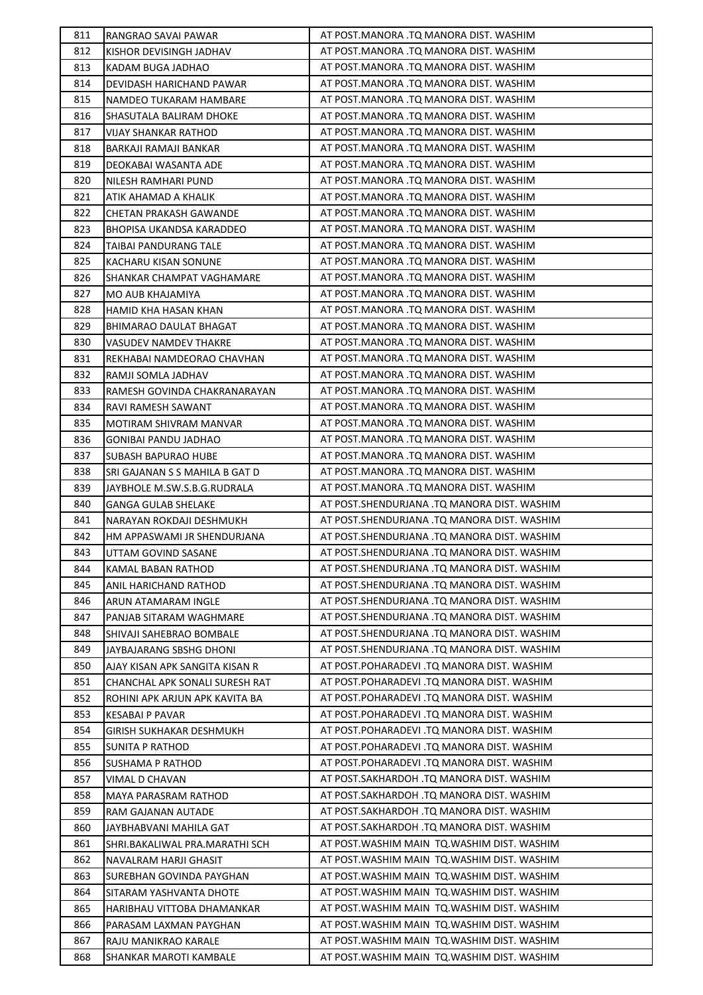| 811 | RANGRAO SAVAI PAWAR             | AT POST.MANORA .TQ MANORA DIST. WASHIM       |
|-----|---------------------------------|----------------------------------------------|
| 812 | KISHOR DEVISINGH JADHAV         | AT POST.MANORA .TQ MANORA DIST. WASHIM       |
| 813 | KADAM BUGA JADHAO               | AT POST.MANORA .TQ MANORA DIST. WASHIM       |
| 814 | DEVIDASH HARICHAND PAWAR        | AT POST.MANORA .TQ MANORA DIST. WASHIM       |
| 815 | NAMDEO TUKARAM HAMBARE          | AT POST.MANORA .TQ MANORA DIST. WASHIM       |
| 816 | SHASUTALA BALIRAM DHOKE         | AT POST.MANORA .TQ MANORA DIST. WASHIM       |
| 817 | VIJAY SHANKAR RATHOD            | AT POST.MANORA .TQ MANORA DIST. WASHIM       |
| 818 | BARKAJI RAMAJI BANKAR           | AT POST.MANORA .TQ MANORA DIST. WASHIM       |
| 819 | DEOKABAI WASANTA ADE            | AT POST.MANORA .TQ MANORA DIST. WASHIM       |
| 820 | NILESH RAMHARI PUND             | AT POST.MANORA .TQ MANORA DIST. WASHIM       |
| 821 | ATIK AHAMAD A KHALIK            | AT POST.MANORA .TQ MANORA DIST. WASHIM       |
| 822 | CHETAN PRAKASH GAWANDE          | AT POST.MANORA .TQ MANORA DIST. WASHIM       |
| 823 | <b>BHOPISA UKANDSA KARADDEO</b> | AT POST.MANORA .TQ MANORA DIST. WASHIM       |
| 824 | TAIBAI PANDURANG TALE           | AT POST.MANORA .TQ MANORA DIST. WASHIM       |
| 825 | KACHARU KISAN SONUNE            | AT POST.MANORA .TQ MANORA DIST. WASHIM       |
| 826 | SHANKAR CHAMPAT VAGHAMARE       | AT POST.MANORA .TQ MANORA DIST. WASHIM       |
| 827 | MO AUB KHAJAMIYA                | AT POST.MANORA .TQ MANORA DIST. WASHIM       |
| 828 | HAMID KHA HASAN KHAN            | AT POST.MANORA .TQ MANORA DIST. WASHIM       |
| 829 | BHIMARAO DAULAT BHAGAT          | AT POST.MANORA .TQ MANORA DIST. WASHIM       |
| 830 | <b>VASUDEV NAMDEV THAKRE</b>    | AT POST.MANORA .TQ MANORA DIST. WASHIM       |
| 831 | REKHABAI NAMDEORAO CHAVHAN      | AT POST.MANORA .TQ MANORA DIST. WASHIM       |
| 832 | RAMJI SOMLA JADHAV              | AT POST.MANORA .TQ MANORA DIST. WASHIM       |
| 833 | RAMESH GOVINDA CHAKRANARAYAN    | AT POST.MANORA .TQ MANORA DIST. WASHIM       |
| 834 | RAVI RAMESH SAWANT              | AT POST.MANORA .TQ MANORA DIST. WASHIM       |
| 835 | MOTIRAM SHIVRAM MANVAR          | AT POST.MANORA .TQ MANORA DIST. WASHIM       |
| 836 | GONIBAI PANDU JADHAO            | AT POST.MANORA .TQ MANORA DIST. WASHIM       |
| 837 | <b>SUBASH BAPURAO HUBE</b>      | AT POST.MANORA .TQ MANORA DIST. WASHIM       |
| 838 | SRI GAJANAN S S MAHILA B GAT D  | AT POST.MANORA .TQ MANORA DIST. WASHIM       |
| 839 | JAYBHOLE M.SW.S.B.G.RUDRALA     | AT POST.MANORA .TQ MANORA DIST. WASHIM       |
| 840 | <b>GANGA GULAB SHELAKE</b>      | AT POST.SHENDURJANA .TQ MANORA DIST. WASHIM  |
| 841 | NARAYAN ROKDAJI DESHMUKH        | AT POST.SHENDURJANA .TQ MANORA DIST. WASHIM  |
| 842 | HM APPASWAMI JR SHENDURJANA     | AT POST. SHENDURJANA .TQ MANORA DIST. WASHIM |
| 843 | UTTAM GOVIND SASANE             | AT POST. SHENDURJANA .TQ MANORA DIST. WASHIM |
| 844 | <b>KAMAL BABAN RATHOD</b>       | AT POST.SHENDURJANA .TQ MANORA DIST. WASHIM  |
| 845 | ANIL HARICHAND RATHOD           | AT POST.SHENDURJANA .TQ MANORA DIST. WASHIM  |
| 846 | ARUN ATAMARAM INGLE             | AT POST.SHENDURJANA .TQ MANORA DIST. WASHIM  |
| 847 | PANJAB SITARAM WAGHMARE         | AT POST.SHENDURJANA .TQ MANORA DIST. WASHIM  |
| 848 | SHIVAJI SAHEBRAO BOMBALE        | AT POST.SHENDURJANA .TQ MANORA DIST. WASHIM  |
| 849 | JAYBAJARANG SBSHG DHONI         | AT POST.SHENDURJANA .TQ MANORA DIST. WASHIM  |
| 850 | AJAY KISAN APK SANGITA KISAN R  | AT POST.POHARADEVI .TO MANORA DIST. WASHIM   |
| 851 | CHANCHAL APK SONALI SURESH RAT  | AT POST.POHARADEVI .TO MANORA DIST. WASHIM   |
| 852 | ROHINI APK ARJUN APK KAVITA BA  | AT POST.POHARADEVI .TQ MANORA DIST. WASHIM   |
| 853 | <b>KESABAI P PAVAR</b>          | AT POST.POHARADEVI .TQ MANORA DIST. WASHIM   |
| 854 | GIRISH SUKHAKAR DESHMUKH        | AT POST.POHARADEVI .TQ MANORA DIST. WASHIM   |
| 855 | SUNITA P RATHOD                 | AT POST.POHARADEVI .TQ MANORA DIST. WASHIM   |
| 856 | <b>SUSHAMA P RATHOD</b>         | AT POST.POHARADEVI .TQ MANORA DIST. WASHIM   |
| 857 | VIMAL D CHAVAN                  | AT POST.SAKHARDOH .TQ MANORA DIST. WASHIM    |
| 858 | <b>MAYA PARASRAM RATHOD</b>     | AT POST.SAKHARDOH .TQ MANORA DIST. WASHIM    |
| 859 | RAM GAJANAN AUTADE              | AT POST.SAKHARDOH .TQ MANORA DIST. WASHIM    |
| 860 | JAYBHABVANI MAHILA GAT          | AT POST.SAKHARDOH .TQ MANORA DIST. WASHIM    |
| 861 | SHRI.BAKALIWAL PRA.MARATHI SCH  | AT POST. WASHIM MAIN TO. WASHIM DIST. WASHIM |
| 862 | NAVALRAM HARJI GHASIT           | AT POST. WASHIM MAIN TO. WASHIM DIST. WASHIM |
| 863 | SUREBHAN GOVINDA PAYGHAN        | AT POST. WASHIM MAIN TO. WASHIM DIST. WASHIM |
| 864 | SITARAM YASHVANTA DHOTE         | AT POST. WASHIM MAIN TO. WASHIM DIST. WASHIM |
| 865 | HARIBHAU VITTOBA DHAMANKAR      | AT POST. WASHIM MAIN TO. WASHIM DIST. WASHIM |
| 866 | PARASAM LAXMAN PAYGHAN          | AT POST. WASHIM MAIN TO. WASHIM DIST. WASHIM |
| 867 | RAJU MANIKRAO KARALE            | AT POST. WASHIM MAIN TO. WASHIM DIST. WASHIM |
| 868 | SHANKAR MAROTI KAMBALE          | AT POST. WASHIM MAIN TO. WASHIM DIST. WASHIM |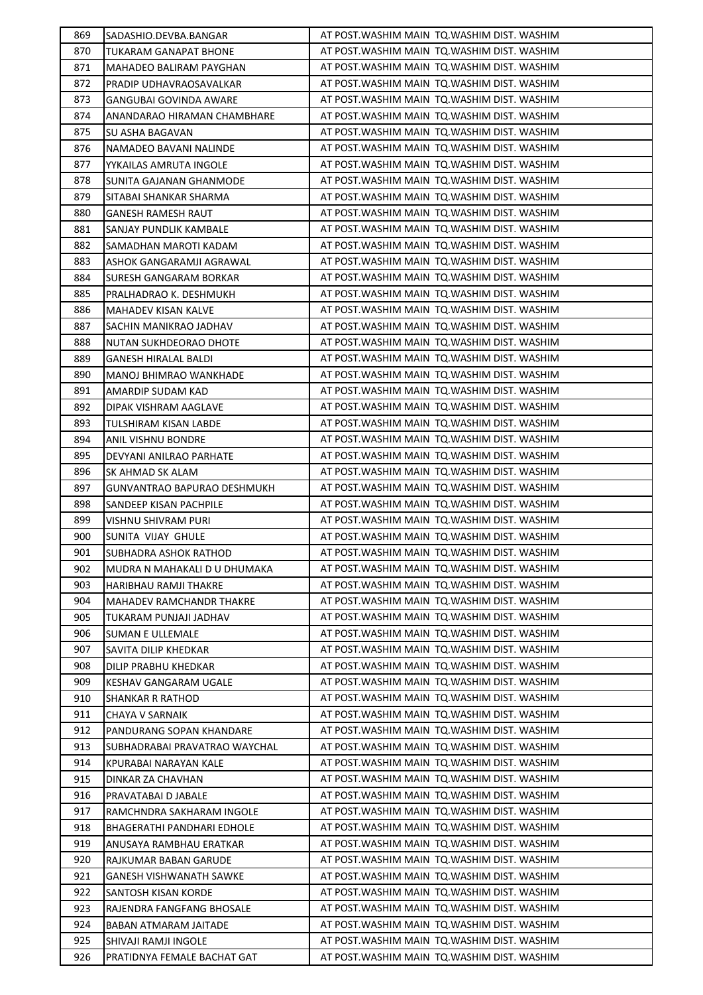| 869 | SADASHIO.DEVBA.BANGAR           | AT POST. WASHIM MAIN TO. WASHIM DIST. WASHIM |
|-----|---------------------------------|----------------------------------------------|
| 870 | TUKARAM GANAPAT BHONE           | AT POST. WASHIM MAIN TO. WASHIM DIST. WASHIM |
| 871 | MAHADEO BALIRAM PAYGHAN         | AT POST. WASHIM MAIN TO. WASHIM DIST. WASHIM |
| 872 | PRADIP UDHAVRAOSAVALKAR         | AT POST. WASHIM MAIN TO. WASHIM DIST. WASHIM |
| 873 | GANGUBAI GOVINDA AWARE          | AT POST. WASHIM MAIN TO. WASHIM DIST. WASHIM |
| 874 | ANANDARAO HIRAMAN CHAMBHARE     | AT POST. WASHIM MAIN TO. WASHIM DIST. WASHIM |
| 875 | SU ASHA BAGAVAN                 | AT POST.WASHIM MAIN TQ.WASHIM DIST. WASHIM   |
| 876 | NAMADEO BAVANI NALINDE          | AT POST. WASHIM MAIN TO. WASHIM DIST. WASHIM |
| 877 | YYKAILAS AMRUTA INGOLE          | AT POST. WASHIM MAIN TO. WASHIM DIST. WASHIM |
| 878 | SUNITA GAJANAN GHANMODE         | AT POST. WASHIM MAIN TO. WASHIM DIST. WASHIM |
| 879 | SITABAI SHANKAR SHARMA          | AT POST. WASHIM MAIN TO. WASHIM DIST. WASHIM |
| 880 | GANESH RAMESH RAUT              | AT POST. WASHIM MAIN TO. WASHIM DIST. WASHIM |
| 881 | SANJAY PUNDLIK KAMBALE          | AT POST.WASHIM MAIN TQ.WASHIM DIST. WASHIM   |
| 882 | SAMADHAN MAROTI KADAM           | AT POST. WASHIM MAIN TO. WASHIM DIST. WASHIM |
| 883 | ASHOK GANGARAMJI AGRAWAL        | AT POST.WASHIM MAIN TQ.WASHIM DIST. WASHIM   |
| 884 | SURESH GANGARAM BORKAR          | AT POST. WASHIM MAIN TQ. WASHIM DIST. WASHIM |
| 885 | PRALHADRAO K. DESHMUKH          | AT POST. WASHIM MAIN TO. WASHIM DIST. WASHIM |
| 886 | MAHADEV KISAN KALVE             | AT POST. WASHIM MAIN TO. WASHIM DIST. WASHIM |
| 887 | SACHIN MANIKRAO JADHAV          | AT POST. WASHIM MAIN TO. WASHIM DIST. WASHIM |
| 888 | NUTAN SUKHDEORAO DHOTE          | AT POST. WASHIM MAIN TO. WASHIM DIST. WASHIM |
| 889 | GANESH HIRALAL BALDI            | AT POST. WASHIM MAIN TO. WASHIM DIST. WASHIM |
| 890 | MANOJ BHIMRAO WANKHADE          | AT POST.WASHIM MAIN TQ.WASHIM DIST. WASHIM   |
| 891 | AMARDIP SUDAM KAD               | AT POST.WASHIM MAIN TQ.WASHIM DIST. WASHIM   |
| 892 | DIPAK VISHRAM AAGLAVE           | AT POST. WASHIM MAIN TO. WASHIM DIST. WASHIM |
| 893 | TULSHIRAM KISAN LABDE           | AT POST. WASHIM MAIN TO. WASHIM DIST. WASHIM |
| 894 | ANIL VISHNU BONDRE              | AT POST. WASHIM MAIN TO. WASHIM DIST. WASHIM |
| 895 | DEVYANI ANILRAO PARHATE         | AT POST. WASHIM MAIN TO. WASHIM DIST. WASHIM |
| 896 | SK AHMAD SK ALAM                | AT POST. WASHIM MAIN TO. WASHIM DIST. WASHIM |
| 897 | GUNVANTRAO BAPURAO DESHMUKH     | AT POST. WASHIM MAIN TO. WASHIM DIST. WASHIM |
| 898 | SANDEEP KISAN PACHPILE          | AT POST. WASHIM MAIN TQ. WASHIM DIST. WASHIM |
| 899 | VISHNU SHIVRAM PURI             | AT POST. WASHIM MAIN TO. WASHIM DIST. WASHIM |
| 900 | SUNITA VIJAY GHULE              | AT POST. WASHIM MAIN TQ. WASHIM DIST. WASHIM |
| 901 | SUBHADRA ASHOK RATHOD           | AT POST. WASHIM MAIN TO. WASHIM DIST. WASHIM |
| 902 | MUDRA N MAHAKALI D U DHUMAKA    | AT POST. WASHIM MAIN TQ. WASHIM DIST. WASHIM |
| 903 | HARIBHAU RAMJI THAKRE           | AT POST. WASHIM MAIN TO. WASHIM DIST. WASHIM |
| 904 | <b>MAHADEV RAMCHANDR THAKRE</b> | AT POST. WASHIM MAIN TO. WASHIM DIST. WASHIM |
| 905 | TUKARAM PUNJAJI JADHAV          | AT POST. WASHIM MAIN TO. WASHIM DIST. WASHIM |
| 906 | <b>SUMAN E ULLEMALE</b>         | AT POST.WASHIM MAIN TQ.WASHIM DIST. WASHIM   |
| 907 | SAVITA DILIP KHEDKAR            | AT POST. WASHIM MAIN TO. WASHIM DIST. WASHIM |
| 908 | <b>DILIP PRABHU KHEDKAR</b>     | AT POST.WASHIM MAIN TQ.WASHIM DIST. WASHIM   |
| 909 | KESHAV GANGARAM UGALE           | AT POST. WASHIM MAIN TQ. WASHIM DIST. WASHIM |
| 910 | <b>SHANKAR R RATHOD</b>         | AT POST. WASHIM MAIN TO. WASHIM DIST. WASHIM |
| 911 | CHAYA V SARNAIK                 | AT POST. WASHIM MAIN TO. WASHIM DIST. WASHIM |
| 912 | PANDURANG SOPAN KHANDARE        | AT POST. WASHIM MAIN TO. WASHIM DIST. WASHIM |
| 913 | SUBHADRABAI PRAVATRAO WAYCHAL   | AT POST. WASHIM MAIN TO. WASHIM DIST. WASHIM |
| 914 | KPURABAI NARAYAN KALE           | AT POST. WASHIM MAIN TO. WASHIM DIST. WASHIM |
| 915 | DINKAR ZA CHAVHAN               | AT POST. WASHIM MAIN TO. WASHIM DIST. WASHIM |
| 916 | PRAVATABAI D JABALE             | AT POST. WASHIM MAIN TO. WASHIM DIST. WASHIM |
| 917 | RAMCHNDRA SAKHARAM INGOLE       | AT POST. WASHIM MAIN TO. WASHIM DIST. WASHIM |
| 918 | BHAGERATHI PANDHARI EDHOLE      | AT POST. WASHIM MAIN TO. WASHIM DIST. WASHIM |
| 919 | ANUSAYA RAMBHAU ERATKAR         | AT POST. WASHIM MAIN TO. WASHIM DIST. WASHIM |
| 920 | RAJKUMAR BABAN GARUDE           | AT POST. WASHIM MAIN TO. WASHIM DIST. WASHIM |
| 921 | GANESH VISHWANATH SAWKE         | AT POST. WASHIM MAIN TQ. WASHIM DIST. WASHIM |
| 922 | SANTOSH KISAN KORDE             | AT POST. WASHIM MAIN TQ. WASHIM DIST. WASHIM |
| 923 | RAJENDRA FANGFANG BHOSALE       | AT POST.WASHIM MAIN TQ.WASHIM DIST. WASHIM   |
| 924 | BABAN ATMARAM JAITADE           | AT POST. WASHIM MAIN TO. WASHIM DIST. WASHIM |
| 925 | SHIVAJI RAMJI INGOLE            | AT POST. WASHIM MAIN TO. WASHIM DIST. WASHIM |
|     | PRATIDNYA FEMALE BACHAT GAT     | AT POST. WASHIM MAIN TO. WASHIM DIST. WASHIM |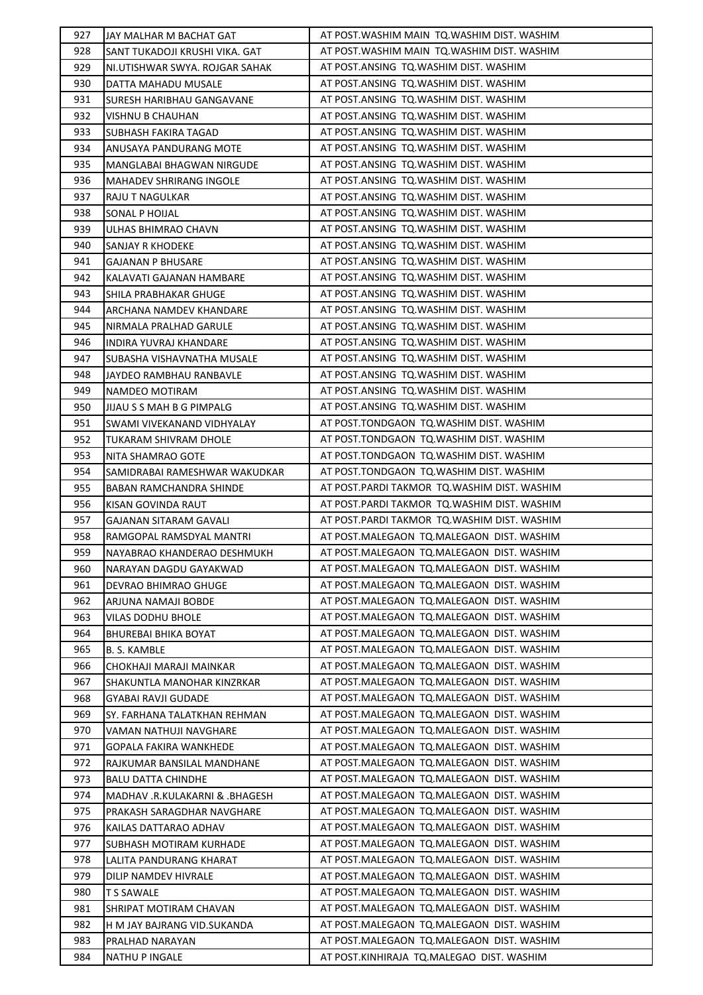| 927        | JAY MALHAR M BACHAT GAT                  | AT POST. WASHIM MAIN TO. WASHIM DIST. WASHIM                                           |
|------------|------------------------------------------|----------------------------------------------------------------------------------------|
| 928        | SANT TUKADOJI KRUSHI VIKA. GAT           | AT POST. WASHIM MAIN TO. WASHIM DIST. WASHIM                                           |
| 929        | NI.UTISHWAR SWYA. ROJGAR SAHAK           | AT POST.ANSING TQ.WASHIM DIST. WASHIM                                                  |
| 930        | DATTA MAHADU MUSALE                      | AT POST.ANSING TQ.WASHIM DIST. WASHIM                                                  |
| 931        | SURESH HARIBHAU GANGAVANE                | AT POST.ANSING TQ.WASHIM DIST. WASHIM                                                  |
| 932        | VISHNU B CHAUHAN                         | AT POST.ANSING TQ.WASHIM DIST. WASHIM                                                  |
| 933        | SUBHASH FAKIRA TAGAD                     | AT POST.ANSING TQ.WASHIM DIST. WASHIM                                                  |
| 934        | ANUSAYA PANDURANG MOTE                   | AT POST.ANSING TQ.WASHIM DIST. WASHIM                                                  |
| 935        | MANGLABAI BHAGWAN NIRGUDE                | AT POST.ANSING TQ.WASHIM DIST. WASHIM                                                  |
| 936        | <b>MAHADEV SHRIRANG INGOLE</b>           | AT POST.ANSING TQ.WASHIM DIST. WASHIM                                                  |
| 937        | RAJU T NAGULKAR                          | AT POST.ANSING TQ.WASHIM DIST. WASHIM                                                  |
| 938        | SONAL P HOIJAL                           | AT POST.ANSING TQ.WASHIM DIST. WASHIM                                                  |
| 939        | ULHAS BHIMRAO CHAVN                      | AT POST.ANSING TQ.WASHIM DIST. WASHIM                                                  |
| 940        | SANJAY R KHODEKE                         | AT POST.ANSING TQ.WASHIM DIST. WASHIM                                                  |
| 941        | GAJANAN P BHUSARE                        | AT POST.ANSING TQ.WASHIM DIST. WASHIM                                                  |
| 942        | KALAVATI GAJANAN HAMBARE                 | AT POST.ANSING TQ.WASHIM DIST. WASHIM                                                  |
| 943        | SHILA PRABHAKAR GHUGE                    | AT POST.ANSING TQ.WASHIM DIST. WASHIM                                                  |
| 944        | ARCHANA NAMDEV KHANDARE                  | AT POST.ANSING TQ.WASHIM DIST. WASHIM                                                  |
| 945        | NIRMALA PRALHAD GARULE                   | AT POST.ANSING TQ.WASHIM DIST. WASHIM                                                  |
| 946        | INDIRA YUVRAJ KHANDARE                   | AT POST.ANSING TQ.WASHIM DIST. WASHIM                                                  |
| 947        | SUBASHA VISHAVNATHA MUSALE               | AT POST.ANSING TQ.WASHIM DIST. WASHIM                                                  |
| 948        | JAYDEO RAMBHAU RANBAVLE                  | AT POST.ANSING TQ.WASHIM DIST. WASHIM                                                  |
| 949        | NAMDEO MOTIRAM                           | AT POST.ANSING TQ.WASHIM DIST. WASHIM                                                  |
| 950        | JIJAU S S MAH B G PIMPALG                | AT POST.ANSING TQ.WASHIM DIST. WASHIM                                                  |
| 951        | SWAMI VIVEKANAND VIDHYALAY               | AT POST.TONDGAON TQ.WASHIM DIST. WASHIM                                                |
| 952        | TUKARAM SHIVRAM DHOLE                    | AT POST.TONDGAON TQ.WASHIM DIST. WASHIM                                                |
| 953        | NITA SHAMRAO GOTE                        | AT POST.TONDGAON TQ.WASHIM DIST. WASHIM                                                |
| 954        | SAMIDRABAI RAMESHWAR WAKUDKAR            | AT POST.TONDGAON TQ.WASHIM DIST. WASHIM                                                |
| 955        | BABAN RAMCHANDRA SHINDE                  | AT POST. PARDI TAKMOR TQ. WASHIM DIST. WASHIM                                          |
| 956        | KISAN GOVINDA RAUT                       | AT POST. PARDI TAKMOR TQ. WASHIM DIST. WASHIM                                          |
| 957        | <b>GAJANAN SITARAM GAVALI</b>            | AT POST. PARDI TAKMOR TQ. WASHIM DIST. WASHIM                                          |
| 958        | RAMGOPAL RAMSDYAL MANTRI                 | AT POST.MALEGAON TQ.MALEGAON DIST. WASHIM                                              |
| 959        | NAYABRAO KHANDERAO DESHMUKH              | AT POST.MALEGAON TQ.MALEGAON DIST. WASHIM                                              |
| 960        | NARAYAN DAGDU GAYAKWAD                   | AT POST.MALEGAON TO.MALEGAON DIST. WASHIM                                              |
| 961        |                                          |                                                                                        |
|            |                                          |                                                                                        |
|            | DEVRAO BHIMRAO GHUGE                     | AT POST.MALEGAON TQ.MALEGAON DIST. WASHIM                                              |
| 962        | ARJUNA NAMAJI BOBDE                      | AT POST.MALEGAON TQ.MALEGAON DIST. WASHIM                                              |
| 963        | VILAS DODHU BHOLE                        | AT POST.MALEGAON TQ.MALEGAON DIST. WASHIM                                              |
| 964        | BHUREBAI BHIKA BOYAT                     | AT POST.MALEGAON TQ.MALEGAON DIST. WASHIM                                              |
| 965        | <b>B. S. KAMBLE</b>                      | AT POST.MALEGAON TQ.MALEGAON DIST. WASHIM                                              |
| 966        | CHOKHAJI MARAJI MAINKAR                  | AT POST.MALEGAON TQ.MALEGAON DIST. WASHIM                                              |
| 967        | SHAKUNTLA MANOHAR KINZRKAR               | AT POST.MALEGAON TQ.MALEGAON DIST. WASHIM                                              |
| 968        | GYABAI RAVJI GUDADE                      | AT POST.MALEGAON TQ.MALEGAON DIST. WASHIM                                              |
| 969        | SY. FARHANA TALATKHAN REHMAN             | AT POST.MALEGAON TQ.MALEGAON DIST. WASHIM                                              |
| 970        | VAMAN NATHUJI NAVGHARE                   | AT POST.MALEGAON TQ.MALEGAON DIST. WASHIM                                              |
| 971        | GOPALA FAKIRA WANKHEDE                   | AT POST.MALEGAON TQ.MALEGAON DIST. WASHIM                                              |
| 972        | RAJKUMAR BANSILAL MANDHANE               | AT POST.MALEGAON TQ.MALEGAON DIST. WASHIM                                              |
| 973        | <b>BALU DATTA CHINDHE</b>                | AT POST.MALEGAON TQ.MALEGAON DIST. WASHIM                                              |
| 974        | MADHAV .R.KULAKARNI & .BHAGESH           | AT POST.MALEGAON TQ.MALEGAON DIST. WASHIM                                              |
| 975        | PRAKASH SARAGDHAR NAVGHARE               | AT POST.MALEGAON TQ.MALEGAON DIST. WASHIM                                              |
| 976        | KAILAS DATTARAO ADHAV                    | AT POST.MALEGAON TQ.MALEGAON DIST. WASHIM                                              |
| 977        | SUBHASH MOTIRAM KURHADE                  | AT POST.MALEGAON TQ.MALEGAON DIST. WASHIM                                              |
| 978        | LALITA PANDURANG KHARAT                  | AT POST.MALEGAON TQ.MALEGAON DIST. WASHIM                                              |
| 979        | DILIP NAMDEV HIVRALE                     | AT POST.MALEGAON TQ.MALEGAON DIST. WASHIM                                              |
| 980        | T S SAWALE                               | AT POST.MALEGAON TQ.MALEGAON DIST. WASHIM                                              |
| 981        | SHRIPAT MOTIRAM CHAVAN                   | AT POST.MALEGAON TQ.MALEGAON DIST. WASHIM                                              |
| 982        | H M JAY BAJRANG VID.SUKANDA              | AT POST.MALEGAON TQ.MALEGAON DIST. WASHIM                                              |
| 983<br>984 | PRALHAD NARAYAN<br><b>NATHU P INGALE</b> | AT POST.MALEGAON TQ.MALEGAON DIST. WASHIM<br>AT POST.KINHIRAJA TQ.MALEGAO DIST. WASHIM |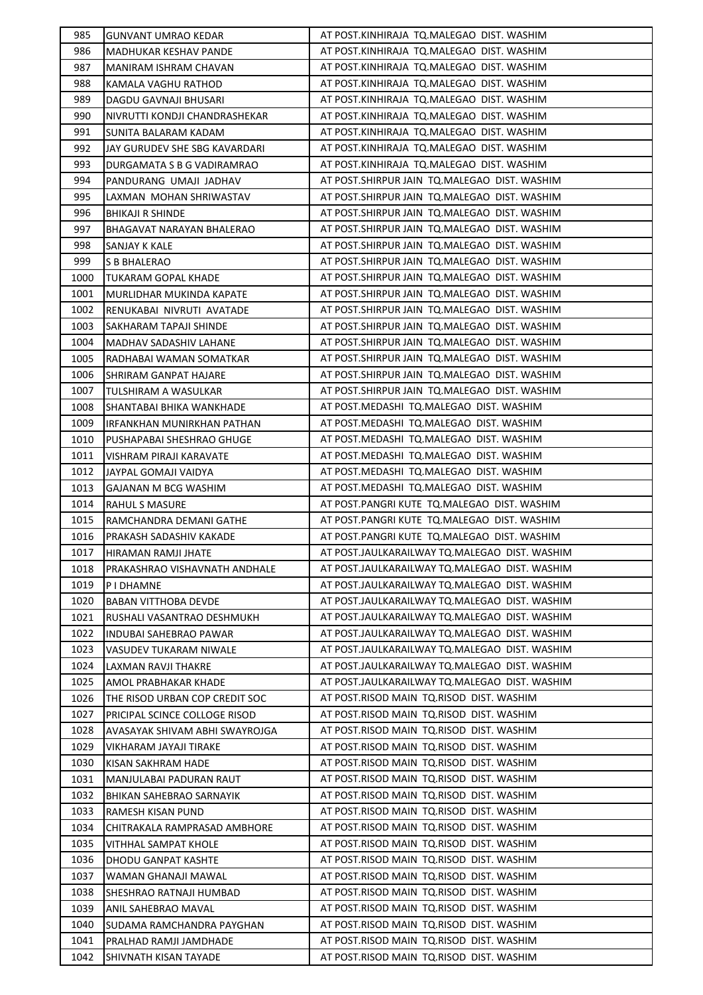| 985  | <b>GUNVANT UMRAO KEDAR</b>                | AT POST.KINHIRAJA TQ.MALEGAO DIST. WASHIM                                                    |
|------|-------------------------------------------|----------------------------------------------------------------------------------------------|
| 986  | MADHUKAR KESHAV PANDE                     | AT POST.KINHIRAJA TQ.MALEGAO DIST. WASHIM                                                    |
| 987  | MANIRAM ISHRAM CHAVAN                     | AT POST.KINHIRAJA TQ.MALEGAO DIST. WASHIM                                                    |
| 988  | KAMALA VAGHU RATHOD                       | AT POST.KINHIRAJA TQ.MALEGAO DIST. WASHIM                                                    |
| 989  | DAGDU GAVNAJI BHUSARI                     | AT POST.KINHIRAJA TQ.MALEGAO DIST. WASHIM                                                    |
| 990  | NIVRUTTI KONDJI CHANDRASHEKAR             | AT POST.KINHIRAJA TQ.MALEGAO DIST. WASHIM                                                    |
| 991  | SUNITA BALARAM KADAM                      | AT POST.KINHIRAJA TQ.MALEGAO DIST. WASHIM                                                    |
| 992  | JAY GURUDEV SHE SBG KAVARDARI             | AT POST.KINHIRAJA TQ.MALEGAO DIST. WASHIM                                                    |
| 993  | DURGAMATA S B G VADIRAMRAO                | AT POST.KINHIRAJA TQ.MALEGAO DIST. WASHIM                                                    |
| 994  | PANDURANG UMAJI JADHAV                    | AT POST.SHIRPUR JAIN TQ.MALEGAO DIST. WASHIM                                                 |
| 995  | LAXMAN MOHAN SHRIWASTAV                   | AT POST.SHIRPUR JAIN TQ.MALEGAO DIST. WASHIM                                                 |
| 996  | BHIKAJI R SHINDE                          | AT POST.SHIRPUR JAIN TQ.MALEGAO DIST. WASHIM                                                 |
| 997  | BHAGAVAT NARAYAN BHALERAO                 | AT POST.SHIRPUR JAIN TQ.MALEGAO DIST. WASHIM                                                 |
| 998  | SANJAY K KALE                             | AT POST.SHIRPUR JAIN TQ.MALEGAO DIST. WASHIM                                                 |
| 999  | S B BHALERAO                              | AT POST.SHIRPUR JAIN TQ.MALEGAO DIST. WASHIM                                                 |
| 1000 | TUKARAM GOPAL KHADE                       | AT POST.SHIRPUR JAIN TQ.MALEGAO DIST. WASHIM                                                 |
| 1001 | MURLIDHAR MUKINDA KAPATE                  | AT POST.SHIRPUR JAIN TQ.MALEGAO DIST. WASHIM                                                 |
| 1002 | RENUKABAI NIVRUTI AVATADE                 | AT POST.SHIRPUR JAIN TQ.MALEGAO DIST. WASHIM                                                 |
| 1003 | SAKHARAM TAPAJI SHINDE                    | AT POST.SHIRPUR JAIN TQ.MALEGAO DIST. WASHIM                                                 |
| 1004 | MADHAV SADASHIV LAHANE                    | AT POST.SHIRPUR JAIN TQ.MALEGAO DIST. WASHIM                                                 |
| 1005 | RADHABAI WAMAN SOMATKAR                   | AT POST. SHIRPUR JAIN TO. MALEGAO DIST. WASHIM                                               |
| 1006 | SHRIRAM GANPAT HAJARE                     | AT POST.SHIRPUR JAIN TQ.MALEGAO DIST. WASHIM                                                 |
| 1007 | TULSHIRAM A WASULKAR                      | AT POST.SHIRPUR JAIN TQ.MALEGAO DIST. WASHIM                                                 |
| 1008 | SHANTABAI BHIKA WANKHADE                  | AT POST.MEDASHI TQ.MALEGAO DIST. WASHIM                                                      |
| 1009 | IRFANKHAN MUNIRKHAN PATHAN                | AT POST.MEDASHI TQ.MALEGAO DIST. WASHIM                                                      |
| 1010 | PUSHAPABAI SHESHRAO GHUGE                 | AT POST.MEDASHI TQ.MALEGAO DIST. WASHIM                                                      |
| 1011 | VISHRAM PIRAJI KARAVATE                   | AT POST.MEDASHI TQ.MALEGAO DIST. WASHIM                                                      |
| 1012 | JAYPAL GOMAJI VAIDYA                      | AT POST.MEDASHI TQ.MALEGAO DIST. WASHIM                                                      |
| 1013 | GAJANAN M BCG WASHIM                      | AT POST.MEDASHI TQ.MALEGAO DIST. WASHIM                                                      |
| 1014 | <b>RAHUL S MASURE</b>                     | AT POST.PANGRI KUTE TQ.MALEGAO DIST. WASHIM                                                  |
| 1015 | RAMCHANDRA DEMANI GATHE                   | AT POST.PANGRI KUTE TQ.MALEGAO DIST. WASHIM                                                  |
| 1016 |                                           |                                                                                              |
|      |                                           |                                                                                              |
| 1017 | PRAKASH SADASHIV KAKADE                   | AT POST.PANGRI KUTE TQ.MALEGAO DIST. WASHIM<br>AT POST.JAULKARAILWAY TQ.MALEGAO DIST. WASHIM |
| 1018 | HIRAMAN RAMJI JHATE                       | AT POST.JAULKARAILWAY TQ.MALEGAO DIST. WASHIM                                                |
| 1019 | PRAKASHRAO VISHAVNATH ANDHALE<br>PIDHAMNE | AT POST.JAULKARAILWAY TQ.MALEGAO DIST. WASHIM                                                |
| 1020 | <b>BABAN VITTHOBA DEVDE</b>               | AT POST.JAULKARAILWAY TQ.MALEGAO DIST. WASHIM                                                |
| 1021 | RUSHALI VASANTRAO DESHMUKH                | AT POST.JAULKARAILWAY TQ.MALEGAO DIST. WASHIM                                                |
| 1022 | INDUBAI SAHEBRAO PAWAR                    | AT POST.JAULKARAILWAY TQ.MALEGAO DIST. WASHIM                                                |
| 1023 | VASUDEV TUKARAM NIWALE                    | AT POST.JAULKARAILWAY TQ.MALEGAO DIST. WASHIM                                                |
| 1024 | LAXMAN RAVJI THAKRE                       | AT POST.JAULKARAILWAY TQ.MALEGAO DIST. WASHIM                                                |
| 1025 | AMOL PRABHAKAR KHADE                      | AT POST.JAULKARAILWAY TQ.MALEGAO DIST. WASHIM                                                |
| 1026 | THE RISOD URBAN COP CREDIT SOC            | AT POST.RISOD MAIN TQ.RISOD DIST. WASHIM                                                     |
| 1027 | PRICIPAL SCINCE COLLOGE RISOD             | AT POST.RISOD MAIN TQ.RISOD DIST. WASHIM                                                     |
| 1028 | AVASAYAK SHIVAM ABHI SWAYROJGA            | AT POST.RISOD MAIN TQ.RISOD DIST. WASHIM                                                     |
| 1029 | VIKHARAM JAYAJI TIRAKE                    | AT POST.RISOD MAIN TQ.RISOD DIST. WASHIM                                                     |
| 1030 | KISAN SAKHRAM HADE                        | AT POST.RISOD MAIN TQ.RISOD DIST. WASHIM                                                     |
| 1031 | MANJULABAI PADURAN RAUT                   | AT POST.RISOD MAIN TQ.RISOD DIST. WASHIM                                                     |
| 1032 | BHIKAN SAHEBRAO SARNAYIK                  | AT POST.RISOD MAIN TO.RISOD DIST. WASHIM                                                     |
| 1033 | RAMESH KISAN PUND                         | AT POST.RISOD MAIN TO.RISOD DIST. WASHIM                                                     |
| 1034 | CHITRAKALA RAMPRASAD AMBHORE              | AT POST.RISOD MAIN TO.RISOD DIST. WASHIM                                                     |
| 1035 | VITHHAL SAMPAT KHOLE                      | AT POST.RISOD MAIN TO.RISOD DIST. WASHIM                                                     |
| 1036 | DHODU GANPAT KASHTE                       | AT POST.RISOD MAIN TO.RISOD DIST. WASHIM                                                     |
| 1037 | WAMAN GHANAJI MAWAL                       | AT POST.RISOD MAIN TO.RISOD DIST. WASHIM                                                     |
| 1038 | SHESHRAO RATNAJI HUMBAD                   | AT POST.RISOD MAIN TO.RISOD DIST. WASHIM                                                     |
| 1039 | ANIL SAHEBRAO MAVAL                       | AT POST.RISOD MAIN TO.RISOD DIST. WASHIM                                                     |
| 1040 | SUDAMA RAMCHANDRA PAYGHAN                 | AT POST.RISOD MAIN TO.RISOD DIST. WASHIM                                                     |
| 1041 | PRALHAD RAMJI JAMDHADE                    | AT POST.RISOD MAIN TO.RISOD DIST. WASHIM                                                     |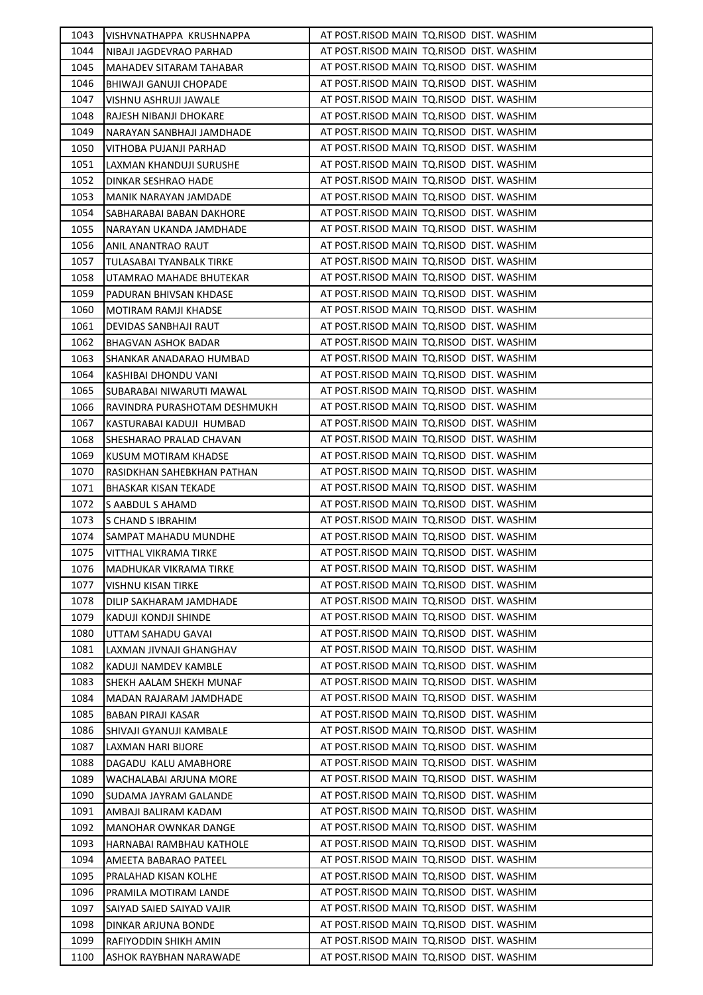| 1043 | VISHVNATHAPPA KRUSHNAPPA                              | AT POST.RISOD MAIN TQ.RISOD DIST. WASHIM |
|------|-------------------------------------------------------|------------------------------------------|
| 1044 | NIBAJI JAGDEVRAO PARHAD                               | AT POST.RISOD MAIN TQ.RISOD DIST. WASHIM |
| 1045 | MAHADEV SITARAM TAHABAR                               | AT POST.RISOD MAIN TQ.RISOD DIST. WASHIM |
| 1046 | BHIWAJI GANUJI CHOPADE                                | AT POST.RISOD MAIN TQ.RISOD DIST. WASHIM |
| 1047 | VISHNU ASHRUJI JAWALE                                 | AT POST.RISOD MAIN TO.RISOD DIST. WASHIM |
| 1048 | RAJESH NIBANJI DHOKARE                                | AT POST.RISOD MAIN TO.RISOD DIST. WASHIM |
| 1049 | NARAYAN SANBHAJI JAMDHADE                             | AT POST.RISOD MAIN TO.RISOD DIST. WASHIM |
| 1050 | VITHOBA PUJANJI PARHAD                                | AT POST.RISOD MAIN TQ.RISOD DIST. WASHIM |
| 1051 | LAXMAN KHANDUJI SURUSHE                               | AT POST.RISOD MAIN TQ.RISOD DIST. WASHIM |
| 1052 | <b>DINKAR SESHRAO HADE</b>                            | AT POST.RISOD MAIN TQ.RISOD DIST. WASHIM |
| 1053 | MANIK NARAYAN JAMDADE                                 | AT POST.RISOD MAIN TQ.RISOD DIST. WASHIM |
| 1054 | SABHARABAI BABAN DAKHORE                              | AT POST.RISOD MAIN TQ.RISOD DIST. WASHIM |
| 1055 | NARAYAN UKANDA JAMDHADE                               | AT POST.RISOD MAIN TQ.RISOD DIST. WASHIM |
| 1056 | ANIL ANANTRAO RAUT                                    | AT POST.RISOD MAIN TO.RISOD DIST. WASHIM |
| 1057 | TULASABAI TYANBALK TIRKE                              | AT POST.RISOD MAIN TQ.RISOD DIST. WASHIM |
| 1058 | UTAMRAO MAHADE BHUTEKAR                               | AT POST.RISOD MAIN TQ.RISOD DIST. WASHIM |
| 1059 | PADURAN BHIVSAN KHDASE                                | AT POST.RISOD MAIN TQ.RISOD DIST. WASHIM |
| 1060 | MOTIRAM RAMJI KHADSE                                  | AT POST.RISOD MAIN TQ.RISOD DIST. WASHIM |
| 1061 | DEVIDAS SANBHAJI RAUT                                 | AT POST.RISOD MAIN TQ.RISOD DIST. WASHIM |
| 1062 |                                                       | AT POST.RISOD MAIN TQ.RISOD DIST. WASHIM |
| 1063 | <b>BHAGVAN ASHOK BADAR</b><br>SHANKAR ANADARAO HUMBAD | AT POST.RISOD MAIN TO.RISOD DIST. WASHIM |
|      |                                                       | AT POST.RISOD MAIN TQ.RISOD DIST. WASHIM |
| 1064 | KASHIBAI DHONDU VANI                                  |                                          |
| 1065 | SUBARABAI NIWARUTI MAWAL                              | AT POST.RISOD MAIN TQ.RISOD DIST. WASHIM |
| 1066 | RAVINDRA PURASHOTAM DESHMUKH                          | AT POST.RISOD MAIN TQ.RISOD DIST. WASHIM |
| 1067 | KASTURABAI KADUJI HUMBAD                              | AT POST.RISOD MAIN TQ.RISOD DIST. WASHIM |
| 1068 | SHESHARAO PRALAD CHAVAN                               | AT POST.RISOD MAIN TQ.RISOD DIST. WASHIM |
| 1069 | KUSUM MOTIRAM KHADSE                                  | AT POST.RISOD MAIN TQ.RISOD DIST. WASHIM |
| 1070 | RASIDKHAN SAHEBKHAN PATHAN                            | AT POST.RISOD MAIN TO.RISOD DIST. WASHIM |
| 1071 | <b>BHASKAR KISAN TEKADE</b>                           | AT POST.RISOD MAIN TQ.RISOD DIST. WASHIM |
| 1072 |                                                       |                                          |
|      | S AABDUL S AHAMD                                      | AT POST.RISOD MAIN TO.RISOD DIST. WASHIM |
| 1073 | S CHAND S IBRAHIM                                     | AT POST.RISOD MAIN TO.RISOD DIST. WASHIM |
| 1074 | SAMPAT MAHADU MUNDHE                                  | AT POST.RISOD MAIN TQ.RISOD DIST. WASHIM |
| 1075 | VITTHAL VIKRAMA TIRKE                                 | AT POST.RISOD MAIN TQ.RISOD DIST. WASHIM |
| 1076 | <b>MADHUKAR VIKRAMA TIRKE</b>                         | AT POST.RISOD MAIN TQ.RISOD DIST. WASHIM |
| 1077 | VISHNU KISAN TIRKE                                    | AT POST.RISOD MAIN TO.RISOD DIST. WASHIM |
| 1078 | DILIP SAKHARAM JAMDHADE                               | AT POST.RISOD MAIN TQ.RISOD DIST. WASHIM |
| 1079 | KADUJI KONDJI SHINDE                                  | AT POST.RISOD MAIN TO.RISOD DIST. WASHIM |
| 1080 | UTTAM SAHADU GAVAI                                    | AT POST.RISOD MAIN TO.RISOD DIST. WASHIM |
| 1081 | LAXMAN JIVNAJI GHANGHAV                               | AT POST.RISOD MAIN TQ.RISOD DIST. WASHIM |
| 1082 | KADUJI NAMDEV KAMBLE                                  | AT POST.RISOD MAIN TO.RISOD DIST. WASHIM |
| 1083 | SHEKH AALAM SHEKH MUNAF                               | AT POST.RISOD MAIN TO.RISOD DIST. WASHIM |
| 1084 | MADAN RAJARAM JAMDHADE                                | AT POST.RISOD MAIN TQ.RISOD DIST. WASHIM |
| 1085 | BABAN PIRAJI KASAR                                    | AT POST.RISOD MAIN TQ.RISOD DIST. WASHIM |
| 1086 | SHIVAJI GYANUJI KAMBALE                               | AT POST.RISOD MAIN TO.RISOD DIST. WASHIM |
| 1087 | LAXMAN HARI BIJORE                                    | AT POST.RISOD MAIN TO.RISOD DIST. WASHIM |
| 1088 | DAGADU KALU AMABHORE                                  | AT POST.RISOD MAIN TQ.RISOD DIST. WASHIM |
| 1089 | WACHALABAI ARJUNA MORE                                | AT POST.RISOD MAIN TO.RISOD DIST. WASHIM |
| 1090 | SUDAMA JAYRAM GALANDE                                 | AT POST.RISOD MAIN TO.RISOD DIST. WASHIM |
| 1091 | AMBAJI BALIRAM KADAM                                  | AT POST.RISOD MAIN TO.RISOD DIST. WASHIM |
| 1092 | <b>MANOHAR OWNKAR DANGE</b>                           | AT POST.RISOD MAIN TO.RISOD DIST. WASHIM |
| 1093 | HARNABAI RAMBHAU KATHOLE                              | AT POST.RISOD MAIN TO.RISOD DIST. WASHIM |
| 1094 | AMEETA BABARAO PATEEL                                 | AT POST.RISOD MAIN TO.RISOD DIST. WASHIM |
| 1095 | PRALAHAD KISAN KOLHE                                  | AT POST.RISOD MAIN TO.RISOD DIST. WASHIM |
| 1096 | PRAMILA MOTIRAM LANDE                                 | AT POST.RISOD MAIN TO.RISOD DIST. WASHIM |
| 1097 | SAIYAD SAIED SAIYAD VAJIR                             | AT POST.RISOD MAIN TO.RISOD DIST. WASHIM |
| 1098 | DINKAR ARJUNA BONDE                                   | AT POST.RISOD MAIN TO.RISOD DIST. WASHIM |
| 1099 | RAFIYODDIN SHIKH AMIN                                 | AT POST.RISOD MAIN TO.RISOD DIST. WASHIM |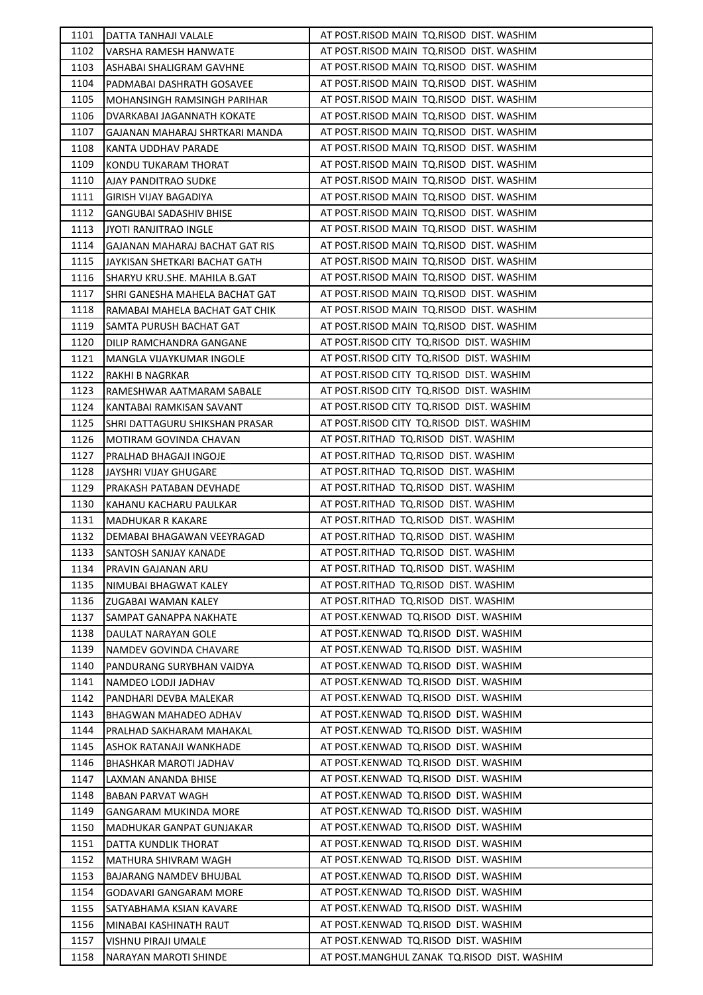| 1101 | DATTA TANHAJI VALALE            | AT POST.RISOD MAIN TQ.RISOD DIST. WASHIM    |
|------|---------------------------------|---------------------------------------------|
| 1102 | VARSHA RAMESH HANWATE           | AT POST.RISOD MAIN TQ.RISOD DIST. WASHIM    |
| 1103 | ASHABAI SHALIGRAM GAVHNE        | AT POST.RISOD MAIN TO.RISOD DIST. WASHIM    |
| 1104 | PADMABAI DASHRATH GOSAVEE       | AT POST.RISOD MAIN TQ.RISOD DIST. WASHIM    |
| 1105 | MOHANSINGH RAMSINGH PARIHAR     | AT POST.RISOD MAIN TQ.RISOD DIST. WASHIM    |
| 1106 | DVARKABAI JAGANNATH KOKATE      | AT POST.RISOD MAIN TQ.RISOD DIST. WASHIM    |
| 1107 | GAJANAN MAHARAJ SHRTKARI MANDA  | AT POST.RISOD MAIN TO.RISOD DIST. WASHIM    |
| 1108 | KANTA UDDHAV PARADE             | AT POST.RISOD MAIN TQ.RISOD DIST. WASHIM    |
| 1109 | KONDU TUKARAM THORAT            | AT POST.RISOD MAIN TO.RISOD DIST. WASHIM    |
| 1110 | AJAY PANDITRAO SUDKE            | AT POST.RISOD MAIN TO.RISOD DIST. WASHIM    |
| 1111 | GIRISH VIJAY BAGADIYA           | AT POST.RISOD MAIN TQ.RISOD DIST. WASHIM    |
| 1112 | <b>GANGUBAI SADASHIV BHISE</b>  | AT POST.RISOD MAIN TQ.RISOD DIST. WASHIM    |
| 1113 | <b>JYOTI RANJITRAO INGLE</b>    | AT POST.RISOD MAIN TQ.RISOD DIST. WASHIM    |
| 1114 | GAJANAN MAHARAJ BACHAT GAT RIS  | AT POST.RISOD MAIN TQ.RISOD DIST. WASHIM    |
| 1115 | JAYKISAN SHETKARI BACHAT GATH   | AT POST.RISOD MAIN TQ.RISOD DIST. WASHIM    |
| 1116 | SHARYU KRU.SHE. MAHILA B.GAT    | AT POST.RISOD MAIN TO.RISOD DIST. WASHIM    |
| 1117 | SHRI GANESHA MAHELA BACHAT GAT  | AT POST.RISOD MAIN TO.RISOD DIST. WASHIM    |
| 1118 | RAMABAI MAHELA BACHAT GAT CHIK  | AT POST.RISOD MAIN TQ.RISOD DIST. WASHIM    |
| 1119 | SAMTA PURUSH BACHAT GAT         | AT POST.RISOD MAIN TQ.RISOD DIST. WASHIM    |
| 1120 | DILIP RAMCHANDRA GANGANE        | AT POST.RISOD CITY TQ.RISOD DIST. WASHIM    |
| 1121 | MANGLA VIJAYKUMAR INGOLE        | AT POST.RISOD CITY TQ.RISOD DIST. WASHIM    |
| 1122 | RAKHI B NAGRKAR                 | AT POST.RISOD CITY TQ.RISOD DIST. WASHIM    |
| 1123 | RAMESHWAR AATMARAM SABALE       | AT POST.RISOD CITY TQ.RISOD DIST. WASHIM    |
| 1124 | KANTABAI RAMKISAN SAVANT        | AT POST.RISOD CITY TQ.RISOD DIST. WASHIM    |
| 1125 | ISHRI DATTAGURU SHIKSHAN PRASAR | AT POST.RISOD CITY TQ.RISOD DIST. WASHIM    |
| 1126 | MOTIRAM GOVINDA CHAVAN          | AT POST.RITHAD TQ.RISOD DIST. WASHIM        |
| 1127 | PRALHAD BHAGAJI INGOJE          | AT POST.RITHAD TQ.RISOD DIST. WASHIM        |
| 1128 | JAYSHRI VIJAY GHUGARE           | AT POST.RITHAD TQ.RISOD DIST. WASHIM        |
| 1129 | PRAKASH PATABAN DEVHADE         | AT POST.RITHAD TQ.RISOD DIST. WASHIM        |
| 1130 | KAHANU KACHARU PAULKAR          | AT POST.RITHAD TQ.RISOD DIST. WASHIM        |
| 1131 | <b>MADHUKAR R KAKARE</b>        | AT POST.RITHAD TQ.RISOD DIST. WASHIM        |
| 1132 | DEMABAI BHAGAWAN VEEYRAGAD      | AT POST.RITHAD TQ.RISOD DIST. WASHIM        |
| 1133 | SANTOSH SANJAY KANADE           | AT POST.RITHAD TQ.RISOD DIST. WASHIM        |
| 1134 | PRAVIN GAJANAN ARU              | AT POST.RITHAD TQ.RISOD DIST. WASHIM        |
| 1135 | NIMUBAI BHAGWAT KALEY           | AT POST.RITHAD TQ.RISOD DIST. WASHIM        |
| 1136 | ZUGABAI WAMAN KALEY             | AT POST.RITHAD TQ.RISOD DIST. WASHIM        |
| 1137 | SAMPAT GANAPPA NAKHATE          | AT POST.KENWAD TQ.RISOD DIST. WASHIM        |
| 1138 | DAULAT NARAYAN GOLE             | AT POST.KENWAD TQ.RISOD DIST. WASHIM        |
| 1139 | NAMDEV GOVINDA CHAVARE          | AT POST.KENWAD TQ.RISOD DIST. WASHIM        |
| 1140 | PANDURANG SURYBHAN VAIDYA       | AT POST.KENWAD TQ.RISOD DIST. WASHIM        |
| 1141 | NAMDEO LODJI JADHAV             | AT POST.KENWAD TQ.RISOD DIST. WASHIM        |
| 1142 | PANDHARI DEVBA MALEKAR          | AT POST.KENWAD TQ.RISOD DIST. WASHIM        |
| 1143 | BHAGWAN MAHADEO ADHAV           | AT POST.KENWAD TQ.RISOD DIST. WASHIM        |
| 1144 | PRALHAD SAKHARAM MAHAKAL        | AT POST.KENWAD TQ.RISOD DIST. WASHIM        |
| 1145 | ASHOK RATANAJI WANKHADE         | AT POST.KENWAD TQ.RISOD DIST. WASHIM        |
| 1146 | BHASHKAR MAROTI JADHAV          | AT POST.KENWAD TQ.RISOD DIST. WASHIM        |
| 1147 | LAXMAN ANANDA BHISE             | AT POST.KENWAD TQ.RISOD DIST. WASHIM        |
| 1148 | BABAN PARVAT WAGH               | AT POST.KENWAD TQ.RISOD DIST. WASHIM        |
| 1149 | GANGARAM MUKINDA MORE           | AT POST.KENWAD TQ.RISOD DIST. WASHIM        |
| 1150 | MADHUKAR GANPAT GUNJAKAR        | AT POST.KENWAD TQ.RISOD DIST. WASHIM        |
| 1151 | DATTA KUNDLIK THORAT            | AT POST.KENWAD TQ.RISOD DIST. WASHIM        |
| 1152 | MATHURA SHIVRAM WAGH            | AT POST.KENWAD TQ.RISOD DIST. WASHIM        |
| 1153 | BAJARANG NAMDEV BHUJBAL         | AT POST.KENWAD TQ.RISOD DIST. WASHIM        |
| 1154 | GODAVARI GANGARAM MORE          | AT POST.KENWAD TQ.RISOD DIST. WASHIM        |
| 1155 | SATYABHAMA KSIAN KAVARE         | AT POST.KENWAD TQ.RISOD DIST. WASHIM        |
| 1156 | MINABAI KASHINATH RAUT          | AT POST.KENWAD TQ.RISOD DIST. WASHIM        |
| 1157 | VISHNU PIRAJI UMALE             | AT POST.KENWAD TQ.RISOD DIST. WASHIM        |
| 1158 | NARAYAN MAROTI SHINDE           | AT POST.MANGHUL ZANAK TQ.RISOD DIST. WASHIM |